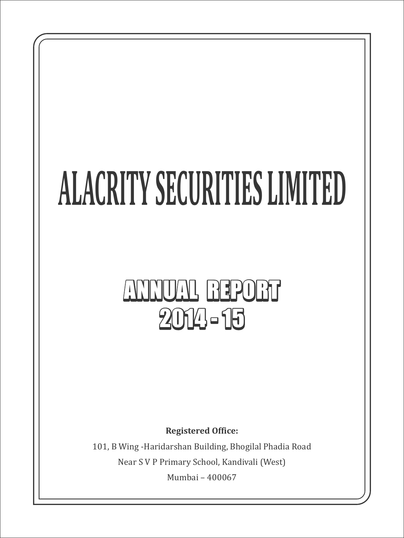# ANNUAL REPORT ANNUAL REPORT 2014 - 15 2014 - 15

**Registered Office:**

101, B Wing -Haridarshan Building, Bhogilal Phadia Road Near S V P Primary School, Kandivali (West) Mumbai – 400067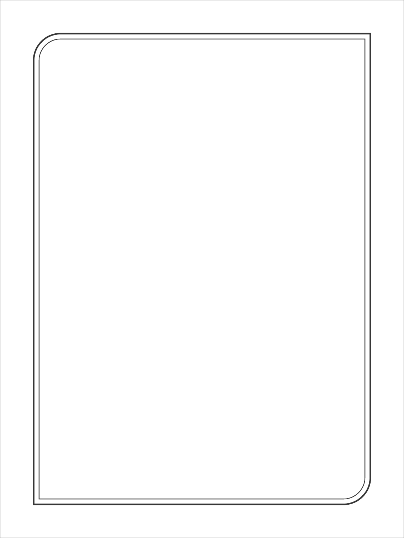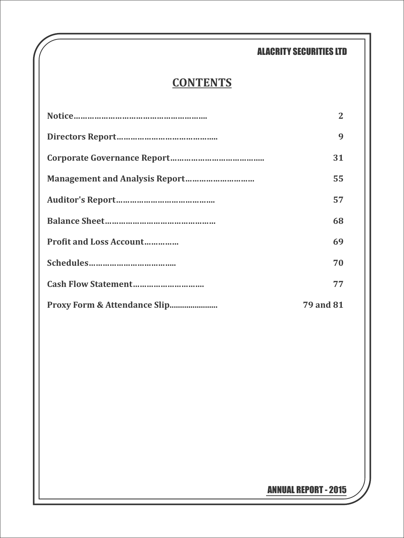# **CONTENTS**

|                                | 2                |
|--------------------------------|------------------|
|                                | $\mathbf{Q}$     |
|                                | 31               |
|                                | 55               |
|                                | 57               |
|                                | 68               |
| <b>Profit and Loss Account</b> | 69               |
|                                | 70               |
|                                | 77               |
|                                | <b>79 and 81</b> |

ANNUAL REPORT - 2015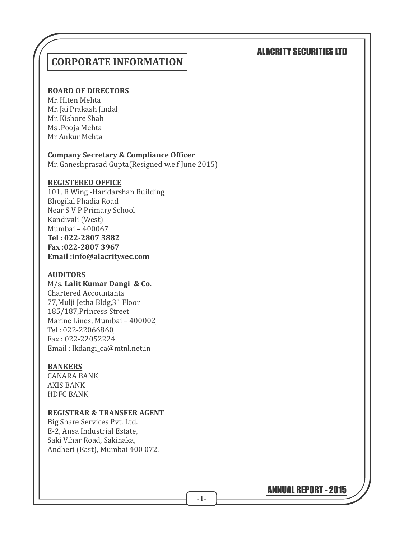# **CORPORATE INFORMATION**

#### **BOARD OF DIRECTORS**

Mr. Hiten Mehta Mr. Jai Prakash Jindal Mr. Kishore Shah Ms .Pooja Mehta Mr Ankur Mehta

#### **Company Secretary & Compliance Officer**

Mr. Ganeshprasad Gupta(Resigned w.e.f June 2015)

#### **REGISTERED OFFICE**

101, B Wing -Haridarshan Building Bhogilal Phadia Road Near S V P Primary School Kandivali (West) Mumbai – 400067 **Tel : 022-2807 3882 Fax :022-2807 3967 Email :info@alacritysec.com**

#### **AUDITORS**

M/s. **Lalit Kumar Dangi & Co.** Chartered Accountants 77, Mulji Jetha Bldg, 3rd Floor 185/187,Princess Street Marine Lines, Mumbai – 400002 Tel : 022-22066860 Fax : 022-22052224 Email : lkdangi\_ca@mtnl.net.in

#### **BANKERS**

CANARA BANK AXIS BANK HDFC BANK

#### **REGISTRAR & TRANSFER AGENT**

Big Share Services Pvt. Ltd. E-2, Ansa Industrial Estate, Saki Vihar Road, Sakinaka, Andheri (East), Mumbai 400 072.

ANNUAL REPORT - 2015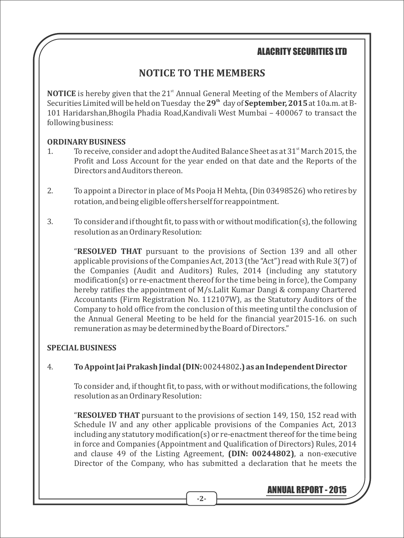# **NOTICE TO THE MEMBERS**

**NOTICE** is hereby given that the 21<sup>st</sup> Annual General Meeting of the Members of Alacrity Securities Limited will be held on Tuesday the 29<sup>th</sup> day of **September, 2015** at 10a.m. at B-101 Haridarshan,Bhogila Phadia Road,Kandivali West Mumbai – 400067 to transact the following business:

# **ORDINARY BUSINESS**

- 1. To receive, consider and adopt the Audited Balance Sheet as at  $31<sup>st</sup>$  March 2015, the Profit and Loss Account for the year ended on that date and the Reports of the Directors and Auditors thereon.
- 2. To appoint a Director in place of Ms Pooja H Mehta, (Din 03498526) who retires by rotation, and being eligible offers herself for reappointment.
- 3. To consider and if thought fit, to pass with or without modification(s), the following resolution as an Ordinary Resolution:

"**RESOLVED THAT** pursuant to the provisions of Section 139 and all other applicable provisions of the Companies Act, 2013 (the "Act") read with Rule 3(7) of the Companies (Audit and Auditors) Rules, 2014 (including any statutory modification(s) or re-enactment thereof for the time being in force), the Company hereby ratifies the appointment of M/s.Lalit Kumar Dangi & company Chartered Accountants (Firm Registration No. 112107W), as the Statutory Auditors of the Company to hold office from the conclusion of this meeting until the conclusion of the Annual General Meeting to be held for the financial year2015-16. on such remuneration as may be determined by the Board of Directors."

# **SPECIAL BUSINESS**

# 4. **To Appoint Jai Prakash Jindal (DIN:** 00244802**.) as an Independent Director**

To consider and, if thought fit, to pass, with or without modifications, the following resolution as an Ordinary Resolution:

"**RESOLVED THAT** pursuant to the provisions of section 149, 150, 152 read with Schedule IV and any other applicable provisions of the Companies Act, 2013 including any statutory modification(s) or re-enactment thereof for the time being in force and Companies (Appointment and Qualification of Directors) Rules, 2014 and clause 49 of the Listing Agreement, **(DIN: 00244802)**, a non-executive Director of the Company, who has submitted a declaration that he meets the

**-2-**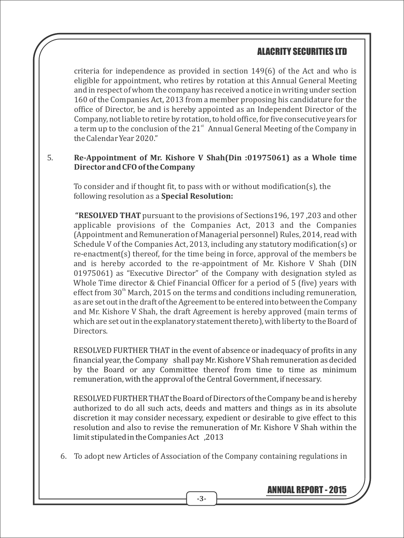ANNUAL REPORT - 2015

criteria for independence as provided in section 149(6) of the Act and who is eligible for appointment, who retires by rotation at this Annual General Meeting and in respect of whom the company has received a notice in writing under section 160 of the Companies Act, 2013 from a member proposing his candidature for the office of Director, be and is hereby appointed as an Independent Director of the Company, not liable to retire by rotation, to hold office, for five consecutive years for a term up to the conclusion of the  $21<sup>st</sup>$  Annual General Meeting of the Company in the Calendar Year 2020."

#### 5. **Re-Appointment of Mr. Kishore V Shah(Din :01975061) as a Whole time Director and CFO of the Company**

To consider and if thought fit, to pass with or without modification(s), the following resolution as a **Special Resolution:**

**"RESOLVED THAT** pursuant to the provisions of Sections196, 197 ,203 and other applicable provisions of the Companies Act, 2013 and the Companies (Appointment and Remuneration of Managerial personnel) Rules, 2014, read with Schedule V of the Companies Act, 2013, including any statutory modification(s) or re-enactment(s) thereof, for the time being in force, approval of the members be and is hereby accorded to the re-appointment of Mr. Kishore V Shah (DIN 01975061) as "Executive Director" of the Company with designation styled as Whole Time director & Chief Financial Officer for a period of 5 (five) years with effect from  $30<sup>th</sup>$  March, 2015 on the terms and conditions including remuneration, as are set out in the draft of the Agreement to be entered into between the Company and Mr. Kishore V Shah, the draft Agreement is hereby approved (main terms of which are set out in the explanatory statement thereto), with liberty to the Board of Directors.

RESOLVED FURTHER THAT in the event of absence or inadequacy of profits in any financial year, the Company shall pay Mr. Kishore V Shah remuneration as decided by the Board or any Committee thereof from time to time as minimum remuneration, with the approval of the Central Government, if necessary.

RESOLVED FURTHER THAT the Board of Directors of the Company be and is hereby authorized to do all such acts, deeds and matters and things as in its absolute discretion it may consider necessary, expedient or desirable to give effect to this resolution and also to revise the remuneration of Mr. Kishore V Shah within the limit stipulated in the Companies Act ,2013

6. To adopt new Articles of Association of the Company containing regulations in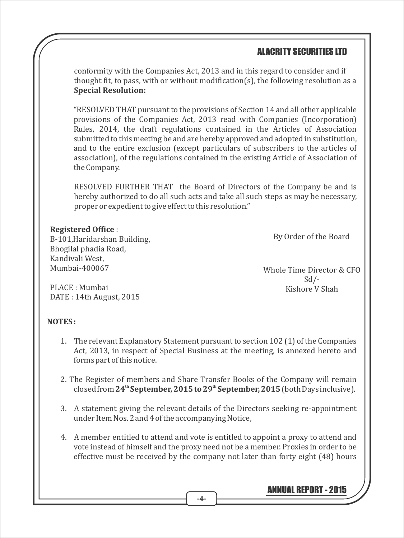conformity with the Companies Act, 2013 and in this regard to consider and if thought fit, to pass, with or without modification(s), the following resolution as a **Special Resolution:** 

"RESOLVED THAT pursuant to the provisions of Section 14 and all other applicable provisions of the Companies Act, 2013 read with Companies (Incorporation) Rules, 2014, the draft regulations contained in the Articles of Association submitted to this meeting be and are hereby approved and adopted in substitution, and to the entire exclusion (except particulars of subscribers to the articles of association), of the regulations contained in the existing Article of Association of the Company.

RESOLVED FURTHER THAT the Board of Directors of the Company be and is hereby authorized to do all such acts and take all such steps as may be necessary, proper or expedient to give effect to this resolution."

#### **Registered Office** :

By Order of the Board

B-101,Haridarshan Building, Bhogilal phadia Road, Kandivali West, Mumbai-400067

Whole Time Director & CFO Sd/- Kishore V Shah

ANNUAL REPORT - 2015

PLACE : Mumbai DATE : 14th August, 2015

# **NOTES :**

- 1. The relevant Explanatory Statement pursuant to section 102 (1) of the Companies Act, 2013, in respect of Special Business at the meeting, is annexed hereto and forms part of this notice.
- 2. The Register of members and Share Transfer Books of the Company will remain **th th** closed from **24 September, 2015 to 29 September, 2015** (both Days inclusive).
- 3. A statement giving the relevant details of the Directors seeking re-appointment under Item Nos. 2 and 4 of the accompanying Notice,
- 4. A member entitled to attend and vote is entitled to appoint a proxy to attend and vote instead of himself and the proxy need not be a member. Proxies in order to be effective must be received by the company not later than forty eight (48) hours

**-4-**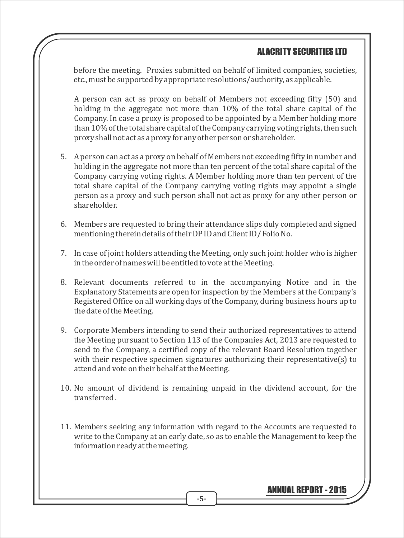before the meeting. Proxies submitted on behalf of limited companies, societies, etc., must be supported by appropriate resolutions/authority, as applicable.

A person can act as proxy on behalf of Members not exceeding fifty (50) and holding in the aggregate not more than 10% of the total share capital of the Company. In case a proxy is proposed to be appointed by a Member holding more than 10% of the total share capital of the Company carrying voting rights, then such proxy shall not act as a proxy for any other person or shareholder.

- 5. A person can act as a proxy on behalf of Members not exceeding fifty in number and holding in the aggregate not more than ten percent of the total share capital of the Company carrying voting rights. A Member holding more than ten percent of the total share capital of the Company carrying voting rights may appoint a single person as a proxy and such person shall not act as proxy for any other person or shareholder.
- 6. Members are requested to bring their attendance slips duly completed and signed mentioning therein details of their DP ID and Client ID/ Folio No.
- 7. In case of joint holders attending the Meeting, only such joint holder who is higher in the order of names will be entitled to vote at the Meeting.
- 8. Relevant documents referred to in the accompanying Notice and in the Explanatory Statements are open for inspection by the Members at the Company's Registered Office on all working days of the Company, during business hours up to the date of the Meeting.
- 9. Corporate Members intending to send their authorized representatives to attend the Meeting pursuant to Section 113 of the Companies Act, 2013 are requested to send to the Company, a certified copy of the relevant Board Resolution together with their respective specimen signatures authorizing their representative( $s$ ) to attend and vote on their behalf at the Meeting.
- 10. No amount of dividend is remaining unpaid in the dividend account, for the transferred .
- 11. Members seeking any information with regard to the Accounts are requested to write to the Company at an early date, so as to enable the Management to keep the information ready at the meeting.

**-5-**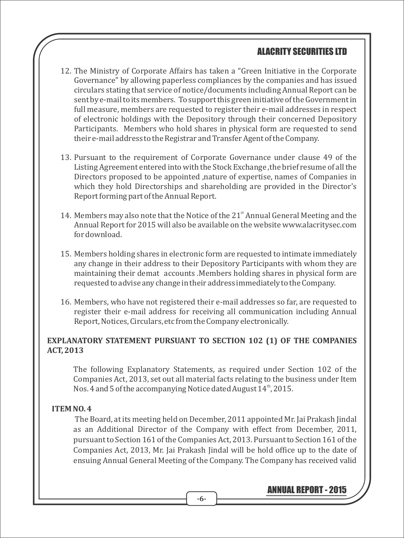ANNUAL REPORT - 2015

- 12. The Ministry of Corporate Affairs has taken a "Green Initiative in the Corporate Governance" by allowing paperless compliances by the companies and has issued circulars stating that service of notice/documents including Annual Report can be sent by e-mail to its members. To support this green initiative of the Government in full measure, members are requested to register their e-mail addresses in respect of electronic holdings with the Depository through their concerned Depository Participants. Members who hold shares in physical form are requested to send their e-mail address to the Registrar and Transfer Agent of the Company.
- 13. Pursuant to the requirement of Corporate Governance under clause 49 of the Listing Agreement entered into with the Stock Exchange ,the brief resume of all the Directors proposed to be appointed ,nature of expertise, names of Companies in which they hold Directorships and shareholding are provided in the Director's Report forming part of the Annual Report.
- 14. Members may also note that the Notice of the  $21<sup>st</sup>$  Annual General Meeting and the Annual Report for 2015 will also be available on the website www.alacritysec.com for download.
- 15. Members holding shares in electronic form are requested to intimate immediately any change in their address to their Depository Participants with whom they are maintaining their demat accounts .Members holding shares in physical form are requested to advise any change in their address immediately to the Company.
- 16. Members, who have not registered their e-mail addresses so far, are requested to register their e-mail address for receiving all communication including Annual Report, Notices, Circulars, etc from the Company electronically.

#### **EXPLANATORY STATEMENT PURSUANT TO SECTION 102 (1) OF THE COMPANIES ACT, 2013**

The following Explanatory Statements, as required under Section 102 of the Companies Act, 2013, set out all material facts relating to the business under Item Nos. 4 and 5 of the accompanying Notice dated August  $14<sup>th</sup>$ , 2015.

# **ITEM NO. 4**

The Board, at its meeting held on December, 2011 appointed Mr. Jai Prakash Jindal as an Additional Director of the Company with effect from December, 2011, pursuant to Section 161 of the Companies Act, 2013. Pursuant to Section 161 of the Companies Act, 2013, Mr. Jai Prakash Jindal will be hold office up to the date of ensuing Annual General Meeting of the Company. The Company has received valid

**-6-**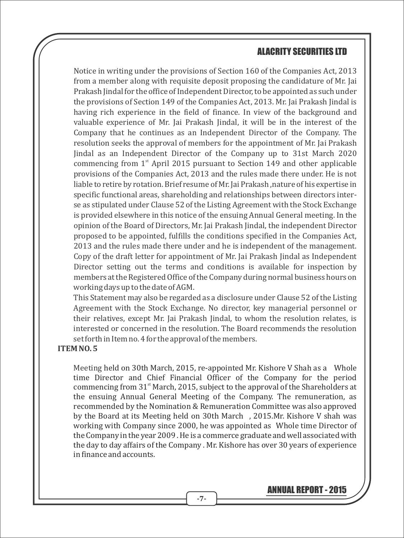ANNUAL REPORT - 2015

Notice in writing under the provisions of Section 160 of the Companies Act, 2013 from a member along with requisite deposit proposing the candidature of Mr. Jai Prakash Jindal for the office of Independent Director, to be appointed as such under the provisions of Section 149 of the Companies Act, 2013. Mr. Jai Prakash Jindal is having rich experience in the field of finance. In view of the background and valuable experience of Mr. Jai Prakash Jindal, it will be in the interest of the Company that he continues as an Independent Director of the Company. The resolution seeks the approval of members for the appointment of Mr. Jai Prakash Jindal as an Independent Director of the Company up to 31st March 2020 commencing from  $1<sup>st</sup>$  April 2015 pursuant to Section 149 and other applicable provisions of the Companies Act, 2013 and the rules made there under. He is not liable to retire by rotation. Brief resume of Mr. Jai Prakash ,nature of his expertise in specific functional areas, shareholding and relationships between directors interse as stipulated under Clause 52 of the Listing Agreement with the Stock Exchange is provided elsewhere in this notice of the ensuing Annual General meeting. In the opinion of the Board of Directors, Mr. Jai Prakash Jindal, the independent Director proposed to be appointed, fulfills the conditions specified in the Companies Act, 2013 and the rules made there under and he is independent of the management. Copy of the draft letter for appointment of Mr. Jai Prakash Jindal as Independent Director setting out the terms and conditions is available for inspection by members at the Registered Office of the Company during normal business hours on working days up to the date of AGM.

This Statement may also be regarded as a disclosure under Clause 52 of the Listing Agreement with the Stock Exchange. No director, key managerial personnel or their relatives, except Mr. Jai Prakash Jindal, to whom the resolution relates, is interested or concerned in the resolution. The Board recommends the resolution set forth in Item no. 4 for the approval of the members.

#### **ITEM NO. 5**

Meeting held on 30th March, 2015, re-appointed Mr. Kishore V Shah as a Whole time Director and Chief Financial Officer of the Company for the period commencing from  $31<sup>st</sup>$  March, 2015, subject to the approval of the Shareholders at the ensuing Annual General Meeting of the Company. The remuneration, as recommended by the Nomination & Remuneration Committee was also approved by the Board at its Meeting held on 30th March , 2015.Mr. Kishore V shah was working with Company since 2000, he was appointed as Whole time Director of the Company in the year 2009 . He is a commerce graduate and well associated with the day to day affairs of the Company . Mr. Kishore has over 30 years of experience in finance and accounts.

**-7-**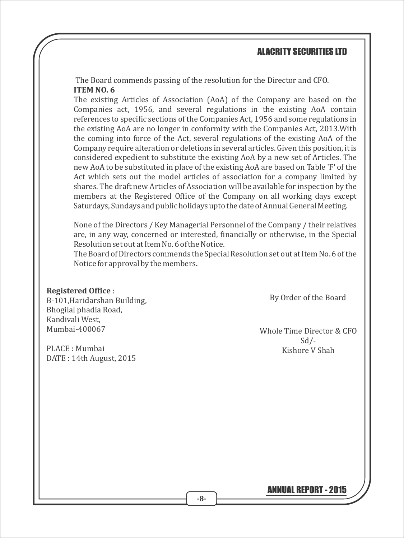The Board commends passing of the resolution for the Director and CFO. **ITEM NO. 6**

The existing Articles of Association (AoA) of the Company are based on the Companies act, 1956, and several regulations in the existing AoA contain references to specific sections of the Companies Act, 1956 and some regulations in the existing AoA are no longer in conformity with the Companies Act, 2013.With the coming into force of the Act, several regulations of the existing AoA of the Company require alteration or deletions in several articles. Given this position, it is considered expedient to substitute the existing AoA by a new set of Articles. The new AoA to be substituted in place of the existing AoA are based on Table 'F' of the Act which sets out the model articles of association for a company limited by shares. The draft new Articles of Association will be available for inspection by the members at the Registered Office of the Company on all working days except Saturdays, Sundays and public holidays upto the date of Annual General Meeting.

None of the Directors / Key Managerial Personnel of the Company / their relatives are, in any way, concerned or interested, financially or otherwise, in the Special Resolution set out at Item No. 6 of the Notice.

The Board of Directors commends the Special Resolution set out at Item No. 6 of the Notice for approval by the members**.** 

#### **Registered Office** :

B-101,Haridarshan Building, Bhogilal phadia Road, Kandivali West, Mumbai-400067

PLACE : Mumbai DATE : 14th August, 2015 By Order of the Board

Whole Time Director & CFO  $Sd$  /-Kishore V Shah

ANNUAL REPORT - 2015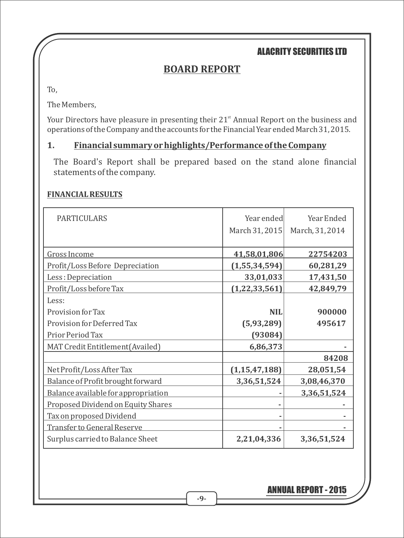# **BOARD REPORT**

To,

The Members,

Your Directors have pleasure in presenting their 21<sup>st</sup> Annual Report on the business and operations of the Company and the accounts for the Financial Year ended March 31, 2015.

# **1. Financial summary or highlights/Performance of the Company**

The Board's Report shall be prepared based on the stand alone financial statements of the company.

#### **FINANCIAL RESULTS**

| <b>PARTICULARS</b>                  | Year ended<br>March 31, 2015 | Year Ended<br>March, 31, 2014 |
|-------------------------------------|------------------------------|-------------------------------|
| Gross Income                        | 41,58,01,806                 | 22754203                      |
| Profit/Loss Before Depreciation     | (1,55,34,594)                | 60,281,29                     |
| Less: Depreciation                  | 33,01,033                    | 17,431,50                     |
| Profit/Loss before Tax              | (1, 22, 33, 561)             | 42,849,79                     |
| Less:                               |                              |                               |
| Provision for Tax                   | NII.                         | 900000                        |
| Provision for Deferred Tax          | (5,93,289)                   | 495617                        |
| Prior Period Tax                    | (93084)                      |                               |
| MAT Credit Entitlement (Availed)    | 6,86,373                     |                               |
|                                     |                              | 84208                         |
| Net Profit/Loss After Tax           | (1, 15, 47, 188)             | 28,051,54                     |
| Balance of Profit brought forward   | 3,36,51,524                  | 3,08,46,370                   |
| Balance available for appropriation |                              | 3,36,51,524                   |
| Proposed Dividend on Equity Shares  |                              |                               |
| Tax on proposed Dividend            |                              |                               |
| <b>Transfer to General Reserve</b>  |                              |                               |
| Surplus carried to Balance Sheet    | 2,21,04,336                  | 3,36,51,524                   |

ANNUAL REPORT - 2015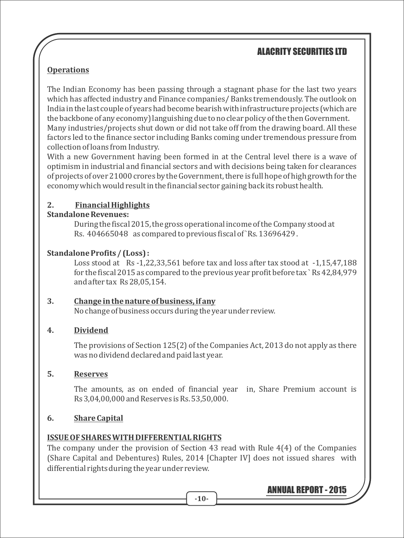ANNUAL REPORT - 2015

# **Operations**

The Indian Economy has been passing through a stagnant phase for the last two years which has affected industry and Finance companies/ Banks tremendously. The outlook on India in the last couple of years had become bearish with infrastructure projects (which are the backbone of any economy) languishing due to no clear policy of the then Government. Many industries/projects shut down or did not take off from the drawing board. All these factors led to the finance sector including Banks coming under tremendous pressure from collection of loans from Industry.

With a new Government having been formed in at the Central level there is a wave of optimism in industrial and financial sectors and with decisions being taken for clearances of projects of over 21000 crores by the Government, there is full hope of high growth for the economy which would result in the financial sector gaining back its robust health.

# **2. Financial Highlights**

# **Standalone Revenues:**

During the fiscal 2015, the gross operational income of the Company stood at Rs. 404665048 as compared to previous fiscal of `Rs. 13696429 .

# **Standalone Profits / (Loss) :**

Loss stood at Rs -1,22,33,561 before tax and loss after tax stood at -1,15,47,188 for the fiscal 2015 as compared to the previous year profit before tax ` Rs 42,84,979 and after tax Rs 28,05,154.

# **3. Change in the nature of business, if any**

No change of business occurs during the year under review.

# **4. Dividend**

The provisions of Section 125(2) of the Companies Act, 2013 do not apply as there was no dividend declared and paid last year.

# **5. Reserves**

 The amounts, as on ended of financial year in, Share Premium account is Rs 3,04,00,000 and Reserves is Rs. 53,50,000.

# **6. Share Capital**

# **ISSUE OF SHARES WITH DIFFERENTIAL RIGHTS**

The company under the provision of Section 43 read with Rule 4(4) of the Companies (Share Capital and Debentures) Rules, 2014 [Chapter IV] does not issued shares with differential rights during the year under review.

**-10-**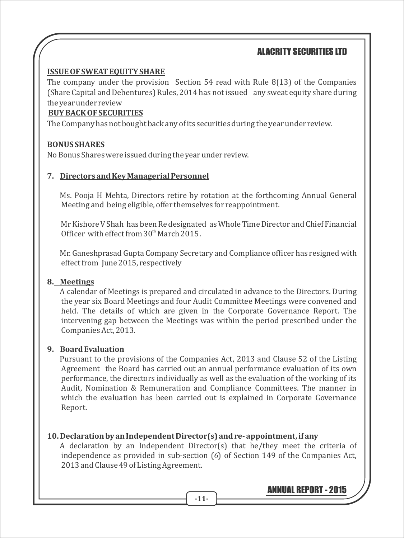ANNUAL REPORT - 2015

# **ISSUE OF SWEAT EQUITY SHARE**

The company under the provision Section 54 read with Rule 8(13) of the Companies (Share Capital and Debentures) Rules, 2014 has not issued any sweat equity share during the year under review

#### **BUY BACK OF SECURITIES**

The Company has not bought back any of its securities during the year under review.

# **BONUS SHARES**

No Bonus Shares were issued during the year under review.

#### **7. Directors and Key Managerial Personnel**

Ms. Pooja H Mehta, Directors retire by rotation at the forthcoming Annual General Meeting and being eligible, offer themselves for reappointment.

Mr Kishore V Shah has been Re designated as Whole Time Director and Chief Financial Officer with effect from  $30<sup>th</sup>$  March 2015.

Mr. Ganeshprasad Gupta Company Secretary and Compliance officer has resigned with effect from June 2015, respectively

#### **8. Meetings**

A calendar of Meetings is prepared and circulated in advance to the Directors. During the year six Board Meetings and four Audit Committee Meetings were convened and held. The details of which are given in the Corporate Governance Report. The intervening gap between the Meetings was within the period prescribed under the Companies Act, 2013.

# **9. Board Evaluation**

Pursuant to the provisions of the Companies Act, 2013 and Clause 52 of the Listing Agreement the Board has carried out an annual performance evaluation of its own performance, the directors individually as well as the evaluation of the working of its Audit, Nomination & Remuneration and Compliance Committees. The manner in which the evaluation has been carried out is explained in Corporate Governance Report.

# **10. Declaration by an Independent Director(s) and re- appointment, if any**

A declaration by an Independent Director(s) that he/they meet the criteria of independence as provided in sub-section (*6*) of Section 149 of the Companies Act, 2013 and Clause 49 of Listing Agreement.

**-11-**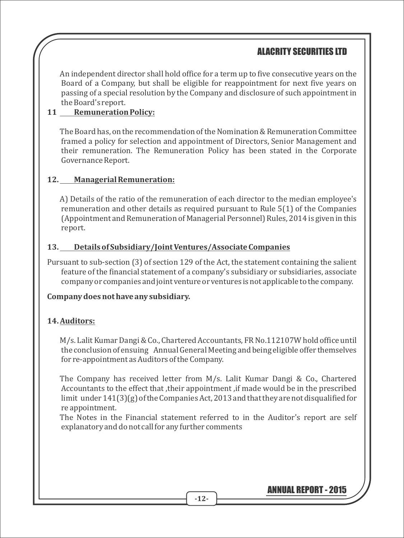An independent director shall hold office for a term up to five consecutive years on the Board of a Company, but shall be eligible for reappointment for next five years on passing of a special resolution by the Company and disclosure of such appointment in the Board's report.

# **11 Remuneration Policy:**

The Board has, on the recommendation of the Nomination & Remuneration Committee framed a policy for selection and appointment of Directors, Senior Management and their remuneration. The Remuneration Policy has been stated in the Corporate Governance Report.

# **12. Managerial Remuneration:**

A) Details of the ratio of the remuneration of each director to the median employee's remuneration and other details as required pursuant to Rule 5(1) of the Companies (Appointment and Remuneration of Managerial Personnel) Rules, 2014 is given in this report.

# **13. Details of Subsidiary/Joint Ventures/Associate Companies**

Pursuant to sub-section (3) of section 129 of the Act, the statement containing the salient feature of the financial statement of a company's subsidiary or subsidiaries, associate company or companies and joint venture or ventures is not applicable to the company.

#### **Company does not have any subsidiary.**

# **14. Auditors:**

 M/s. Lalit Kumar Dangi & Co., Chartered Accountants, FR No.112107W hold office until the conclusion of ensuing Annual General Meeting and being eligible offer themselves for re-appointment as Auditors of the Company.

The Company has received letter from M/s. Lalit Kumar Dangi & Co., Chartered Accountants to the effect that ,their appointment ,if made would be in the prescribed limit under 141(3)(g) of the Companies Act, 2013 and that they are not disqualified for re appointment.

The Notes in the Financial statement referred to in the Auditor's report are self explanatory and do not call for any further comments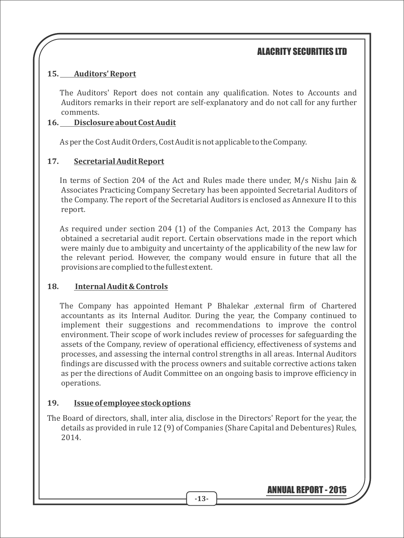ANNUAL REPORT - 2015

#### **15. Auditors' Report**

The Auditors' Report does not contain any qualification. Notes to Accounts and Auditors remarks in their report are self-explanatory and do not call for any further comments.

#### **16. Disclosure about Cost Audit**

As per the Cost Audit Orders, Cost Audit is not applicable to the Company.

# **17. Secretarial Audit Report**

In terms of Section 204 of the Act and Rules made there under, M/s Nishu Jain & Associates Practicing Company Secretary has been appointed Secretarial Auditors of the Company. The report of the Secretarial Auditors is enclosed as Annexure II to this report.

As required under section 204 (1) of the Companies Act, 2013 the Company has obtained a secretarial audit report. Certain observations made in the report which were mainly due to ambiguity and uncertainty of the applicability of the new law for the relevant period. However, the company would ensure in future that all the provisions are complied to the fullest extent.

# **18. Internal Audit & Controls**

The Company has appointed Hemant P Bhalekar ,external firm of Chartered accountants as its Internal Auditor. During the year, the Company continued to implement their suggestions and recommendations to improve the control environment. Their scope of work includes review of processes for safeguarding the assets of the Company, review of operational efficiency, effectiveness of systems and processes, and assessing the internal control strengths in all areas. Internal Auditors findings are discussed with the process owners and suitable corrective actions taken as per the directions of Audit Committee on an ongoing basis to improve efficiency in operations.

# **19. Issue of employee stock options**

The Board of directors, shall, inter alia, disclose in the Directors' Report for the year, the details as provided in rule 12 (9) of Companies (Share Capital and Debentures) Rules, 2014.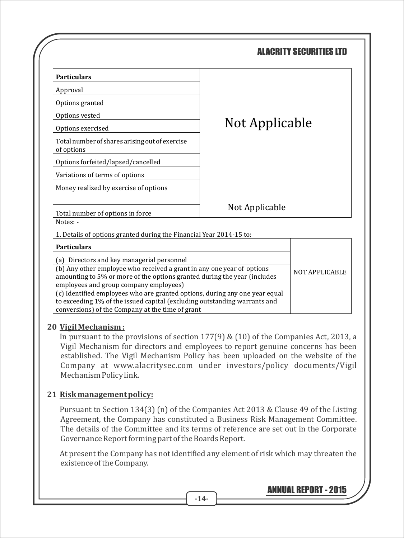ANNUAL REPORT - 2015

| <b>Particulars</b>                                           |                |
|--------------------------------------------------------------|----------------|
| Approval                                                     |                |
| Options granted                                              |                |
| Options vested                                               |                |
| Options exercised                                            | Not Applicable |
| Total number of shares arising out of exercise<br>of options |                |
| Options forfeited/lapsed/cancelled                           |                |
| Variations of terms of options                               |                |
| Money realized by exercise of options                        |                |
|                                                              |                |
| Total number of options in force                             | Not Applicable |
| Notes: -                                                     |                |

1. Details of options granted during the Financial Year 2014-15 to:

| <b>Particulars</b>                                                          |                |
|-----------------------------------------------------------------------------|----------------|
| (a) Directors and key managerial personnel                                  |                |
| (b) Any other employee who received a grant in any one year of options      | NOT APPLICABLE |
| amounting to 5% or more of the options granted during the year (includes    |                |
| employees and group company employees)                                      |                |
| (c) Identified employees who are granted options, during any one year equal |                |
| to exceeding 1% of the issued capital (excluding outstanding warrants and   |                |
| conversions) of the Company at the time of grant                            |                |

#### **20 Vigil Mechanism :**

In pursuant to the provisions of section 177(9) & (10) of the Companies Act, 2013, a Vigil Mechanism for directors and employees to report genuine concerns has been established. The Vigil Mechanism Policy has been uploaded on the website of the Company at www.alacritysec.com under investors/policy documents/Vigil Mechanism Policy link.

# **21 Risk management policy:**

Pursuant to Section 134(3) (n) of the Companies Act 2013 & Clause 49 of the Listing Agreement, the Company has constituted a Business Risk Management Committee. The details of the Committee and its terms of reference are set out in the Corporate Governance Report forming part of the Boards Report.

At present the Company has not identified any element of risk which may threaten the existence of the Company.

**-14-**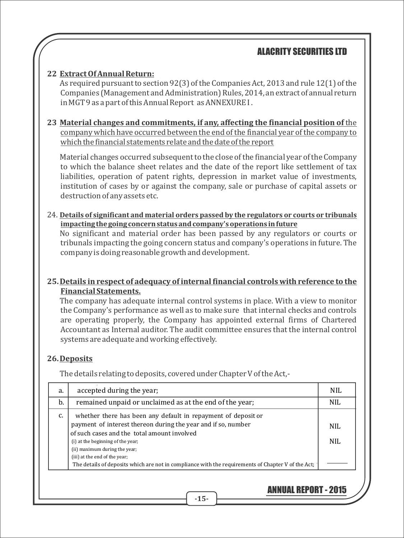ANNUAL REPORT - 2015

# **22 Extract Of Annual Return:**

As required pursuant to section 92(3) of the Companies Act, 2013 and rule 12(1) of the Companies (Management and Administration) Rules, 2014, an extract of annual return in MGT 9 as a part of this Annual Report as ANNEXURE I .

#### **23 Material changes and commitments, if any, affecting the financial position of** the company which have occurred between the end of the financial year of the company to which the financial statements relate and the date of the report

Material changes occurred subsequent to the close of the financial year of the Company to which the balance sheet relates and the date of the report like settlement of tax liabilities, operation of patent rights, depression in market value of investments, institution of cases by or against the company, sale or purchase of capital assets or destruction of any assets etc.

#### 24. **Details of significant and material orders passed by the regulators or courts or tribunals impacting the going concern status and company's operations in future**

No significant and material order has been passed by any regulators or courts or tribunals impacting the going concern status and company's operations in future. The company is doing reasonable growth and development.

# **25. Details in respect of adequacy of internal financial controls with reference to the Financial Statements.**

 The company has adequate internal control systems in place. With a view to monitor the Company's performance as well as to make sure that internal checks and controls are operating properly, the Company has appointed external firms of Chartered Accountant as Internal auditor. The audit committee ensures that the internal control systems are adequate and working effectively.

# **26. Deposits**

The details relating to deposits, covered under Chapter V of the Act,-

| a. | accepted during the year;                                                                                                                                                                                                                                                                                                                                                                  | <b>NIL</b>         |
|----|--------------------------------------------------------------------------------------------------------------------------------------------------------------------------------------------------------------------------------------------------------------------------------------------------------------------------------------------------------------------------------------------|--------------------|
| b. | remained unpaid or unclaimed as at the end of the year;                                                                                                                                                                                                                                                                                                                                    | <b>NIL</b>         |
| c. | whether there has been any default in repayment of deposit or<br>payment of interest thereon during the year and if so, number<br>of such cases and the total amount involved<br>(i) at the beginning of the year;<br>(ii) maximum during the year;<br>(iii) at the end of the year;<br>The details of deposits which are not in compliance with the requirements of Chapter V of the Act; | NII.<br><b>NIL</b> |

**-15-**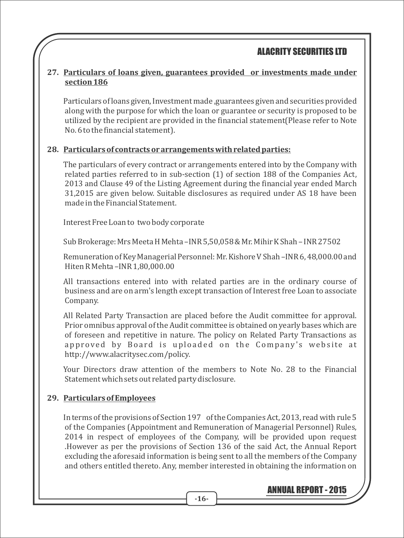ANNUAL REPORT - 2015

#### **27. Particulars of loans given, guarantees provided or investments made under section 186**

Particulars of loans given, Investment made ,guarantees given and securities provided along with the purpose for which the loan or guarantee or security is proposed to be utilized by the recipient are provided in the financial statement(Please refer to Note No. 6 to the financial statement).

#### **28. Particulars of contracts or arrangements with related parties:**

The particulars of every contract or arrangements entered into by the Company with related parties referred to in sub-section (1) of section 188 of the Companies Act, 2013 and Clause 49 of the Listing Agreement during the financial year ended March 31,2015 are given below. Suitable disclosures as required under AS 18 have been made in the Financial Statement.

Interest Free Loan to two body corporate

Sub Brokerage: Mrs Meeta H Mehta –INR 5,50,058 & Mr. Mihir K Shah – INR 27502

Remuneration of Key Managerial Personnel: Mr. Kishore V Shah –INR 6, 48,000.00 and Hiten R Mehta –INR 1,80,000.00

All transactions entered into with related parties are in the ordinary course of business and are on arm's length except transaction of Interest free Loan to associate Company.

 All Related Party Transaction are placed before the Audit committee for approval. Prior omnibus approval of the Audit committee is obtained on yearly bases which are of foreseen and repetitive in nature. The policy on Related Party Transactions as approved by Board is uploaded on the Company's website at http://www.alacritysec.com/policy.

Your Directors draw attention of the members to Note No. 28 to the Financial Statement which sets out related party disclosure.

#### **29. Particulars of Employees**

In terms of the provisions of Section 197 of the Companies Act, 2013, read with rule 5 of the Companies (Appointment and Remuneration of Managerial Personnel) Rules, 2014 in respect of employees of the Company, will be provided upon request .However as per the provisions of Section 136 of the said Act, the Annual Report excluding the aforesaid information is being sent to all the members of the Company and others entitled thereto. Any, member interested in obtaining the information on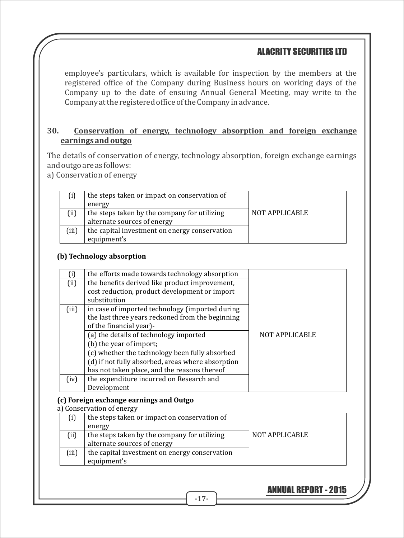employee's particulars, which is available for inspection by the members at the registered office of the Company during Business hours on working days of the Company up to the date of ensuing Annual General Meeting, may write to the Company at the registered office of the Company in advance.

#### **30. Conservation of energy, technology absorption and foreign exchange earnings and outgo**

The details of conservation of energy, technology absorption, foreign exchange earnings and outgo are as follows:

a) Conservation of energy

| (i)   | the steps taken or impact on conservation of                                |                       |
|-------|-----------------------------------------------------------------------------|-----------------------|
|       | energy                                                                      |                       |
| (i)   | the steps taken by the company for utilizing<br>alternate sources of energy | <b>NOT APPLICABLE</b> |
| (iii) | the capital investment on energy conservation<br>equipment's                |                       |

#### **(b) Technology absorption**

|       | the efforts made towards technology absorption    |                       |  |
|-------|---------------------------------------------------|-----------------------|--|
| (ii)  | the benefits derived like product improvement,    |                       |  |
|       | cost reduction, product development or import     |                       |  |
|       | substitution                                      |                       |  |
| (iii) | in case of imported technology (imported during   |                       |  |
|       | the last three years reckoned from the beginning  |                       |  |
|       | of the financial year)-                           |                       |  |
|       | (a) the details of technology imported            | <b>NOT APPLICABLE</b> |  |
|       | (b) the year of import;                           |                       |  |
|       | (c) whether the technology been fully absorbed    |                       |  |
|       | (d) if not fully absorbed, areas where absorption |                       |  |
|       | has not taken place, and the reasons thereof      |                       |  |
| (iv)  | the expenditure incurred on Research and          |                       |  |
|       | Development                                       |                       |  |

#### **(c) Foreign exchange earnings and Outgo**

|        | a) Conservation of energy                     |                |
|--------|-----------------------------------------------|----------------|
| (i)    | the steps taken or impact on conservation of  |                |
| energy |                                               |                |
| (ii)   | the steps taken by the company for utilizing  | NOT APPLICABLE |
|        | alternate sources of energy                   |                |
| (iii)  | the capital investment on energy conservation |                |
|        | equipment's                                   |                |

ANNUAL REPORT - 2015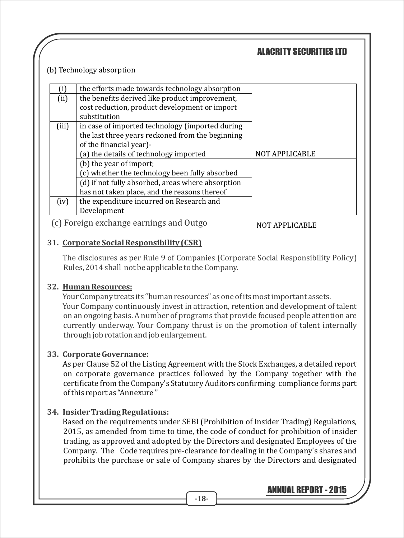(b) Technology absorption

|       | the efforts made towards technology absorption                                                                                 |                       |
|-------|--------------------------------------------------------------------------------------------------------------------------------|-----------------------|
| (ii)  | the benefits derived like product improvement,<br>cost reduction, product development or import                                |                       |
|       | substitution                                                                                                                   |                       |
| (iii) | in case of imported technology (imported during<br>the last three years reckoned from the beginning<br>of the financial year)- |                       |
|       | (a) the details of technology imported                                                                                         | <b>NOT APPLICABLE</b> |
|       | b) the year of import;                                                                                                         |                       |
|       | (c) whether the technology been fully absorbed                                                                                 |                       |
|       | (d) if not fully absorbed, areas where absorption                                                                              |                       |
|       | has not taken place, and the reasons thereof                                                                                   |                       |
| (iv)  | the expenditure incurred on Research and                                                                                       |                       |
|       | Development                                                                                                                    |                       |

(c) Foreign exchange earnings and Outgo NOT APPLICABLE

ANNUAL REPORT - 2015

# **31. Corporate Social Responsibility (CSR)**

The disclosures as per Rule 9 of Companies (Corporate Social Responsibility Policy) Rules, 2014 shall not be applicable to the Company.

# **32. Human Resources:**

Your Company treats its "human resources" as one of its most important assets. Your Company continuously invest in attraction, retention and development of talent on an ongoing basis. A number of programs that provide focused people attention are currently underway. Your Company thrust is on the promotion of talent internally through job rotation and job enlargement.

# **33. Corporate Governance:**

As per Clause 52 of the Listing Agreement with the Stock Exchanges, a detailed report on corporate governance practices followed by the Company together with the certificate from the Company's Statutory Auditors confirming compliance forms part of this report as "Annexure "

# **34. Insider Trading Regulations:**

Based on the requirements under SEBI (Prohibition of Insider Trading) Regulations, 2015, as amended from time to time, the code of conduct for prohibition of insider trading, as approved and adopted by the Directors and designated Employees of the Company. The Code requires pre-clearance for dealing in the Company's shares and prohibits the purchase or sale of Company shares by the Directors and designated

**-18-**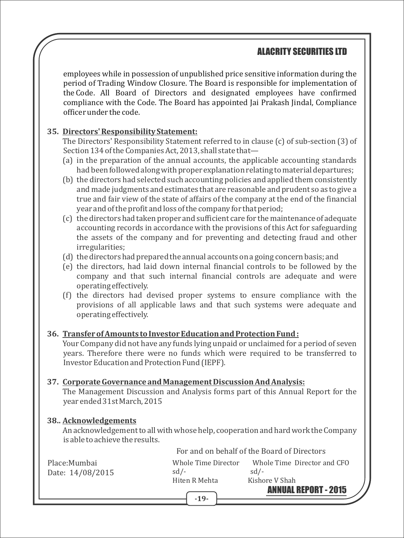employees while in possession of unpublished price sensitive information during the period of Trading Window Closure. The Board is responsible for implementation of the Code. All Board of Directors and designated employees have confirmed compliance with the Code. The Board has appointed Jai Prakash Jindal, Compliance officer under the code.

#### **35. Directors' Responsibility Statement:**

The Directors' Responsibility Statement referred to in clause (c) of sub-section (3) of Section 134 of the Companies Act, 2013, shall state that—

- (a) in the preparation of the annual accounts, the applicable accounting standards had been followed along with proper explanation relating to material departures;
- (b) the directors had selected such accounting policies and applied them consistently and made judgments and estimates that are reasonable and prudent so as to give a true and fair view of the state of affairs of the company at the end of the financial year and of the profit and loss of the company for that period;
- (c) the directors had taken proper and sufficient care for the maintenance of adequate accounting records in accordance with the provisions of this Act for safeguarding the assets of the company and for preventing and detecting fraud and other irregularities;
- (d) the directors had prepared the annual accounts on a going concern basis; and
- (e) the directors, had laid down internal financial controls to be followed by the company and that such internal financial controls are adequate and were operating effectively.
- (f) the directors had devised proper systems to ensure compliance with the provisions of all applicable laws and that such systems were adequate and operating effectively.

# **36. Transfer of Amounts to Investor Education and Protection Fund :**

Your Company did not have any funds lying unpaid or unclaimed for a period of seven years. Therefore there were no funds which were required to be transferred to Investor Education and Protection Fund (IEPF).

#### **37. Corporate Governance and Management Discussion And Analysis:**

The Management Discussion and Analysis forms part of this Annual Report for the year ended 31st March, 2015

#### **38.. Acknowledgements**

An acknowledgement to all with whose help, cooperation and hard work the Company is able to achieve the results.

|                                   |                                | For and on behalf of the Board of Directors |
|-----------------------------------|--------------------------------|---------------------------------------------|
| Place: Mumbai<br>Date: 14/08/2015 | Whole Time Director<br>$sd/$ - | Whole Time Director and CFO<br>$sd/-$       |
|                                   | Hiten R Mehta                  | Kishore V Shah                              |
|                                   |                                | <b>ANNUAL REPORT - 2015</b>                 |
|                                   | $-19-$                         |                                             |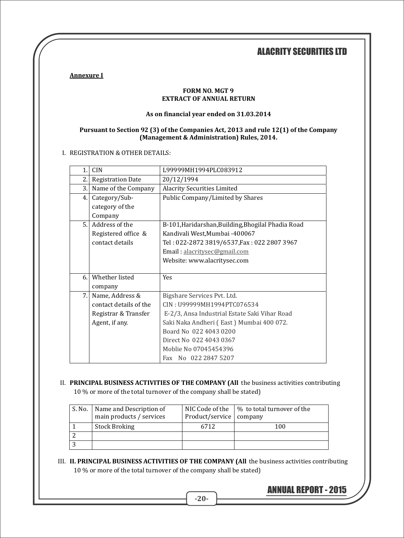ANNUAL REPORT - 2015

**Annexure I** 

#### **FORM NO. MGT 9 EXTRACT OF ANNUAL RETURN**

#### **As on financial year ended on 31.03.2014**

#### **Pursuant to Section 92 (3) of the Companies Act, 2013 and rule 12(1) of the Company (Management & Administration) Rules, 2014.**

#### I. REGISTRATION & OTHER DETAILS:

| 1. | <b>CIN</b>               | L99999MH1994PLC083912                              |  |
|----|--------------------------|----------------------------------------------------|--|
| 2. | <b>Registration Date</b> | 20/12/1994                                         |  |
| 3. | Name of the Company      | <b>Alacrity Securities Limited</b>                 |  |
| 4. | Category/Sub-            | Public Company/Limited by Shares                   |  |
|    | category of the          |                                                    |  |
|    | Company                  |                                                    |  |
| 5. | Address of the           | B-101, Haridarshan, Building, Bhogilal Phadia Road |  |
|    | Registered office &      | Kandivali West, Mumbai -400067                     |  |
|    | contact details          | Tel: 022-2872 3819/6537, Fax: 022 2807 3967        |  |
|    |                          | Email: alacritysec@gmail.com                       |  |
|    |                          | Website: www.alacritysec.com                       |  |
|    |                          |                                                    |  |
| 6. | Whether listed           | <b>Yes</b>                                         |  |
|    | company                  |                                                    |  |
| 7. | Name, Address &          | Bigshare Services Pvt. Ltd.                        |  |
|    | contact details of the   | CIN: U99999MH1994PTC076534                         |  |
|    | Registrar & Transfer     | E-2/3, Ansa Industrial Estate Saki Vihar Road      |  |
|    | Agent, if any.           | Saki Naka Andheri (East) Mumbai 400 072.           |  |
|    |                          | Board No. 022 4043 0200                            |  |
|    |                          | Direct No. 022 4043 0367                           |  |
|    |                          | Moblie No 07045454396                              |  |
|    |                          | Fax No 022 2847 5207                               |  |

#### II. **PRINCIPAL BUSINESS ACTIVITIES OF THE COMPANY (All** the business activities contributing 10 % or more of the total turnover of the company shall be stated)

| S. No. | Name and Description of  |                           | NIC Code of the $\frac{1}{6}$ to total turnover of the |
|--------|--------------------------|---------------------------|--------------------------------------------------------|
|        | main products / services | Product/service   company |                                                        |
|        | <b>Stock Broking</b>     | 6712                      | 100                                                    |
|        |                          |                           |                                                        |
|        |                          |                           |                                                        |

#### III. **II. PRINCIPAL BUSINESS ACTIVITIES OF THE COMPANY (All** the business activities contributing 10 % or more of the total turnover of the company shall be stated)

**-20-**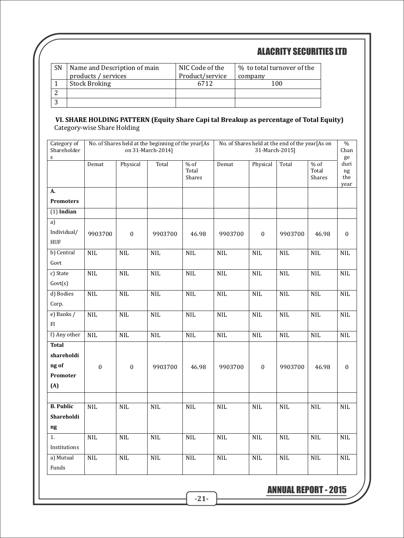| SN | Name and Description of main | NIC Code of the | % to total turnover of the |
|----|------------------------------|-----------------|----------------------------|
|    | products / services          | Product/service | company                    |
|    | <b>Stock Broking</b>         | 6712            | 100                        |
|    |                              |                 |                            |
|    |                              |                 |                            |

#### **VI. SHARE HOLDING PATTERN (Equity Share Capi tal Breakup as percentage of Total Equity)** Category-wise Share Holding

| Category of<br>Shareholder                             |                         |                  | No. of Shares held at the beginning of the year[As]<br>on 31-March-2014] |                                                |            | 31-March-2015]   | No. of Shares held at the end of the year[As on |                           | $\frac{0}{6}$<br>Chan           |
|--------------------------------------------------------|-------------------------|------------------|--------------------------------------------------------------------------|------------------------------------------------|------------|------------------|-------------------------------------------------|---------------------------|---------------------------------|
| S                                                      | Demat                   | Physical         | Total                                                                    | $\overline{\frac{9}{6}}$ of<br>Total<br>Shares | Demat      | Physical         | Total                                           | $%$ of<br>Total<br>Shares | ge<br>duri<br>ng<br>the<br>year |
| А.                                                     |                         |                  |                                                                          |                                                |            |                  |                                                 |                           |                                 |
| <b>Promoters</b>                                       |                         |                  |                                                                          |                                                |            |                  |                                                 |                           |                                 |
| $(1)$ Indian                                           |                         |                  |                                                                          |                                                |            |                  |                                                 |                           |                                 |
| a)                                                     |                         |                  |                                                                          |                                                |            |                  |                                                 |                           |                                 |
| Individual/<br>HUF                                     | 9903700                 | $\pmb{0}$        | 9903700                                                                  | 46.98                                          | 9903700    | $\boldsymbol{0}$ | 9903700                                         | 46.98                     | $\bf{0}$                        |
| b) Central<br>Govt                                     | $\overline{\text{NIL}}$ | $\rm NIL$        | NIL                                                                      | NIL                                            | NIL        | NIL              | $\overline{\text{NIL}}$                         | NIL                       | NIL                             |
| c) State<br>Govt(s)                                    | $\rm NIL$               | NIL              | $\rm NIL$                                                                | NIL                                            | $\rm NIL$  | $\rm NIL$        | <b>NIL</b>                                      | NIL                       | <b>NIL</b>                      |
| d) Bodies                                              | $\overline{NIL}$        | $\rm NIL$        | $\overline{\text{NIL}}$                                                  | $\rm NIL$                                      | NIL        | NIL              | $\rm NIL$                                       | NIL                       | NIL                             |
| Corp.                                                  |                         |                  |                                                                          |                                                |            |                  |                                                 |                           |                                 |
| e) Banks /<br>FI                                       | $\rm NIL$               | $\rm NIL$        | $\rm NIL$                                                                | $\rm NIL$                                      | $\rm NIL$  | $\rm NIL$        | $\rm NIL$                                       | $\rm NIL$                 | NIL                             |
| f) Any other                                           | NIL                     | NIL              | <b>NIL</b>                                                               | NIL                                            | $\rm NIL$  | NIL              | NIL                                             | $\rm NIL$                 | NIL                             |
| <b>Total</b><br>shareholdi<br>ng of<br>Promoter<br>(A) | $\pmb{0}$               | $\boldsymbol{0}$ | 9903700                                                                  | 46.98                                          | 9903700    | $\boldsymbol{0}$ | 9903700                                         | 46.98                     | $\boldsymbol{0}$                |
| <b>B.</b> Public<br>Shareholdi<br>ng                   | <b>NIL</b>              | NIL              | $\rm NIL$                                                                | $\rm NIL$                                      | <b>NIL</b> | $\rm NIL$        | <b>NIL</b>                                      | $\rm NIL$                 | <b>NIL</b>                      |
| 1.<br>Institutions                                     | $\rm NIL$               | $\rm NIL$        | $\overline{\text{NIL}}$                                                  | $\rm NIL$                                      | <b>NIL</b> | <b>NIL</b>       | <b>NIL</b>                                      | <b>NIL</b>                | <b>NIL</b>                      |
| a) Mutual<br>Funds                                     | $\rm NIL$               | $\rm NIL$        | $\rm NIL$                                                                | $\rm NIL$                                      | $\rm NIL$  | $\rm NIL$        | <b>NIL</b>                                      | $\rm NIL$                 | NIL                             |

ANNUAL REPORT - 2015

**-21-**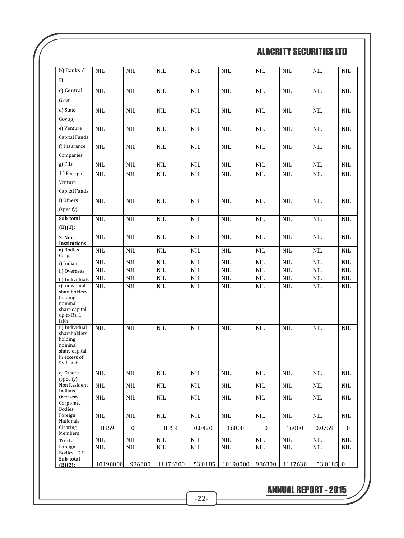| b) Banks /                                                                                         | <b>NIL</b> | <b>NIL</b>       | NIL        | <b>NIL</b> | <b>NIL</b> | <b>NIL</b>       | <b>NIL</b> | <b>NIL</b> | $\rm NIL$      |
|----------------------------------------------------------------------------------------------------|------------|------------------|------------|------------|------------|------------------|------------|------------|----------------|
| FI                                                                                                 |            |                  |            |            |            |                  |            |            |                |
| c) Central                                                                                         | <b>NIL</b> | NIL              | <b>NIL</b> | NIL        | <b>NIL</b> | $\rm NIL$        | NIL        | <b>NIL</b> | <b>NIL</b>     |
| Govt                                                                                               |            |                  |            |            |            |                  |            |            |                |
| d) State                                                                                           | NIL        | NIL              | <b>NIL</b> | NIL        | <b>NIL</b> | <b>NIL</b>       | NIL        | NIL        | <b>NIL</b>     |
| Govt(s)                                                                                            |            |                  |            |            |            |                  |            |            |                |
| e) Venture                                                                                         | NIL        | NIL              | NIL        | NIL        | <b>NIL</b> | <b>NIL</b>       | NIL        | NIL        | <b>NIL</b>     |
| Capital Funds                                                                                      |            |                  |            |            |            |                  |            |            |                |
| f) Insurance                                                                                       | <b>NIL</b> | NIL              | <b>NIL</b> | <b>NIL</b> | <b>NIL</b> | <b>NIL</b>       | <b>NIL</b> | NIL        | NIL            |
| Companies                                                                                          |            |                  |            |            |            |                  |            |            |                |
| g) FIIs                                                                                            | <b>NIL</b> | <b>NIL</b>       | <b>NIL</b> | <b>NIL</b> | <b>NIL</b> | <b>NIL</b>       | <b>NIL</b> | <b>NIL</b> | NIL            |
| h) Foreign                                                                                         | <b>NIL</b> | $\rm NIL$        | $\rm NIL$  | $\rm NIL$  | NIL        | $\rm NIL$        | $\rm NIL$  | $\rm NIL$  | $\rm NIL$      |
| Venture                                                                                            |            |                  |            |            |            |                  |            |            |                |
| Capital Funds                                                                                      |            |                  |            |            |            |                  |            |            |                |
| i) Others                                                                                          | <b>NIL</b> | <b>NIL</b>       | NIL        | NIL        | NIL        | NIL              | <b>NIL</b> | <b>NIL</b> | NIL            |
| (specify)                                                                                          |            |                  |            |            |            |                  |            |            |                |
| Sub total                                                                                          | <b>NIL</b> | $\rm NIL$        | <b>NIL</b> | <b>NIL</b> | NIL        | NIL              | <b>NIL</b> | $\rm NIL$  | <b>NIL</b>     |
| $(B)(1)$ :                                                                                         |            |                  |            |            |            |                  |            |            |                |
| 2. Non<br>Institutions                                                                             | <b>NIL</b> | $\rm NIL$        | $\rm NIL$  | $\rm NIL$  | <b>NIL</b> | $\rm NIL$        | $\rm NIL$  | <b>NIL</b> | <b>NIL</b>     |
| a) Bodies                                                                                          | <b>NIL</b> | <b>NIL</b>       | $\rm NIL$  | $\rm NIL$  | NIL        | NIL              | $\rm NIL$  | NIL        | $\textsf{NIL}$ |
| Corp.<br>i) Indian                                                                                 | <b>NIL</b> | <b>NIL</b>       | <b>NIL</b> | <b>NIL</b> | <b>NIL</b> | <b>NIL</b>       | <b>NIL</b> | <b>NIL</b> | <b>NIL</b>     |
| ii) Overseas                                                                                       | <b>NIL</b> | <b>NIL</b>       | <b>NIL</b> | <b>NIL</b> | <b>NIL</b> | <b>NIL</b>       | <b>NIL</b> | <b>NIL</b> | NIL            |
| b) Individuals                                                                                     | <b>NIL</b> | <b>NIL</b>       | <b>NIL</b> | <b>NIL</b> | <b>NIL</b> | <b>NIL</b>       | <b>NIL</b> | <b>NIL</b> | <b>NIL</b>     |
| i) Individual<br>shareholders<br>holding<br>nominal<br>share capital<br>up to Rs. 1<br>lakh        | <b>NIL</b> | <b>NIL</b>       | <b>NIL</b> | <b>NIL</b> | NIL        | <b>NIL</b>       | NIL        | $\rm NIL$  | <b>NIL</b>     |
| ii) Individual<br>shareholders<br>holding<br>nominal<br>share capital<br>in excess of<br>Rs 1 lakh | NIL        | <b>NIL</b>       | <b>NIL</b> | NIL        | <b>NIL</b> | <b>NIL</b>       | <b>NIL</b> | <b>NIL</b> | <b>NIL</b>     |
| c) Others<br>(specify)                                                                             | NIL        | NIL              | NIL        | NIL        | <b>NIL</b> | NIL              | NIL        | NIL        | <b>NIL</b>     |
| Non Resident<br>Indians                                                                            | <b>NIL</b> | <b>NIL</b>       | $\rm NIL$  | NIL        | $\rm NIL$  | <b>NIL</b>       | <b>NIL</b> | <b>NIL</b> | <b>NIL</b>     |
| Overseas<br>Corporate<br><b>Bodies</b>                                                             | <b>NIL</b> | <b>NIL</b>       | <b>NIL</b> | <b>NIL</b> | <b>NIL</b> | <b>NIL</b>       | <b>NIL</b> | <b>NIL</b> | NIL            |
| Foreign<br>Nationals                                                                               | NIL        | <b>NIL</b>       | <b>NIL</b> | NIL        | <b>NIL</b> | <b>NIL</b>       | <b>NIL</b> | <b>NIL</b> | <b>NIL</b>     |
| Clearing<br>Members                                                                                | 8859       | $\boldsymbol{0}$ | 8859       | 0.0420     | 16000      | $\boldsymbol{0}$ | 16000      | 0.0759     | $\mathbf{0}$   |
| Trusts                                                                                             | <b>NIL</b> | <b>NIL</b>       | NIL        | <b>NIL</b> | <b>NIL</b> | <b>NIL</b>       | <b>NIL</b> | <b>NIL</b> | <b>NIL</b>     |
| Foreign<br>Bodies - DR                                                                             | <b>NIL</b> | $\rm NIL$        | $\rm NIL$  | $\rm NIL$  | <b>NIL</b> | $\rm NIL$        | $\rm NIL$  | $\rm NIL$  | $\rm NIL$      |
| Sub total<br>$(B)(2)$ :                                                                            | 10190000   | 986300           | 11176300   | 53.0185    | 10190000   | 986300           | 1117630    | 53.0185 0  |                |

ANNUAL REPORT - 2015

**-22-**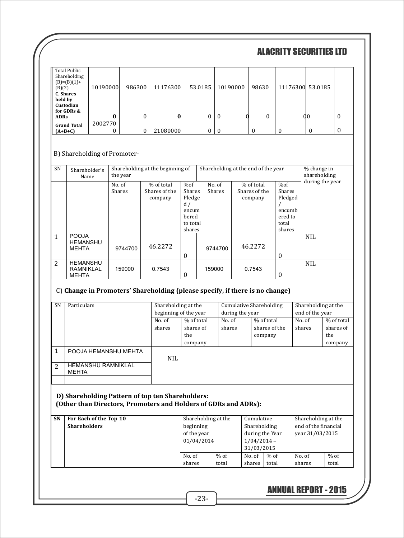|                                      | <b>Total Public</b><br>Shareholding<br>$(B)=(B)(1)+$                     |          |                                                                                                                     |   |                                                                                       |                                                                                        |                  |                  |                 |                                                                                                  |                                                                                  |                  |                                                                            |                                            |
|--------------------------------------|--------------------------------------------------------------------------|----------|---------------------------------------------------------------------------------------------------------------------|---|---------------------------------------------------------------------------------------|----------------------------------------------------------------------------------------|------------------|------------------|-----------------|--------------------------------------------------------------------------------------------------|----------------------------------------------------------------------------------|------------------|----------------------------------------------------------------------------|--------------------------------------------|
| (B)(2)<br>held by                    | <b>C.</b> Shares<br>Custodian                                            | 10190000 | 986300                                                                                                              |   | 11176300                                                                              | 53.0185                                                                                |                  | 10190000         |                 | 98630                                                                                            |                                                                                  |                  | 11176300 53.0185                                                           |                                            |
| <b>ADRs</b>                          | for GDRs &                                                               |          | $\bf{0}$                                                                                                            | 0 | 0                                                                                     |                                                                                        | 0                | 0                | 0               | $\mathbf{0}$                                                                                     |                                                                                  | 00               |                                                                            | 0                                          |
|                                      | <b>Grand Total</b><br>$(A+B+C)$                                          | 2002770  | $\mathbf{0}$                                                                                                        | 0 | 21080000                                                                              |                                                                                        | $\boldsymbol{0}$ | $\boldsymbol{0}$ |                 | $\boldsymbol{0}$                                                                                 | 0                                                                                |                  | $\bf{0}$                                                                   | 0                                          |
| <b>SN</b><br>$\mathbf{1}$            | Shareholder's<br>Name<br><b>POOJA</b><br><b>HEMANSHU</b><br><b>MEHTA</b> |          | B) Shareholding of Promoter-<br>the year<br>No. of<br>Shares<br>9744700                                             |   | Shareholding at the beginning of<br>% of total<br>Shares of the<br>company<br>46.2272 | %of<br>Shares<br>Pledge<br>d /<br>encum<br>bered<br>to total<br>shares<br>$\mathbf{0}$ | No. of<br>Shares | 9744700          |                 | Shareholding at the end of the year<br>% of total<br>Shares of the<br>company<br>46.2272         | %of<br>Shares<br>Pledged<br>encumb<br>ered to<br>total<br>shares<br>$\mathbf{0}$ |                  | % change in<br>shareholding<br>during the year<br><b>NIL</b><br><b>NIL</b> |                                            |
|                                      | <b>HEMANSHU</b><br><b>RAMNIKLAL</b>                                      |          | 159000                                                                                                              |   | 0.7543                                                                                |                                                                                        | 159000           |                  |                 | 0.7543                                                                                           |                                                                                  |                  |                                                                            |                                            |
|                                      | <b>MEHTA</b>                                                             |          | C) Change in Promoters' Shareholding (please specify, if there is no change)                                        |   |                                                                                       | $\Omega$                                                                               |                  |                  |                 |                                                                                                  | 0                                                                                |                  |                                                                            |                                            |
|                                      | Particulars                                                              |          |                                                                                                                     |   | Shareholding at the<br>beginning of the year                                          |                                                                                        |                  |                  | during the year | <b>Cumulative Shareholding</b>                                                                   |                                                                                  |                  | Shareholding at the<br>end of the year                                     |                                            |
|                                      |                                                                          |          |                                                                                                                     |   | No. of<br>shares                                                                      | % of total<br>shares of<br>the                                                         |                  | No. of<br>shares |                 | % of total<br>shares of the<br>company                                                           |                                                                                  | No. of<br>shares |                                                                            | the                                        |
|                                      |                                                                          |          | POOJA HEMANSHU MEHTA                                                                                                |   |                                                                                       | company                                                                                |                  |                  |                 |                                                                                                  |                                                                                  |                  |                                                                            |                                            |
|                                      | <b>MEHTA</b>                                                             |          | <b>HEMANSHU RAMNIKLAL</b>                                                                                           |   | <b>NIL</b>                                                                            |                                                                                        |                  |                  |                 |                                                                                                  |                                                                                  |                  |                                                                            |                                            |
|                                      |                                                                          |          | D) Shareholding Pattern of top ten Shareholders:<br>(Other than Directors, Promoters and Holders of GDRs and ADRs): |   |                                                                                       |                                                                                        |                  |                  |                 |                                                                                                  |                                                                                  |                  |                                                                            |                                            |
| $\overline{2}$<br>SN<br>1<br>2<br>SN | For Each of the Top 10<br><b>Shareholders</b>                            |          |                                                                                                                     |   |                                                                                       | Shareholding at the<br>beginning<br>of the year<br>01/04/2014<br>No. of                |                  | $%$ of           |                 | Cumulative<br>Shareholding<br>during the Year<br>$1/04/2014 -$<br>31/03/2015<br>No. of<br>$%$ of |                                                                                  | No. of           | Shareholding at the<br>end of the financial<br>year 31/03/2015             | % of total<br>shares of<br>company<br>% of |

**-23-**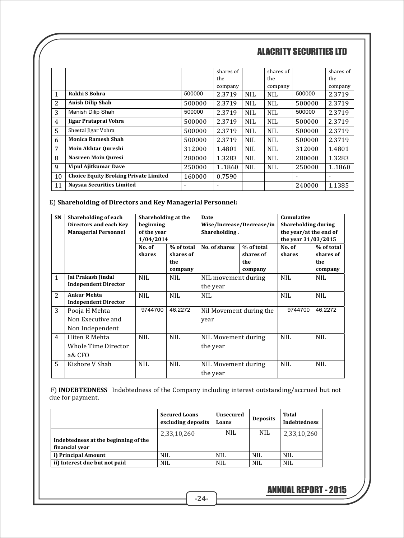ANNUAL REPORT - 2015

|                |                                              |        | shares of |            | shares of  |                          | shares of                |
|----------------|----------------------------------------------|--------|-----------|------------|------------|--------------------------|--------------------------|
|                |                                              |        | the       |            | the        |                          | the                      |
|                |                                              |        | company   |            | company    |                          | company                  |
| $\mathbf{1}$   | Rakhi S Bohra                                | 500000 | 2.3719    | <b>NIL</b> | <b>NIL</b> | 500000                   | 2.3719                   |
| 2              | <b>Anish Dilip Shah</b>                      | 500000 | 2.3719    | <b>NIL</b> | <b>NIL</b> | 500000                   | 2.3719                   |
| 3              | Manish Dilip Shah                            | 500000 | 2.3719    | <b>NIL</b> | <b>NIL</b> | 500000                   | 2.3719                   |
| $\overline{4}$ | Jigar Prataprai Vohra                        | 500000 | 2,3719    | <b>NIL</b> | <b>NIL</b> | 500000                   | 2.3719                   |
| 5              | Sheetal Jigar Vohra                          | 500000 | 2.3719    | <b>NIL</b> | <b>NIL</b> | 500000                   | 2.3719                   |
| 6              | <b>Monica Ramesh Shah</b>                    | 500000 | 2.3719    | <b>NIL</b> | <b>NIL</b> | 500000                   | 2.3719                   |
| 7              | Moin Akhtar Qureshi                          | 312000 | 1.4801    | <b>NIL</b> | <b>NIL</b> | 312000                   | 1.4801                   |
| 8              | Nasreen Moin Quresi                          | 280000 | 1.3283    | <b>NIL</b> | <b>NIL</b> | 280000                   | 1.3283                   |
| 9              | <b>Vipul Ajitkumar Dave</b>                  | 250000 | 1.1860    | <b>NIL</b> | <b>NIL</b> | 250000                   | 1.1860                   |
| 10             | <b>Choice Equity Broking Private Limited</b> | 160000 | 0.7590    |            |            | $\overline{\phantom{a}}$ | $\overline{\phantom{a}}$ |
| 11             | Naysaa Securities Limited                    |        |           |            |            | 240000                   | 1.1385                   |

#### E) **Shareholding of Directors and Key Managerial Personnel:**

| SN             | Shareholding of each        | Shareholding at the |            | Date                      |            | <b>Cumulative</b>      |                            |  |
|----------------|-----------------------------|---------------------|------------|---------------------------|------------|------------------------|----------------------------|--|
|                | Directors and each Key      | beginning           |            | Wise/Increase/Decrease/in |            |                        | <b>Shareholding during</b> |  |
|                | <b>Managerial Personnel</b> | of the year         |            | Shareholding.             |            | the year/at the end of |                            |  |
|                |                             | 1/04/2014           |            |                           |            |                        | the year 31/03/2015        |  |
|                |                             | No. of              | % of total | No. of shares             | % of total | No. of                 | % of total                 |  |
|                |                             | shares              | shares of  |                           | shares of  | shares                 | shares of                  |  |
|                |                             |                     | the        |                           | the        |                        | the                        |  |
|                |                             |                     | company    |                           | company    |                        | company                    |  |
| $\mathbf{1}$   | Jai Prakash Jindal          | NIL.                | NIL.       | NIL movement during       |            | <b>NIL</b>             | NIL.                       |  |
|                | <b>Independent Director</b> |                     |            | the year                  |            |                        |                            |  |
| $\overline{2}$ | <b>Ankur Mehta</b>          | NIL.                | NIL.       | <b>NIL</b>                |            | <b>NIL</b>             | NIL.                       |  |
|                | <b>Independent Director</b> |                     |            |                           |            |                        |                            |  |
| 3              | Pooja H Mehta               | 9744700             | 46.2272    | Nil Movement during the   |            | 9744700                | 46.2272                    |  |
|                | Non Executive and           |                     |            | year                      |            |                        |                            |  |
|                | Non Independent             |                     |            |                           |            |                        |                            |  |
| $\overline{4}$ | Hiten R Mehta               | NIL.                | NIL.       | NIL Movement during       |            | <b>NIL</b>             | NIL.                       |  |
|                | Whole Time Director         |                     |            | the year                  |            |                        |                            |  |
|                | a& CFO                      |                     |            |                           |            |                        |                            |  |
| 5              | Kishore V Shah              | <b>NIL</b>          | <b>NIL</b> | NIL Movement during       |            | <b>NIL</b>             | NIL.                       |  |
|                |                             |                     |            | the year                  |            |                        |                            |  |

F) **INDEBTEDNESS** Indebtedness of the Company including interest outstanding/accrued but not due for payment.

|                                      | <b>Secured Loans</b><br>excluding deposits | <b>Unsecured</b><br>Loans | <b>Deposits</b> | Total<br>Indebtedness |
|--------------------------------------|--------------------------------------------|---------------------------|-----------------|-----------------------|
|                                      | 2,33,10,260                                | NIL.                      | <b>NIL</b>      | 2,33,10,260           |
| Indebtedness at the beginning of the |                                            |                           |                 |                       |
| financial year                       |                                            |                           |                 |                       |
| i) Principal Amount                  | NIL                                        | NII.                      | NIL             | NIL                   |
| ii) Interest due but not paid        | <b>NIL</b>                                 | NIL                       | <b>NIL</b>      | NIL                   |

**-24-**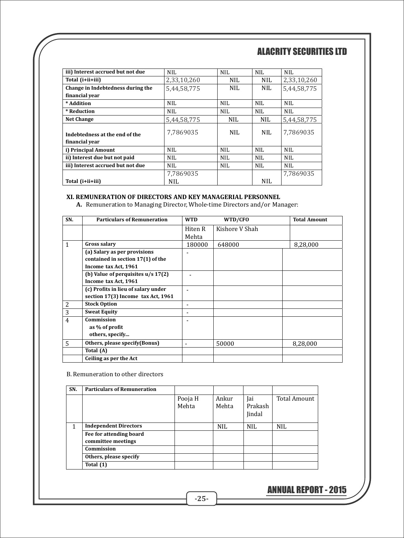| iii) Interest accrued but not due                | NIL.        | NII. | NIL.       | NIL.        |
|--------------------------------------------------|-------------|------|------------|-------------|
| Total (i+ii+iii)                                 | 2,33,10,260 | NIL. | NIL.       | 2,33,10,260 |
| Change in Indebtedness during the                | 5.44.58.775 | NIL. | NIL.       | 5.44.58.775 |
| financial year                                   |             |      |            |             |
| * Addition                                       | NIL.        | NII. | NIL.       | NIL.        |
| * Reduction                                      | NIL.        | NII. | NIL.       | NIL.        |
| <b>Net Change</b>                                | 5,44,58,775 | NIL. | <b>NIL</b> | 5,44,58,775 |
| Indebtedness at the end of the<br>financial year | 7.7869035   | NIL. | NIL.       | 7.7869035   |
| i) Principal Amount                              | NIL.        | NII. | NIL.       | NIL.        |
| ii) Interest due but not paid                    | NIL.        | NIL. | NIL.       | NIL.        |
| iii) Interest accrued but not due                | NIL.        | NII. | NIL.       | NIL.        |
|                                                  | 7.7869035   |      |            | 7.7869035   |
| Total (i+ii+iii)                                 | NIL.        |      | NIL.       |             |

#### **XI. REMUNERATION OF DIRECTORS AND KEY MANAGERIAL PERSONNEL**

**A.** Remuneration to Managing Director, Whole-time Directors and/or Manager:

| SN.            | <b>Particulars of Remuneration</b>   | <b>WTD</b> | WTD/CFO        | <b>Total Amount</b> |
|----------------|--------------------------------------|------------|----------------|---------------------|
|                |                                      | Hiten R    | Kishore V Shah |                     |
|                |                                      | Mehta      |                |                     |
| $\mathbf{1}$   | <b>Gross salary</b>                  | 180000     | 648000         | 8,28,000            |
|                | (a) Salary as per provisions         |            |                |                     |
|                | contained in section 17(1) of the    |            |                |                     |
|                | Income tax Act, 1961                 |            |                |                     |
|                | (b) Value of perquisites $u/s 17(2)$ |            |                |                     |
|                | Income tax Act, 1961                 |            |                |                     |
|                | (c) Profits in lieu of salary under  |            |                |                     |
|                | section 17(3) Income tax Act, 1961   |            |                |                     |
| 2              | <b>Stock Option</b>                  |            |                |                     |
| 3              | <b>Sweat Equity</b>                  |            |                |                     |
| $\overline{4}$ | Commission                           |            |                |                     |
|                | as % of profit                       |            |                |                     |
|                | others, specify                      |            |                |                     |
| 5              | Others, please specify(Bonus)        | ۰          | 50000          | 8,28,000            |
|                | Total (A)                            |            |                |                     |
|                | Ceiling as per the Act               |            |                |                     |

B. Remuneration to other directors

| SN. | <b>Particulars of Remuneration</b>            |                  |                |                          |                     |
|-----|-----------------------------------------------|------------------|----------------|--------------------------|---------------------|
|     |                                               | Pooja H<br>Mehta | Ankur<br>Mehta | Jai<br>Prakash<br>Jindal | <b>Total Amount</b> |
| 1   | <b>Independent Directors</b>                  |                  | NIL            | <b>NIL</b>               | <b>NIL</b>          |
|     | Fee for attending board<br>committee meetings |                  |                |                          |                     |
|     | Commission                                    |                  |                |                          |                     |
|     | Others, please specify                        |                  |                |                          |                     |
|     | Total (1)                                     |                  |                |                          |                     |

ANNUAL REPORT - 2015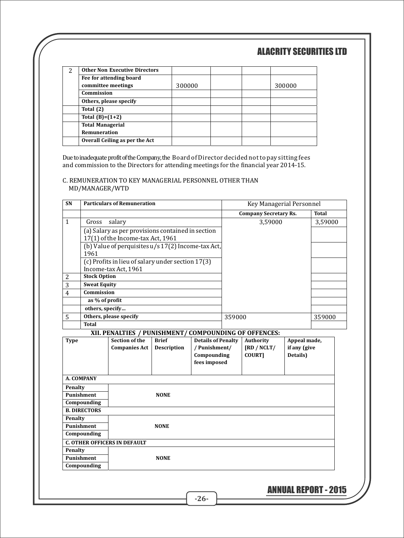| 2 | <b>Other Non Executive Directors</b> |        |  |        |
|---|--------------------------------------|--------|--|--------|
|   | Fee for attending board              |        |  |        |
|   | committee meetings                   | 300000 |  | 300000 |
|   | Commission                           |        |  |        |
|   | Others, please specify               |        |  |        |
|   | Total (2)                            |        |  |        |
|   | Total $(B)=(1+2)$                    |        |  |        |
|   | <b>Total Managerial</b>              |        |  |        |
|   | Remuneration                         |        |  |        |
|   | Overall Ceiling as per the Act       |        |  |        |
|   |                                      |        |  |        |

Due to inadequate profit of the Company, the Board of Director decided not to pay sitting fees and commission to the Directors for attending meetings for the inancial year 2014-15.

#### C. REMUNERATION TO KEY MANAGERIAL PERSONNEL OTHER THAN MD/MANAGER/WTD

| <b>SN</b>    | <b>Particulars of Remuneration</b>                                                     | Key Managerial Personnel     |         |
|--------------|----------------------------------------------------------------------------------------|------------------------------|---------|
|              |                                                                                        | <b>Company Secretary Rs.</b> | Total   |
| $\mathbf{1}$ | salary<br>Gross                                                                        | 3,59000                      | 3,59000 |
|              | (a) Salary as per provisions contained in section<br>17(1) of the Income-tax Act, 1961 |                              |         |
|              | (b) Value of perquisites u/s 17(2) Income-tax Act,<br>1961                             |                              |         |
|              | (c) Profits in lieu of salary under section 17(3)<br>Income-tax Act. 1961              |                              |         |
| 2            | <b>Stock Option</b>                                                                    |                              |         |
| 3            | <b>Sweat Equity</b>                                                                    |                              |         |
| 4            | Commission                                                                             |                              |         |
|              | as % of profit                                                                         |                              |         |
|              | others, specify                                                                        |                              |         |
| 5.           | Others, please specify                                                                 | 359000                       | 359000  |
|              | Total                                                                                  |                              |         |

#### **XII. PENALTIES / PUNISHMENT/ COMPOUNDING OF OFFENCES:**

| Type                                | <b>Section of the</b><br><b>Companies Act</b> | <b>Brief</b><br><b>Description</b> | <b>Details of Penalty</b><br>/ Punishment/<br>Compounding<br>fees imposed | Authority<br>[RD / NCLT/<br><b>COURT]</b> | Appeal made,<br>if any (give<br>Details) |  |
|-------------------------------------|-----------------------------------------------|------------------------------------|---------------------------------------------------------------------------|-------------------------------------------|------------------------------------------|--|
| A. COMPANY                          |                                               |                                    |                                                                           |                                           |                                          |  |
| Penalty                             |                                               |                                    |                                                                           |                                           |                                          |  |
| <b>Punishment</b>                   |                                               | <b>NONE</b>                        |                                                                           |                                           |                                          |  |
| Compounding                         |                                               |                                    |                                                                           |                                           |                                          |  |
| <b>B. DIRECTORS</b>                 |                                               |                                    |                                                                           |                                           |                                          |  |
| Penalty                             |                                               |                                    |                                                                           |                                           |                                          |  |
| <b>Punishment</b>                   |                                               | <b>NONE</b>                        |                                                                           |                                           |                                          |  |
| Compounding                         |                                               |                                    |                                                                           |                                           |                                          |  |
| <b>C. OTHER OFFICERS IN DEFAULT</b> |                                               |                                    |                                                                           |                                           |                                          |  |
| Penalty                             |                                               |                                    |                                                                           |                                           |                                          |  |
| Punishment                          |                                               | <b>NONE</b>                        |                                                                           |                                           |                                          |  |
| Compounding                         |                                               |                                    |                                                                           |                                           |                                          |  |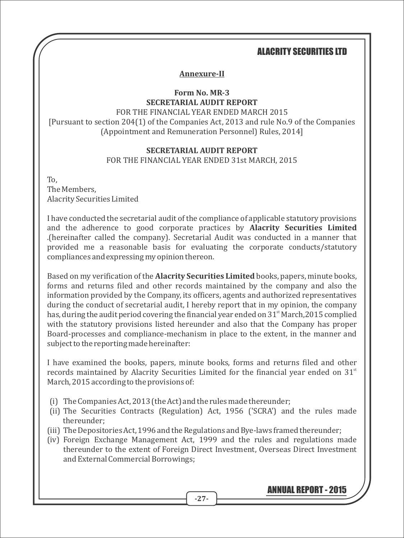ANNUAL REPORT - 2015

# **Annexure-II**

# **Form No. MR-3 SECRETARIAL AUDIT REPORT**

FOR THE FINANCIAL YEAR ENDED MARCH 2015 [Pursuant to section 204(1) of the Companies Act, 2013 and rule No.9 of the Companies (Appointment and Remuneration Personnel) Rules, 2014]

#### **SECRETARIAL AUDIT REPORT**

FOR THE FINANCIAL YEAR ENDED 31st MARCH, 2015

To,

The Members, Alacrity Securities Limited

I have conducted the secretarial audit of the compliance of applicable statutory provisions and the adherence to good corporate practices by **Alacrity Securities Limited** .(hereinafter called the company). Secretarial Audit was conducted in a manner that provided me a reasonable basis for evaluating the corporate conducts/statutory compliances and expressing my opinion thereon.

Based on my verification of the **Alacrity Securities Limited** books, papers, minute books, forms and returns filed and other records maintained by the company and also the information provided by the Company, its officers, agents and authorized representatives during the conduct of secretarial audit, I hereby report that in my opinion, the company has, during the audit period covering the financial year ended on 31 $^{\rm st}$  March,2015 complied with the statutory provisions listed hereunder and also that the Company has proper Board-processes and compliance-mechanism in place to the extent, in the manner and subject to the reporting made hereinafter:

I have examined the books, papers, minute books, forms and returns filed and other records maintained by Alacrity Securities Limited for the financial year ended on  $31<sup>st</sup>$ March, 2015 according to the provisions of:

- (i) The Companies Act, 2013 (the Act) and the rules made thereunder;
- (ii) The Securities Contracts (Regulation) Act, 1956 ('SCRA') and the rules made thereunder;
- (iii) The Depositories Act, 1996 and the Regulations and Bye-laws framed thereunder;
- (iv) Foreign Exchange Management Act, 1999 and the rules and regulations made thereunder to the extent of Foreign Direct Investment, Overseas Direct Investment and External Commercial Borrowings;

**-27-**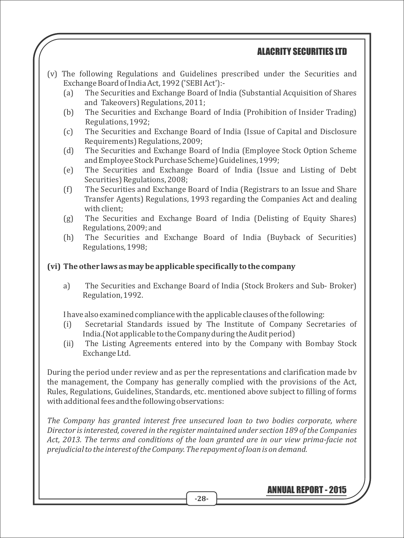ANNUAL REPORT - 2015

- (v) The following Regulations and Guidelines prescribed under the Securities and Exchange Board of India Act, 1992 ('SEBI Act'):-
	- (a) The Securities and Exchange Board of India (Substantial Acquisition of Shares and Takeovers) Regulations, 2011;
	- (b) The Securities and Exchange Board of India (Prohibition of Insider Trading) Regulations, 1992;
	- (c) The Securities and Exchange Board of India (Issue of Capital and Disclosure Requirements) Regulations, 2009;
	- (d) The Securities and Exchange Board of India (Employee Stock Option Scheme and Employee Stock Purchase Scheme) Guidelines, 1999;
	- (e) The Securities and Exchange Board of India (Issue and Listing of Debt Securities) Regulations, 2008;
	- (f) The Securities and Exchange Board of India (Registrars to an Issue and Share Transfer Agents) Regulations, 1993 regarding the Companies Act and dealing with client;
	- (g) The Securities and Exchange Board of India (Delisting of Equity Shares) Regulations, 2009; and
	- (h) The Securities and Exchange Board of India (Buyback of Securities) Regulations, 1998;

# **(vi) The other laws as may be applicable specifically to the company**

a) The Securities and Exchange Board of India (Stock Brokers and Sub- Broker) Regulation, 1992.

I have also examined compliance with the applicable clauses of the following:

- (i) Secretarial Standards issued by The Institute of Company Secretaries of India.(Not applicable to the Company during the Audit period)
- (ii) The Listing Agreements entered into by the Company with Bombay Stock Exchange Ltd.

During the period under review and as per the representations and clarification made bv the management, the Company has generally complied with the provisions of the Act, Rules, Regulations, Guidelines, Standards, etc. mentioned above subject to filling of forms with additional fees and the following observations:

*The Company has granted interest free unsecured loan to two bodies corporate, where Director is interested, covered in the register maintained under section 189 of the Companies Act, 2013. The terms and conditions of the loan granted are in our view primafacie not prejudicial to the interest of the Company. The repayment of loan is on demand.*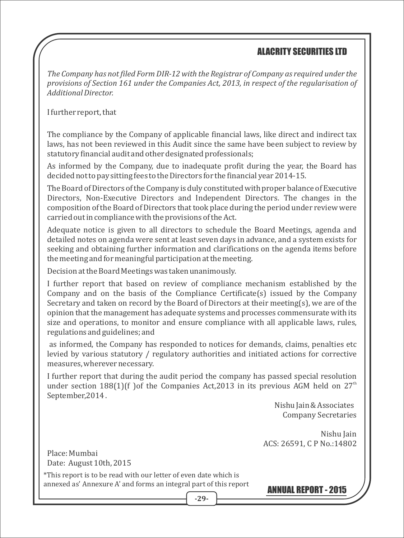*The Company has not filed Form DIR12 with the Registrar of Company as required under the provisions of Section 161 under the Companies Act, 2013, in respect of the regularisation of Additional Director.*

I further report, that

The compliance by the Company of applicable financial laws, like direct and indirect tax laws, has not been reviewed in this Audit since the same have been subject to review by statutory financial audit and other designated professionals;

As informed by the Company, due to inadequate profit during the year, the Board has decided not to pay sitting fees to the Directors for the financial year 2014-15.

The Board of Directors of the Company is duly constituted with proper balance of Executive Directors, Non-Executive Directors and Independent Directors. The changes in the composition of the Board of Directors that took place during the period under review were carried out in compliance with the provisions of the Act.

Adequate notice is given to all directors to schedule the Board Meetings, agenda and detailed notes on agenda were sent at least seven days in advance, and a system exists for seeking and obtaining further information and clarifications on the agenda items before the meeting and for meaningful participation at the meeting.

Decision at the Board Meetings was taken unanimously.

I further report that based on review of compliance mechanism established by the Company and on the basis of the Compliance Certificate $(s)$  issued by the Company Secretary and taken on record by the Board of Directors at their meeting(s), we are of the opinion that the management has adequate systems and processes commensurate with its size and operations, to monitor and ensure compliance with all applicable laws, rules, regulations and guidelines; and

as informed, the Company has responded to notices for demands, claims, penalties etc levied by various statutory / regulatory authorities and initiated actions for corrective measures, wherever necessary.

I further report that during the audit period the company has passed special resolution under section 188(1)(f )of the Companies Act,2013 in its previous AGM held on  $27^{\text{th}}$ September,2014 .

 Nishu Jain & Associates Company Secretaries

 Nishu Jain ACS: 26591, C P No.:14802

Place: Mumbai Date: August 10th, 2015

\*This report is to be read with our letter of even date which is annexed as' Annexure A' and forms an integral part of this report

ANNUAL REPORT - 2015

**-29-**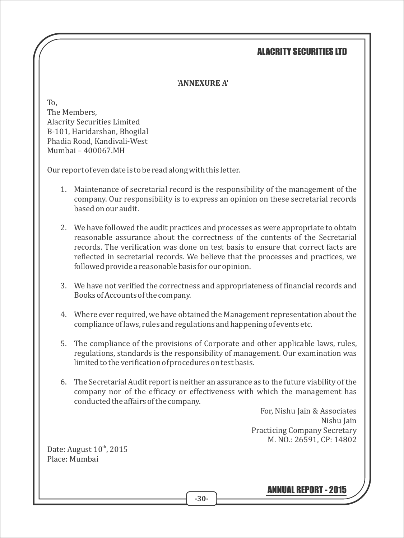#### **'ANNEXURE A'**

To, The Members, Alacrity Securities Limited B-101, Haridarshan, Bhogilal Phadia Road, Kandivali-West Mumbai – 400067.MH

Our report of even date is to be read along with this letter.

- 1. Maintenance of secretarial record is the responsibility of the management of the company. Our responsibility is to express an opinion on these secretarial records based on our audit.
- 2. We have followed the audit practices and processes as were appropriate to obtain reasonable assurance about the correctness of the contents of the Secretarial records. The verification was done on test basis to ensure that correct facts are reflected in secretarial records. We believe that the processes and practices, we followed provide a reasonable basis for our opinion.
- 3. We have not verified the correctness and appropriateness of financial records and Books of Accounts of the company.
- 4. Where ever required, we have obtained the Management representation about the compliance of laws, rules and regulations and happening of events etc.
- 5. The compliance of the provisions of Corporate and other applicable laws, rules, regulations, standards is the responsibility of management. Our examination was limited to the verification of procedures on test basis.
- 6. The Secretarial Audit report is neither an assurance as to the future viability of the company nor of the efficacy or effectiveness with which the management has conducted the affairs of the company.

For, Nishu Jain & Associates Nishu Jain Practicing Company Secretary M. NO.: 26591, CP: 14802

ANNUAL REPORT - 2015

Date: August  $10<sup>th</sup>$ , 2015 Place: Mumbai

**-30-**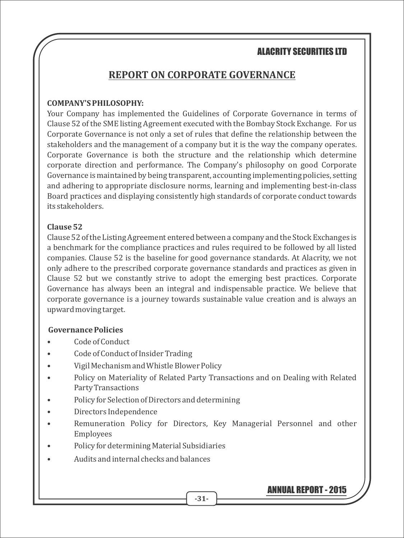ANNUAL REPORT - 2015

# **REPORT ON CORPORATE GOVERNANCE**

#### **COMPANY'S PHILOSOPHY:**

Your Company has implemented the Guidelines of Corporate Governance in terms of Clause 52 of the SME listing Agreement executed with the Bombay Stock Exchange. For us Corporate Governance is not only a set of rules that define the relationship between the stakeholders and the management of a company but it is the way the company operates. Corporate Governance is both the structure and the relationship which determine corporate direction and performance. The Company's philosophy on good Corporate Governance is maintained by being transparent, accounting implementing policies, setting and adhering to appropriate disclosure norms, learning and implementing best-in-class Board practices and displaying consistently high standards of corporate conduct towards its stakeholders.

#### **Clause 52**

Clause 52 of the Listing Agreement entered between a company and the Stock Exchanges is a benchmark for the compliance practices and rules required to be followed by all listed companies. Clause 52 is the baseline for good governance standards. At Alacrity, we not only adhere to the prescribed corporate governance standards and practices as given in Clause 52 but we constantly strive to adopt the emerging best practices. Corporate Governance has always been an integral and indispensable practice. We believe that corporate governance is a journey towards sustainable value creation and is always an upward moving target.

#### **Governance Policies**

- Code of Conduct
- Code of Conduct of Insider Trading
- Vigil Mechanism and Whistle Blower Policy
- Policy on Materiality of Related Party Transactions and on Dealing with Related Party Transactions
- Policy for Selection of Directors and determining
- Directors Independence
- Remuneration Policy for Directors, Key Managerial Personnel and other Employees
- Policy for determining Material Subsidiaries
- Audits and internal checks and balances

#### **-31-**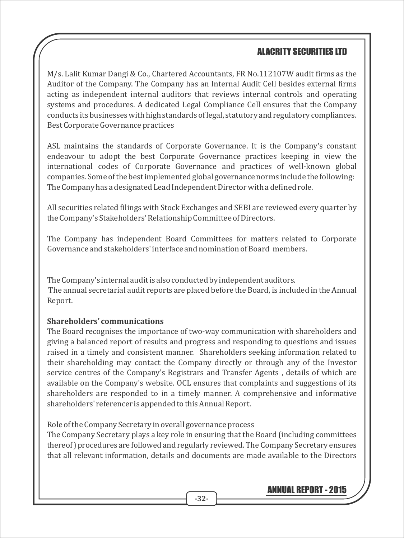ANNUAL REPORT - 2015

M/s. Lalit Kumar Dangi & Co., Chartered Accountants, FR No.112107W audit firms as the Auditor of the Company. The Company has an Internal Audit Cell besides external firms acting as independent internal auditors that reviews internal controls and operating systems and procedures. A dedicated Legal Compliance Cell ensures that the Company conducts its businesses with high standards of legal, statutory and regulatory compliances. Best Corporate Governance practices

ASL maintains the standards of Corporate Governance. It is the Company's constant endeavour to adopt the best Corporate Governance practices keeping in view the international codes of Corporate Governance and practices of well-known global companies. Some of the best implemented global governance norms include the following: The Company has a designated Lead Independent Director with a defined role.

All securities related filings with Stock Exchanges and SEBI are reviewed every quarter by the Company's Stakeholders' Relationship Committee of Directors.

The Company has independent Board Committees for matters related to Corporate Governance and stakeholders' interface and nomination of Board members.

The Company's internal audit is also conducted by independent auditors. The annual secretarial audit reports are placed before the Board, is included in the Annual Report.

# **Shareholders' communications**

The Board recognises the importance of two-way communication with shareholders and giving a balanced report of results and progress and responding to questions and issues raised in a timely and consistent manner. Shareholders seeking information related to their shareholding may contact the Company directly or through any of the Investor service centres of the Company's Registrars and Transfer Agents , details of which are available on the Company's website. OCL ensures that complaints and suggestions of its shareholders are responded to in a timely manner. A comprehensive and informative shareholders' referencer is appended to this Annual Report.

Role of the Company Secretary in overall governance process

The Company Secretary plays a key role in ensuring that the Board (including committees thereof) procedures are followed and regularly reviewed. The Company Secretary ensures that all relevant information, details and documents are made available to the Directors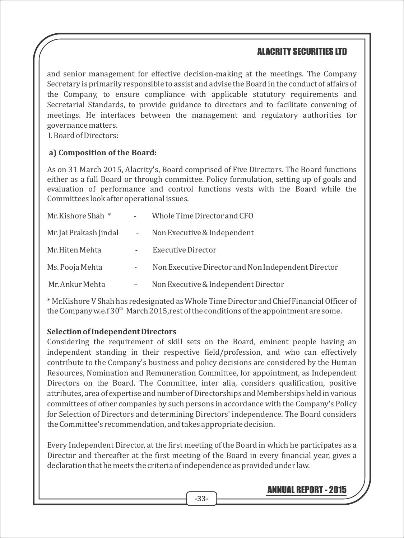ANNUAL REPORT - 2015

and senior management for effective decision-making at the meetings. The Company Secretary is primarily responsible to assist and advise the Board in the conduct of affairs of the Company, to ensure compliance with applicable statutory requirements and Secretarial Standards, to provide guidance to directors and to facilitate convening of meetings. He interfaces between the management and regulatory authorities for governance matters.

I. Board of Directors:

# **a) Composition of the Board:**

As on 31 March 2015, Alacrity's, Board comprised of Five Directors. The Board functions either as a full Board or through committee. Policy formulation, setting up of goals and evaluation of performance and control functions vests with the Board while the Committees look after operational issues.

| Mr. Kishore Shah *     | $\overline{\phantom{a}}$ | Whole Time Director and CFO                         |
|------------------------|--------------------------|-----------------------------------------------------|
| Mr. Jai Prakash Jindal | $\sim 10^{-1}$           | Non Executive & Independent                         |
| Mr. Hiten Mehta        | $\overline{\phantom{a}}$ | Executive Director                                  |
| Ms. Pooja Mehta        | $\overline{\phantom{a}}$ | Non Executive Director and Non Independent Director |
| Mr. Ankur Mehta        | $\qquad \qquad -$        | Non Executive & Independent Director                |

\* Mr.Kishore V Shah has redesignated as Whole Time Director and Chief Financial Officer of the Company w.e.f  $30<sup>th</sup>$  March 2015, rest of the conditions of the appointment are some.

#### **Selection of Independent Directors**

Considering the requirement of skill sets on the Board, eminent people having an independent standing in their respective field/profession, and who can effectively contribute to the Company's business and policy decisions are considered by the Human Resources, Nomination and Remuneration Committee, for appointment, as Independent Directors on the Board. The Committee, inter alia, considers qualification, positive attributes, area of expertise and number of Directorships and Memberships held in various committees of other companies by such persons in accordance with the Company's Policy for Selection of Directors and determining Directors' independence. The Board considers the Committee's recommendation, and takes appropriate decision.

Every Independent Director, at the first meeting of the Board in which he participates as a Director and thereafter at the first meeting of the Board in every financial year, gives a declaration that he meets the criteria of independence as provided under law.

**-33-**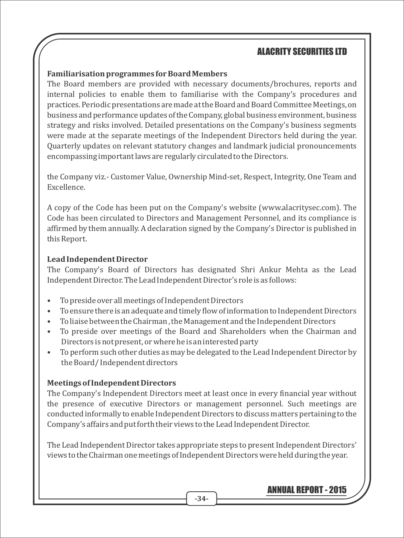ANNUAL REPORT - 2015

### **Familiarisation programmes for Board Members**

The Board members are provided with necessary documents/brochures, reports and internal policies to enable them to familiarise with the Company's procedures and practices. Periodic presentations are made at the Board and Board Committee Meetings, on business and performance updates of the Company, global business environment, business strategy and risks involved. Detailed presentations on the Company's business segments were made at the separate meetings of the Independent Directors held during the year. Quarterly updates on relevant statutory changes and landmark judicial pronouncements encompassing important laws are regularly circulated to the Directors.

the Company viz.- Customer Value, Ownership Mind-set, Respect, Integrity, One Team and Excellence.

A copy of the Code has been put on the Company's website (www.alacritysec.com). The Code has been circulated to Directors and Management Personnel, and its compliance is affirmed by them annually. A declaration signed by the Company's Director is published in this Report.

### **Lead Independent Director**

The Company's Board of Directors has designated Shri Ankur Mehta as the Lead Independent Director. The Lead Independent Director's role is as follows:

- To preside over all meetings of Independent Directors
- To ensure there is an adequate and timely flow of information to Independent Directors
- To liaise between the Chairman , the Management and the Independent Directors
- To preside over meetings of the Board and Shareholders when the Chairman and Directors is not present, or where he is an interested party
- To perform such other duties as may be delegated to the Lead Independent Director by the Board/ Independent directors

## **Meetings of Independent Directors**

The Company's Independent Directors meet at least once in every financial year without the presence of executive Directors or management personnel. Such meetings are conducted informally to enable Independent Directors to discuss matters pertaining to the Company's affairs and put forth their views to the Lead Independent Director.

The Lead Independent Director takes appropriate steps to present Independent Directors' views to the Chairman one meetings of Independent Directors were held during the year.

**-34-**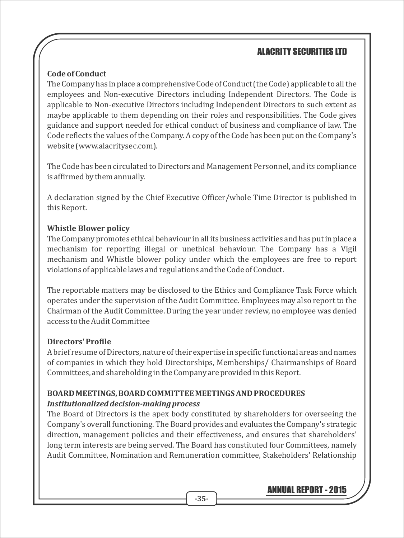ANNUAL REPORT - 2015

## **Code of Conduct**

The Company has in place a comprehensive Code of Conduct (the Code) applicable to all the employees and Non-executive Directors including Independent Directors. The Code is applicable to Non-executive Directors including Independent Directors to such extent as maybe applicable to them depending on their roles and responsibilities. The Code gives guidance and support needed for ethical conduct of business and compliance of law. The Code reflects the values of the Company. A copy of the Code has been put on the Company's website (www.alacritysec.com).

The Code has been circulated to Directors and Management Personnel, and its compliance is affirmed by them annually.

A declaration signed by the Chief Executive Officer/whole Time Director is published in this Report.

## **Whistle Blower policy**

The Company promotes ethical behaviour in all its business activities and has put in place a mechanism for reporting illegal or unethical behaviour. The Company has a Vigil mechanism and Whistle blower policy under which the employees are free to report violations of applicable laws and regulations and the Code of Conduct.

The reportable matters may be disclosed to the Ethics and Compliance Task Force which operates under the supervision of the Audit Committee. Employees may also report to the Chairman of the Audit Committee. During the year under review, no employee was denied access to the Audit Committee

### **Directors' Profile**

A brief resume of Directors, nature of their expertise in specific functional areas and names of companies in which they hold Directorships, Memberships/ Chairmanships of Board Committees, and shareholding in the Company are provided in this Report.

### **BOARD MEETINGS, BOARD COMMITTEE MEETINGS AND PROCEDURES Institutionalized decision-making process**

The Board of Directors is the apex body constituted by shareholders for overseeing the Company's overall functioning. The Board provides and evaluates the Company's strategic direction, management policies and their effectiveness, and ensures that shareholders' long term interests are being served. The Board has constituted four Committees, namely Audit Committee, Nomination and Remuneration committee, Stakeholders' Relationship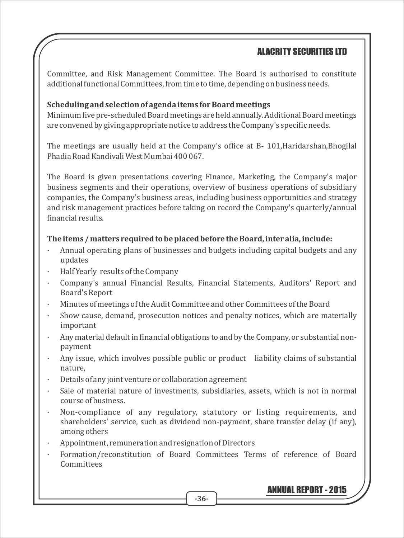ANNUAL REPORT - 2015

Committee, and Risk Management Committee. The Board is authorised to constitute additional functional Committees, from time to time, depending on business needs.

### **Scheduling and selection of agenda items for Board meetings**

Minimum five pre-scheduled Board meetings are held annually. Additional Board meetings are convened by giving appropriate notice to address the Company's specific needs.

The meetings are usually held at the Company's office at B- 101,Haridarshan,Bhogilal Phadia Road Kandivali West Mumbai 400 067.

The Board is given presentations covering Finance, Marketing, the Company's major business segments and their operations, overview of business operations of subsidiary companies, the Company's business areas, including business opportunities and strategy and risk management practices before taking on record the Company's quarterly/annual financial results.

## **The items / matters required to be placed before the Board, inter alia, include:**

- · Annual operating plans of businesses and budgets including capital budgets and any updates
- Half Yearly results of the Company
- · Company's annual Financial Results, Financial Statements, Auditors' Report and Board's Report
- · Minutes of meetings of the Audit Committee and other Committees of the Board
- · Show cause, demand, prosecution notices and penalty notices, which are materially important
- · Any material default in financial obligations to and by the Company, or substantial nonpayment
- · Any issue, which involves possible public or product liability claims of substantial nature,
- · Details of any joint venture or collaboration agreement
- Sale of material nature of investments, subsidiaries, assets, which is not in normal course of business.
- Non-compliance of any regulatory, statutory or listing requirements, and shareholders' service, such as dividend non-payment, share transfer delay (if any), among others
- Appointment, remuneration and resignation of Directors
- Formation/reconstitution of Board Committees Terms of reference of Board **Committees**

**-36-**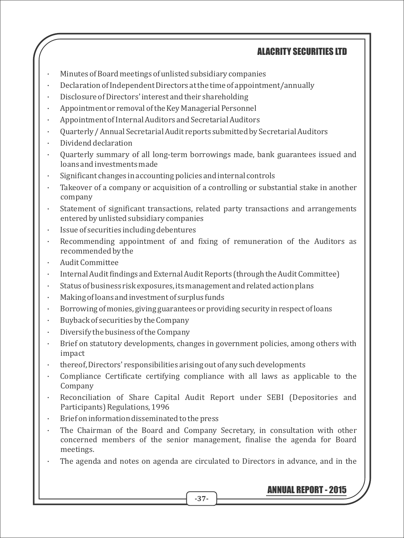- Minutes of Board meetings of unlisted subsidiary companies
- · Declaration of Independent Directors at the time of appointment/annually
- · Disclosure of Directors' interest and their shareholding
- · Appointment or removal of the Key Managerial Personnel
- · Appointment of Internal Auditors and Secretarial Auditors
- · Quarterly / Annual Secretarial Audit reports submitted by Secretarial Auditors
- · Dividend declaration
- · Quarterly summary of all long-term borrowings made, bank guarantees issued and loans and investments made
- Significant changes in accounting policies and internal controls
- Takeover of a company or acquisition of a controlling or substantial stake in another company
- Statement of significant transactions, related party transactions and arrangements entered by unlisted subsidiary companies
- Issue of securities including debentures
- Recommending appointment of and fixing of remuneration of the Auditors as recommended by the
- · Audit Committee
- · Internal Audit findings and External Audit Reports (through the Audit Committee)
- · Status of business risk exposures, its management and related action plans
- Making of loans and investment of surplus funds
- · Borrowing of monies, giving guarantees or providing security in respect of loans
- · Buyback of securities by the Company
- · Diversify the business of the Company
- Brief on statutory developments, changes in government policies, among others with impact
- · thereof, Directors' responsibilities arising out of any such developments
- · Compliance Certificate certifying compliance with all laws as applicable to the Company
- Reconciliation of Share Capital Audit Report under SEBI (Depositories and Participants) Regulations, 1996
- Brief on information disseminated to the press
- The Chairman of the Board and Company Secretary, in consultation with other concerned members of the senior management, finalise the agenda for Board meetings.
- The agenda and notes on agenda are circulated to Directors in advance, and in the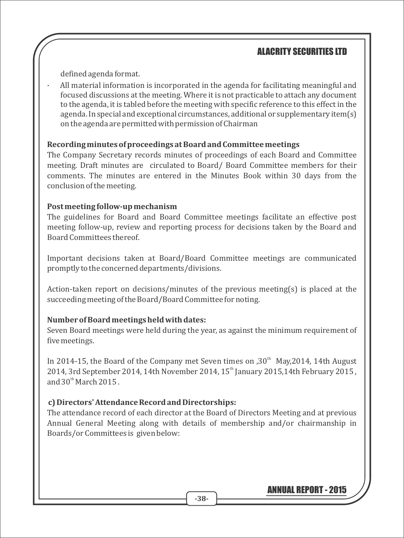ANNUAL REPORT - 2015

defined agenda format.

· All material information is incorporated in the agenda for facilitating meaningful and focused discussions at the meeting. Where it is not practicable to attach any document to the agenda, it is tabled before the meeting with specific reference to this effect in the agenda. In special and exceptional circumstances, additional or supplementary item(s) on the agenda are permitted with permission of Chairman

### **Recording minutes of proceedings at Board and Committee meetings**

The Company Secretary records minutes of proceedings of each Board and Committee meeting. Draft minutes are circulated to Board/ Board Committee members for their comments. The minutes are entered in the Minutes Book within 30 days from the conclusion of the meeting.

### **Post meeting follow-up mechanism**

The guidelines for Board and Board Committee meetings facilitate an effective post meeting follow-up, review and reporting process for decisions taken by the Board and Board Committees thereof.

Important decisions taken at Board/Board Committee meetings are communicated promptly to the concerned departments/divisions.

Action-taken report on decisions/minutes of the previous meeting(s) is placed at the succeeding meeting of the Board/Board Committee for noting.

## **Number of Board meetings held with dates:**

Seven Board meetings were held during the year, as against the minimum requirement of five meetings.

In 2014-15, the Board of the Company met Seven times on  $,30<sup>th</sup>$  May,2014, 14th August 2014, 3rd September 2014, 14th November 2014,  $15<sup>th</sup>$  January 2015, 14th February 2015, and  $30<sup>th</sup>$  March 2015.

## **c) Directors' Attendance Record and Directorships:**

The attendance record of each director at the Board of Directors Meeting and at previous Annual General Meeting along with details of membership and/or chairmanship in Boards/or Committees is given below: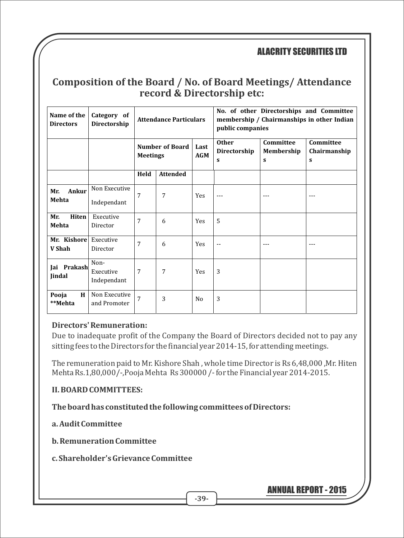ANNUAL REPORT - 2015

## **Composition of the Board / No. of Board Meetings/ Attendance record & Directorship etc:**

| Name of the<br><b>Directors</b> | Category of<br>Directorship      | <b>Attendance Particulars</b> |                 | No. of other Directorships and Committee<br>membership / Chairmanships in other Indian<br>public companies |                                   |                              |                                |
|---------------------------------|----------------------------------|-------------------------------|-----------------|------------------------------------------------------------------------------------------------------------|-----------------------------------|------------------------------|--------------------------------|
|                                 |                                  | <b>Meetings</b>               | Number of Board | Last<br><b>AGM</b>                                                                                         | <b>Other</b><br>Directorship<br>s | Committee<br>Membership<br>S | Committee<br>Chairmanship<br>S |
|                                 |                                  | Held                          | <b>Attended</b> |                                                                                                            |                                   |                              |                                |
| Ankur<br>Mr.<br>Mehta           | Non Executive<br>Independant     | 7                             | 7               | <b>Yes</b>                                                                                                 |                                   |                              |                                |
| Mr.<br><b>Hiten</b><br>Mehta    | Executive<br>Director            | 7                             | 6               | <b>Yes</b>                                                                                                 | 5                                 |                              |                                |
| Mr. Kishore<br>V Shah           | Executive<br>Director            | 7                             | 6               | <b>Yes</b>                                                                                                 | $-$                               |                              |                                |
| Jai Prakash<br><b>Jindal</b>    | Non-<br>Executive<br>Independant | 7                             | 7               | <b>Yes</b>                                                                                                 | 3                                 |                              |                                |
| H<br>Pooja<br>**Mehta           | Non Executive<br>and Promoter    | $\overline{7}$                | 3               | No                                                                                                         | 3                                 |                              |                                |

#### **Directors' Remuneration:**

Due to inadequate profit of the Company the Board of Directors decided not to pay any sitting fees to the Directors for the financial year 2014-15, for attending meetings.

The remuneration paid to Mr. Kishore Shah , whole time Director is Rs 6,48,000 ,Mr. Hiten Mehta Rs.1,80,000/-,Pooja Mehta Rs 300000 /- for the Financial year 2014-2015.

#### **II. BOARD COMMITTEES:**

**The board has constituted the following committees of Directors:**

#### **a. Audit Committee**

**b. Remuneration Committee**

#### **c. Shareholder's Grievance Committee**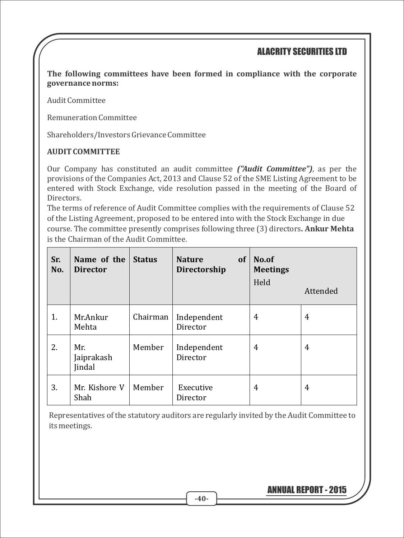**The following committees have been formed in compliance with the corporate governance norms:**

Audit Committee

Remuneration Committee

Shareholders/Investors Grievance Committee

#### **AUDIT COMMITTEE**

Our Company has constituted an audit committee *("Audit Committee")*, as per the provisions of the Companies Act, 2013 and Clause 52 of the SME Listing Agreement to be entered with Stock Exchange, vide resolution passed in the meeting of the Board of Directors.

The terms of reference of Audit Committee complies with the requirements of Clause 52 of the Listing Agreement, proposed to be entered into with the Stock Exchange in due course. The committee presently comprises following three (3) directors**. Ankur Mehta** is the Chairman of the Audit Committee.

| Sr.<br>No. | Name of the<br><b>Director</b>     | <b>Status</b> | <b>Nature</b><br><b>of</b><br>Directorship | No.of<br><b>Meetings</b><br>Held | Attended |
|------------|------------------------------------|---------------|--------------------------------------------|----------------------------------|----------|
| 1.         | Mr.Ankur<br>Mehta                  | Chairman      | Independent<br>Director                    | 4                                | 4        |
| 2.         | Mr.<br>Jaiprakash<br><b>Jindal</b> | Member        | Independent<br>Director                    | 4                                | 4        |
| 3.         | Mr. Kishore V<br>Shah              | Member        | Executive<br>Director                      | 4                                | 4        |

Representatives of the statutory auditors are regularly invited by the Audit Committee to its meetings.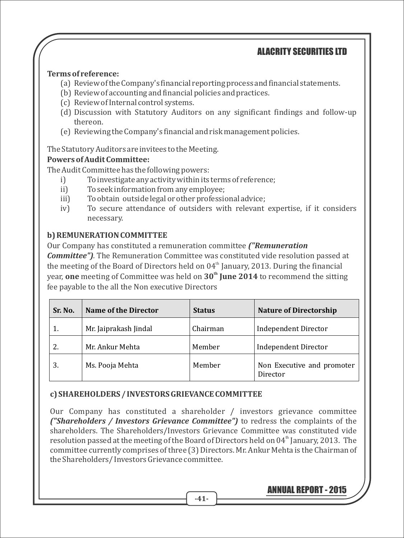ANNUAL REPORT - 2015

### **Terms of reference:**

- (a) Review of the Company's financial reporting process and financial statements.
- (b) Review of accounting and financial policies and practices.
- (c) Review of Internal control systems.
- (d) Discussion with Statutory Auditors on any significant findings and follow-up thereon.
- (e) Reviewing the Company's financial and risk management policies.

The Statutory Auditors are invitees to the Meeting.

### **Powers of Audit Committee:**

The Audit Committee has the following powers:

- i) To investigate any activity within its terms of reference;
- ii) To seek information from any employee;
- iii) To obtain outside legal or other professional advice;
- iv) To secure attendance of outsiders with relevant expertise, if it considers necessary.

### **b) REMUNERATION COMMITTEE**

Our Company has constituted a remuneration committee *("Remuneration Committee").* The Remuneration Committee was constituted vide resolution passed at the meeting of the Board of Directors held on  $04<sup>th</sup>$  January, 2013. During the financial year, **one** meeting of Committee was held on  $30<sup>th</sup>$  **June 2014** to recommend the sitting fee payable to the all the Non executive Directors

| Sr. No. | Name of the Director  | <b>Status</b> | <b>Nature of Directorship</b>          |
|---------|-----------------------|---------------|----------------------------------------|
|         | Mr. Jaiprakash Jindal | Chairman      | <b>Independent Director</b>            |
| 2.      | Mr. Ankur Mehta       | Member        | <b>Independent Director</b>            |
| 3.      | Ms. Pooja Mehta       | Member        | Non Executive and promoter<br>Director |

### **c) SHAREHOLDERS / INVESTORS GRIEVANCE COMMITTEE**

Our Company has constituted a shareholder / investors grievance committee *("Shareholders / Investors Grievance Committee")* to redress the complaints of the shareholders. The Shareholders/Investors Grievance Committee was constituted vide resolution passed at the meeting of the Board of Directors held on 04<sup>th</sup> January, 2013. The committee currently comprises of three (3) Directors. Mr. Ankur Mehta is the Chairman of the Shareholders/ Investors Grievance committee.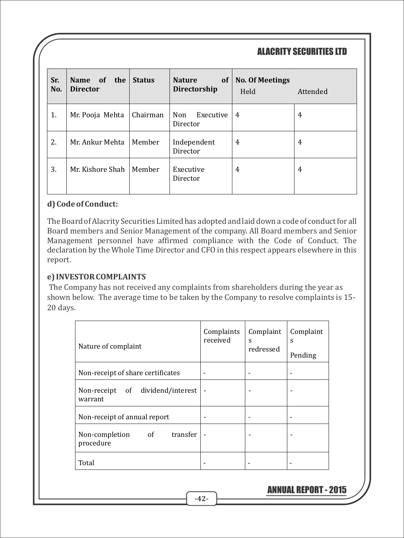| Sr.<br>No. | of the<br><b>Name</b><br><b>Director</b> | <b>Status</b> | <b>Nature</b><br><b>of</b><br>Directorship | <b>No. Of Meetings</b><br>Held | Attended |
|------------|------------------------------------------|---------------|--------------------------------------------|--------------------------------|----------|
| 1.         | Mr. Pooja Mehta                          | Chairman      | Non<br>Executive<br>Director               | 4                              | 4        |
| 2.         | Mr. Ankur Mehta                          | Member        | Independent<br>Director                    | 4                              | 4        |
| 3.         | Mr. Kishore Shah                         | Member        | Executive<br>Director                      | 4                              | 4        |

### **d) Code of Conduct:**

The Board of Alacrity Securities Limited has adopted and laid down a code of conduct for all Board members and Senior Management of the company. All Board members and Senior Management personnel have affirmed compliance with the Code of Conduct. The declaration by the Whole Time Director and CFO in this respect appears elsewhere in this report.

### **e) INVESTOR COMPLAINTS**

 The Company has not received any complaints from shareholders during the year as shown below. The average time to be taken by the Company to resolve complaints is 15- 20 days.

| Nature of complaint                         | Complaints<br>received   | Complaint<br>S<br>redressed | Complaint<br>S<br>Pending |
|---------------------------------------------|--------------------------|-----------------------------|---------------------------|
| Non-receipt of share certificates           |                          |                             |                           |
| Non-receipt of dividend/interest<br>warrant | $\overline{\phantom{a}}$ |                             |                           |
| Non-receipt of annual report                |                          |                             |                           |
| Non-completion of transfer<br>procedure     | $\overline{a}$           |                             |                           |
| Total                                       |                          |                             |                           |

ANNUAL REPORT - 2015

**-42-**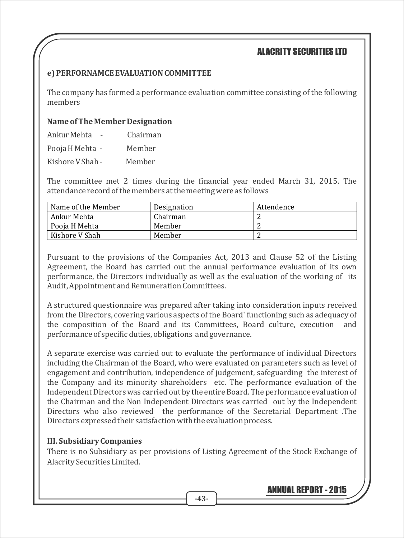ANNUAL REPORT - 2015

#### **e) PERFORNAMCE EVALUATION COMMITTEE**

The company has formed a performance evaluation committee consisting of the following members

#### **Name of The Member Designation**

| Ankur Mehta      | Chairman |
|------------------|----------|
| Pooja H Mehta -  | Member   |
| Kishore V Shah - | Member   |

The committee met 2 times during the financial year ended March 31, 2015. The attendance record of the members at the meeting were as follows

| Name of the Member | Designation | Attendence |
|--------------------|-------------|------------|
| Ankur Mehta        | Chairman    |            |
| Pooja H Mehta      | Member      |            |
| Kishore V Shah     | Member      |            |

Pursuant to the provisions of the Companies Act, 2013 and Clause 52 of the Listing Agreement, the Board has carried out the annual performance evaluation of its own performance, the Directors individually as well as the evaluation of the working of its Audit, Appointment and Remuneration Committees.

A structured questionnaire was prepared after taking into consideration inputs received from the Directors, covering various aspects of the Board' functioning such as adequacy of the composition of the Board and its Committees, Board culture, execution and performance of specific duties, obligations and governance.

A separate exercise was carried out to evaluate the performance of individual Directors including the Chairman of the Board, who were evaluated on parameters such as level of engagement and contribution, independence of judgement, safeguarding the interest of the Company and its minority shareholders etc. The performance evaluation of the Independent Directors was carried out by the entire Board. The performance evaluation of the Chairman and the Non Independent Directors was carried out by the Independent Directors who also reviewed the performance of the Secretarial Department .The Directors expressed their satisfaction with the evaluation process.

#### **III. Subsidiary Companies**

There is no Subsidiary as per provisions of Listing Agreement of the Stock Exchange of Alacrity Securities Limited.

**-43-**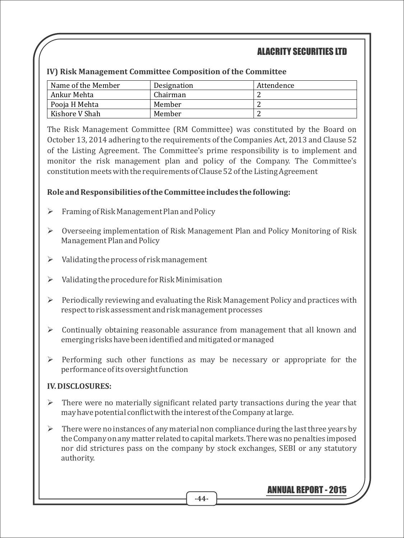ANNUAL REPORT - 2015

| Name of the Member | Designation | Attendence |
|--------------------|-------------|------------|
| Ankur Mehta        | Chairman    |            |
| Pooja H Mehta      | Member      |            |
| Kishore V Shah     | Member      |            |

#### **IV) Risk Management Committee Composition of the Committee**

The Risk Management Committee (RM Committee) was constituted by the Board on October 13, 2014 adhering to the requirements of the Companies Act, 2013 and Clause 52 of the Listing Agreement. The Committee's prime responsibility is to implement and monitor the risk management plan and policy of the Company. The Committee's constitution meets with the requirements of Clause 52 of the Listing Agreement

### **Role and Responsibilities of the Committee includes the following:**

- $\triangleright$  Framing of Risk Management Plan and Policy
- Overseeing implementation of Risk Management Plan and Policy Monitoring of Risk Management Plan and Policy
- $\triangleright$  Validating the process of risk management
- $\triangleright$  Validating the procedure for Risk Minimisation
- $\triangleright$  Periodically reviewing and evaluating the Risk Management Policy and practices with respect to risk assessment and risk management processes
- $\triangleright$  Continually obtaining reasonable assurance from management that all known and emerging risks have been identified and mitigated or managed
- $\triangleright$  Performing such other functions as may be necessary or appropriate for the performance of its oversight function

### **IV. DISCLOSURES:**

- $\triangleright$  There were no materially significant related party transactions during the year that may have potential conflict with the interest of the Company at large.
- $\triangleright$  There were no instances of any material non compliance during the last three years by the Company on any matter related to capital markets. There was no penalties imposed nor did strictures pass on the company by stock exchanges, SEBI or any statutory authority.

**-44-**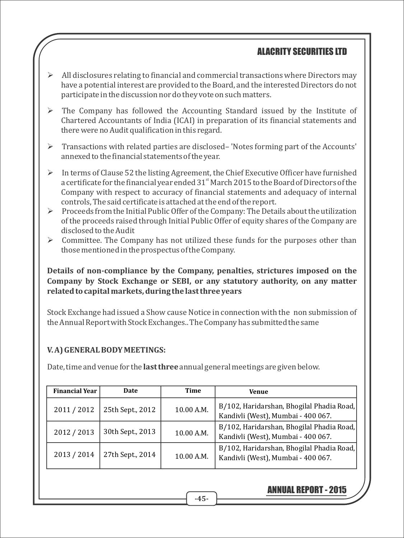ANNUAL REPORT - 2015

- All disclosures relating to financial and commercial transactions where Directors may have a potential interest are provided to the Board, and the interested Directors do not participate in the discussion nor do they vote on such matters.
- $\triangleright$  The Company has followed the Accounting Standard issued by the Institute of Chartered Accountants of India (ICAI) in preparation of its financial statements and there were no Audit qualification in this regard.
- $\triangleright$  Transactions with related parties are disclosed 'Notes forming part of the Accounts' annexed to the financial statements of the year.
- $\triangleright$  In terms of Clause 52 the listing Agreement, the Chief Executive Officer have furnished a certificate for the financial year ended  $31^{\text{\tiny{st}}}$  March 2015 to the Board of Directors of the Company with respect to accuracy of financial statements and adequacy of internal controls, The said certificate is attached at the end of the report.
- Proceeds from the Initial Public Offer of the Company: The Details about the utilization of the proceeds raised through Initial Public Offer of equity shares of the Company are disclosed to the Audit
- $\triangleright$  Committee. The Company has not utilized these funds for the purposes other than those mentioned in the prospectus of the Company.

### **Details of non-compliance by the Company, penalties, strictures imposed on the Company by Stock Exchange or SEBI, or any statutory authority, on any matter related to capital markets, during the last three years**

Stock Exchange had issued a Show cause Notice in connection with the non submission of the Annual Report with Stock Exchanges.. The Company has submitted the same

### **V. A) GENERAL BODY MEETINGS:**

Date, time and venue for the **last three** annual general meetings are given below.

| <b>Financial Year</b> | Date             | Time       | Venue                                                                           |
|-----------------------|------------------|------------|---------------------------------------------------------------------------------|
| 2011/2012             | 25th Sept., 2012 | 10.00 A.M. | B/102, Haridarshan, Bhogilal Phadia Road,<br>Kandivli (West), Mumbai - 400 067. |
| 2012 / 2013           | 30th Sept., 2013 | 10.00 A.M. | B/102, Haridarshan, Bhogilal Phadia Road,<br>Kandivli (West), Mumbai - 400 067. |
| 2013 / 2014           | 27th Sept., 2014 | 10.00 A.M. | B/102, Haridarshan, Bhogilal Phadia Road,<br>Kandivli (West), Mumbai - 400 067. |

**-45-**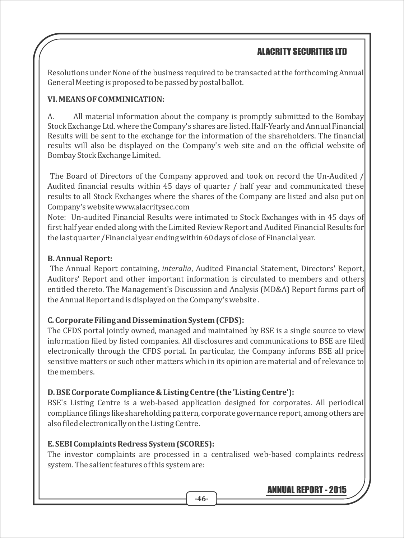ANNUAL REPORT - 2015

Resolutions under None of the business required to be transacted at the forthcoming Annual General Meeting is proposed to be passed by postal ballot.

### **VI. MEANS OF COMMINICATION:**

A. All material information about the company is promptly submitted to the Bombay Stock Exchange Ltd. where the Company's shares are listed. Half-Yearly and Annual Financial Results will be sent to the exchange for the information of the shareholders. The financial results will also be displayed on the Company's web site and on the official website of Bombay Stock Exchange Limited.

The Board of Directors of the Company approved and took on record the Un-Audited / Audited financial results within 45 days of quarter / half year and communicated these results to all Stock Exchanges where the shares of the Company are listed and also put on Company's website www.alacritysec.com

Note: Un-audited Financial Results were intimated to Stock Exchanges with in 45 days of first half year ended along with the Limited Review Report and Audited Financial Results for the last quarter /Financial year ending within 60 days of close of Financial year.

### **B. Annual Report:**

The Annual Report containing, *interalia*, Audited Financial Statement, Directors' Report, Auditors' Report and other important information is circulated to members and others entitled thereto. The Management's Discussion and Analysis (MD&A) Report forms part of the Annual Report and is displayed on the Company's website .

## **C. Corporate Filing and Dissemination System (CFDS):**

The CFDS portal jointly owned, managed and maintained by BSE is a single source to view information filed by listed companies. All disclosures and communications to BSE are filed electronically through the CFDS portal. In particular, the Company informs BSE all price sensitive matters or such other matters which in its opinion are material and of relevance to the members.

## **D. BSE Corporate Compliance & Listing Centre (the 'Listing Centre'):**

BSE's Listing Centre is a web-based application designed for corporates. All periodical compliance filings like shareholding pattern, corporate governance report, among others are also filed electronically on the Listing Centre.

## **E. SEBI Complaints Redress System (SCORES):**

The investor complaints are processed in a centralised web-based complaints redress system. The salient features of this system are:

**-46-**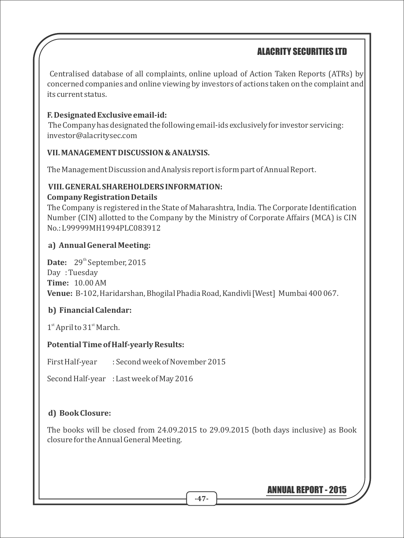Centralised database of all complaints, online upload of Action Taken Reports (ATRs) by concerned companies and online viewing by investors of actions taken on the complaint and its current status.

## **F. Designated Exclusive email-id:**

The Company has designated the following email-ids exclusively for investor servicing: investor@alacritysec.com

### **VII. MANAGEMENT DISCUSSION & ANALYSIS.**

The Management Discussion and Analysis report is form part of Annual Report.

## **VIII. GENERAL SHAREHOLDERS INFORMATION:**

### **Company Registration Details**

The Company is registered in the State of Maharashtra, India. The Corporate Identification Number (CIN) allotted to the Company by the Ministry of Corporate Affairs (MCA) is CIN No.: L99999MH1994PLC083912

## **a) Annual General Meeting:**

Date: 29<sup>th</sup> September, 2015 Day : Tuesday **Time:** 10.00 AM **Venue:** B-102, Haridarshan, Bhogilal Phadia Road, Kandivli [West] Mumbai 400 067.

## **b) Financial Calendar:**

 $1<sup>st</sup>$  April to 31 $<sup>st</sup>$  March.</sup>

## **Potential Time of Half-yearly Results:**

First Half-year : Second week of November 2015

Second Half-year : Last week of May 2016

## **d) Book Closure:**

The books will be closed from 24.09.2015 to 29.09.2015 (both days inclusive) as Book closure for the Annual General Meeting.

**-47-**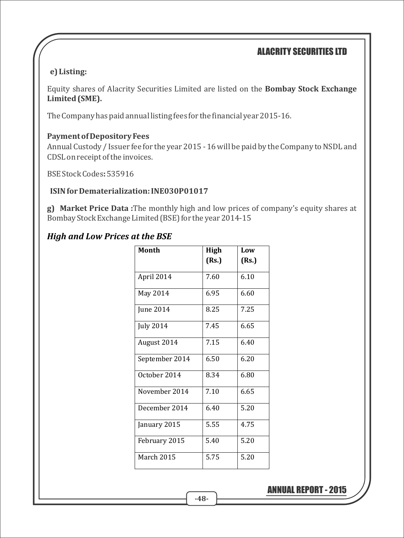### **e) Listing:**

Equity shares of Alacrity Securities Limited are listed on the **Bombay Stock Exchange Limited (SME).** 

The Company has paid annual listing fees for the financial year 2015-16.

### **Payment of Depository Fees**

Annual Custody / Issuer fee for the year 2015 - 16 will be paid by the Company to NSDL and CDSL on receipt of the invoices.

BSE Stock Codes**:** 535916

### **ISIN for Dematerialization: INE030P01017**

**g) Market Price Data :**The monthly high and low prices of company's equity shares at Bombay Stock Exchange Limited (BSE) for the year 2014-15

## *High and Low Prices at the BSE*

| Month             | <b>High</b> | Low   |
|-------------------|-------------|-------|
|                   | (Rs.)       | (Rs.) |
| April 2014        | 7.60        | 6.10  |
| May 2014          | 6.95        | 6.60  |
| <b>June 2014</b>  | 8.25        | 7.25  |
| <b>July 2014</b>  | 7.45        | 6.65  |
| August 2014       | 7.15        | 6.40  |
| September 2014    | 6.50        | 6.20  |
| October 2014      | 8.34        | 6.80  |
| November 2014     | 7.10        | 6.65  |
| December 2014     | 640         | 5.20  |
| January 2015      | 5.55        | 4.75  |
| February 2015     | 5.40        | 5.20  |
| <b>March 2015</b> | 5.75        | 5.20  |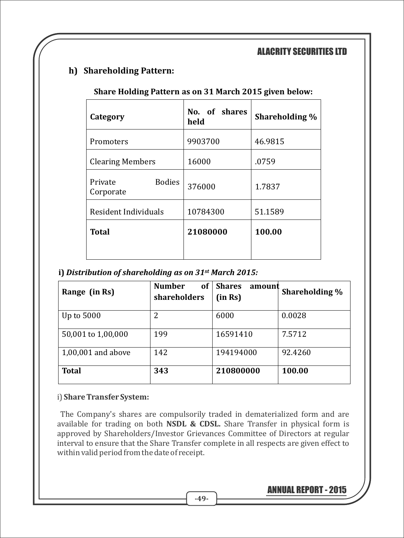ANNUAL REPORT - 2015

### **h) Shareholding Pattern:**

#### **Share Holding Pattern as on 31 March 2015 given below:**

| No. of shares<br>held | Shareholding % |
|-----------------------|----------------|
| 9903700               | 46.9815        |
| 16000                 | .0759          |
| 376000                | 1.7837         |
| 10784300              | 51.1589        |
| 21080000              | 100.00         |
|                       |                |

### **i)** *Distribution of shareholding as on 31st March 2015:*

| Range (in Rs)      | <b>of</b><br><b>Number</b><br>shareholders | <b>Shares</b><br>amount<br>(in Rs) | Shareholding % |
|--------------------|--------------------------------------------|------------------------------------|----------------|
| Up to 5000         | 2                                          | 6000                               | 0.0028         |
| 50,001 to 1,00,000 | 199                                        | 16591410                           | 7.5712         |
| 1,00,001 and above | 142                                        | 194194000                          | 92.4260        |
| <b>Total</b>       | 343                                        | 210800000                          | 100.00         |

### i) **Share Transfer System:**

The Company's shares are compulsorily traded in dematerialized form and are available for trading on both **NSDL & CDSL.** Share Transfer in physical form is approved by Shareholders/Investor Grievances Committee of Directors at regular interval to ensure that the Share Transfer complete in all respects are given effect to within valid period from the date of receipt.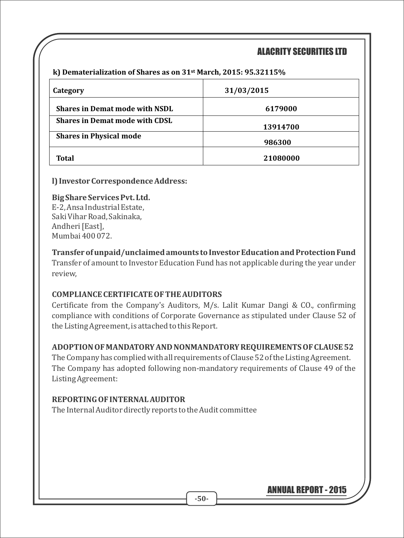#### **k) Dematerialization of Shares as on 31st March, 2015: 95.32115%**

| Category                              | 31/03/2015 |
|---------------------------------------|------------|
| <b>Shares in Demat mode with NSDL</b> | 6179000    |
| <b>Shares in Demat mode with CDSL</b> | 13914700   |
| <b>Shares in Physical mode</b>        | 986300     |
| <b>Total</b>                          | 21080000   |

#### **l) Investor Correspondence Address:**

#### **Big Share Services Pvt. Ltd.**

E-2, Ansa Industrial Estate, Saki Vihar Road, Sakinaka, Andheri [East], Mumbai 400 072.

**Transfer of unpaid/unclaimed amounts to Investor Education and Protection Fund** Transfer of amount to Investor Education Fund has not applicable during the year under review,

#### **COMPLIANCE CERTIFICATE OF THE AUDITORS**

Certificate from the Company's Auditors, M/s. Lalit Kumar Dangi & CO., confirming compliance with conditions of Corporate Governance as stipulated under Clause 52 of the Listing Agreement, is attached to this Report.

#### **ADOPTION OF MANDATORY AND NONMANDATORY REQUIREMENTS OF CLAUSE 52**

The Company has complied with all requirements of Clause 52 of the Listing Agreement. The Company has adopted following non-mandatory requirements of Clause 49 of the Listing Agreement:

#### **REPORTING OF INTERNAL AUDITOR**

The Internal Auditor directly reports to the Audit committee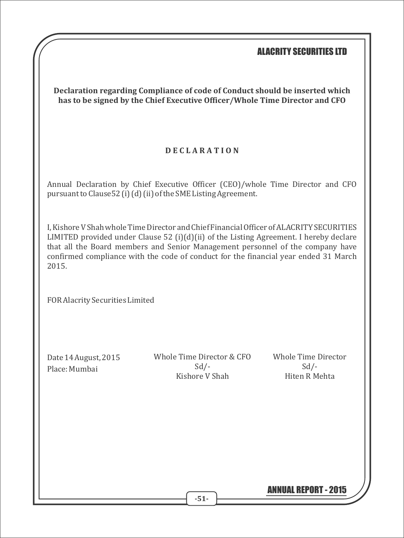**Declaration regarding Compliance of code of Conduct should be inserted which has to be signed by the Chief Executive Officer/Whole Time Director and CFO**

### **D E C L A R A T I O N**

Annual Declaration by Chief Executive Officer (CEO)/whole Time Director and CFO pursuant to Clause52 (i) (d) (ii) of the SME Listing Agreement.

I, Kishore V Shah whole Time Director and Chief Financial Officer of ALACRITY SECURITIES LIMITED provided under Clause 52 (i)(d)(ii) of the Listing Agreement. I hereby declare that all the Board members and Senior Management personnel of the company have confirmed compliance with the code of conduct for the financial year ended 31 March 2015.

FOR Alacrity Securities Limited

Place: Mumbai

Date 14 August, 2015 Whole Time Director Whole Time Director & CFO  $Sd$  /-Kishore V Shah

 $Sd$  /-Hiten R Mehta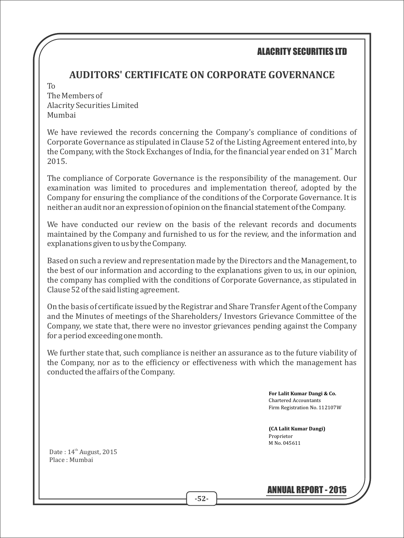## **AUDITORS' CERTIFICATE ON CORPORATE GOVERNANCE**

To

The Members of Alacrity Securities Limited Mumbai

We have reviewed the records concerning the Company's compliance of conditions of Corporate Governance as stipulated in Clause 52 of the Listing Agreement entered into, by the Company, with the Stock Exchanges of India, for the financial year ended on  $31<sup>st</sup>$  March 2015.

The compliance of Corporate Governance is the responsibility of the management. Our examination was limited to procedures and implementation thereof, adopted by the Company for ensuring the compliance of the conditions of the Corporate Governance. It is neither an audit nor an expression of opinion on the financial statement of the Company.

We have conducted our review on the basis of the relevant records and documents maintained by the Company and furnished to us for the review, and the information and explanations given to us by the Company.

Based on such a review and representation made by the Directors and the Management, to the best of our information and according to the explanations given to us, in our opinion, the company has complied with the conditions of Corporate Governance, as stipulated in Clause 52 of the said listing agreement.

On the basis of certificate issued by the Registrar and Share Transfer Agent of the Company and the Minutes of meetings of the Shareholders/ Investors Grievance Committee of the Company, we state that, there were no investor grievances pending against the Company for a period exceeding one month.

We further state that, such compliance is neither an assurance as to the future viability of the Company, nor as to the efficiency or effectiveness with which the management has conducted the affairs of the Company.

> **For Lalit Kumar Dangi & Co.**  Chartered Accountants Firm Registration No. 112107W

**(CA Lalit Kumar Dangi)** Proprietor M No. 045611

Date:  $14<sup>th</sup>$  August, 2015 Place : Mumbai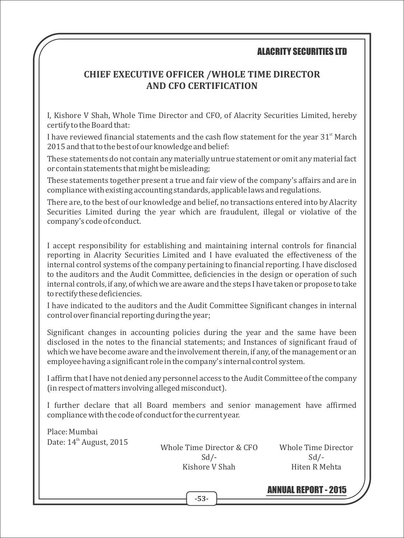## **CHIEF EXECUTIVE OFFICER /WHOLE TIME DIRECTOR AND CFO CERTIFICATION**

I, Kishore V Shah, Whole Time Director and CFO, of Alacrity Securities Limited, hereby certify to the Board that:

I have reviewed financial statements and the cash flow statement for the year  $31<sup>st</sup>$  March 2015 and that to the best of our knowledge and belief:

These statements do not contain any materially untrue statement or omit any material fact or contain statements that might be misleading;

These statements together present a true and fair view of the company's affairs and are in compliance with existing accounting standards, applicable laws and regulations.

There are, to the best of our knowledge and belief, no transactions entered into by Alacrity Securities Limited during the year which are fraudulent, illegal or violative of the company's code of conduct.

I accept responsibility for establishing and maintaining internal controls for financial reporting in Alacrity Securities Limited and I have evaluated the effectiveness of the internal control systems of the company pertaining to financial reporting. I have disclosed to the auditors and the Audit Committee, deficiencies in the design or operation of such internal controls, if any, of which we are aware and the steps I have taken or propose to take to rectify these deficiencies.

I have indicated to the auditors and the Audit Committee Significant changes in internal control over financial reporting during the year;

Significant changes in accounting policies during the year and the same have been disclosed in the notes to the financial statements; and Instances of significant fraud of which we have become aware and the involvement therein, if any, of the management or an employee having a significant role in the company's internal control system.

I affirm that I have not denied any personnel access to the Audit Committee of the company (in respect of matters involving alleged misconduct).

I further declare that all Board members and senior management have affirmed compliance with the code of conduct for the current year.

Place: Mumbai Date: 14<sup>th</sup> August, 2015

Whole Time Director & CFO  $Sd$  /-Kishore V Shah

Whole Time Director Sd/- Hiten R Mehta

ANNUAL REPORT - 2015

**-53-**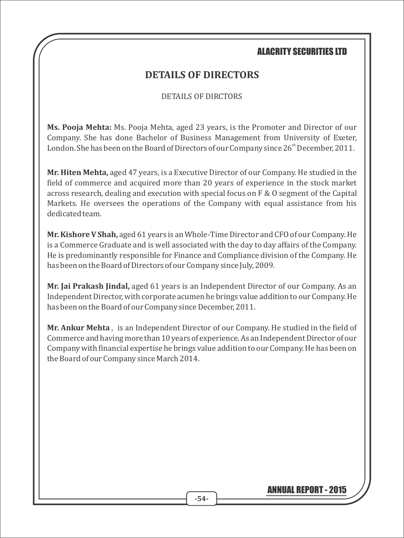## **DETAILS OF DIRECTORS**

### DETAILS OF DIRCTORS

**Ms. Pooja Mehta:** Ms. Pooja Mehta, aged 23 years, is the Promoter and Director of our Company. She has done Bachelor of Business Management from University of Exeter, London. She has been on the Board of Directors of our Company since  $26<sup>th</sup>$  December, 2011.

**Mr. Hiten Mehta,** aged 47 years, is a Executive Director of our Company. He studied in the field of commerce and acquired more than 20 years of experience in the stock market across research, dealing and execution with special focus on F & O segment of the Capital Markets. He oversees the operations of the Company with equal assistance from his dedicated team.

**Mr. Kishore V Shah,** aged 61 years is an Whole-Time Director and CFO of our Company. He is a Commerce Graduate and is well associated with the day to day affairs of the Company. He is predominantly responsible for Finance and Compliance division of the Company. He has been on the Board of Directors of our Company since July, 2009.

**Mr. Jai Prakash Jindal,** aged 61 years is an Independent Director of our Company. As an Independent Director, with corporate acumen he brings value addition to our Company. He has been on the Board of our Company since December, 2011.

**Mr. Ankur Mehta** , is an Independent Director of our Company. He studied in the field of Commerce and having more than 10 years of experience. As an Independent Director of our Company with financial expertise he brings value addition to our Company. He has been on the Board of our Company since March 2014.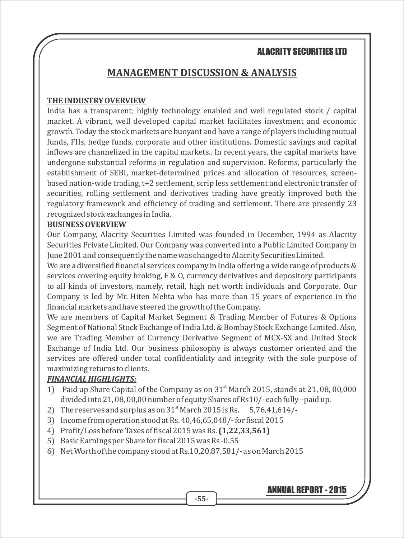ANNUAL REPORT - 2015

# **MANAGEMENT DISCUSSION & ANALYSIS**

### **THE INDUSTRY OVERVIEW**

India has a transparent; highly technology enabled and well regulated stock / capital market. A vibrant, well developed capital market facilitates investment and economic growth. Today the stock markets are buoyant and have a range of players including mutual funds, FIIs, hedge funds, corporate and other institutions. Domestic savings and capital inflows are channelized in the capital markets.. In recent years, the capital markets have undergone substantial reforms in regulation and supervision. Reforms, particularly the establishment of SEBI, market-determined prices and allocation of resources, screenbased nation-wide trading, t+2 settlement, scrip less settlement and electronic transfer of securities, rolling settlement and derivatives trading have greatly improved both the regulatory framework and efficiency of trading and settlement. There are presently 23 recognized stock exchanges in India.

### **BUSINESS OVERVIEW**

Our Company, Alacrity Securities Limited was founded in December, 1994 as Alacrity Securities Private Limited. Our Company was converted into a Public Limited Company in June 2001 and consequently the name was changed to Alacrity Securities Limited.

We are a diversified financial services company in India offering a wide range of products  $\&$ services covering equity broking, F & O, currency derivatives and depository participants to all kinds of investors, namely, retail, high net worth individuals and Corporate. Our Company is led by Mr. Hiten Mehta who has more than 15 years of experience in the financial markets and have steered the growth of the Company.

We are members of Capital Market Segment & Trading Member of Futures & Options Segment of National Stock Exchange of India Ltd. & Bombay Stock Exchange Limited. Also, we are Trading Member of Currency Derivative Segment of MCX-SX and United Stock Exchange of India Ltd. Our business philosophy is always customer oriented and the services are offered under total confidentiality and integrity with the sole purpose of maximizing returns to clients.

### *FINANCIAL HIGHLIGHTS:*

- 1) Paid up Share Capital of the Company as on  $31<sup>st</sup>$  March 2015, stands at 21, 08, 00,000 divided into 21, 08, 00,00 number of equity Shares of Rs10/- each fully –paid up.
- 2) The reserves and surplus as on  $31<sup>st</sup>$  March 2015 is Rs.  $5.76,41,614/$
- 3) Income from operation stood at Rs. 40,46,65,048/- for fiscal 2015
- 4) Profit/Loss before Taxes of fiscal 2015 was Rs. **(1,22,33,561)**
- 5) Basic Earnings per Share for fiscal 2015 was Rs -0.55
- 6) Net Worth of the company stood at Rs.10,20,87,581/- as on March 2015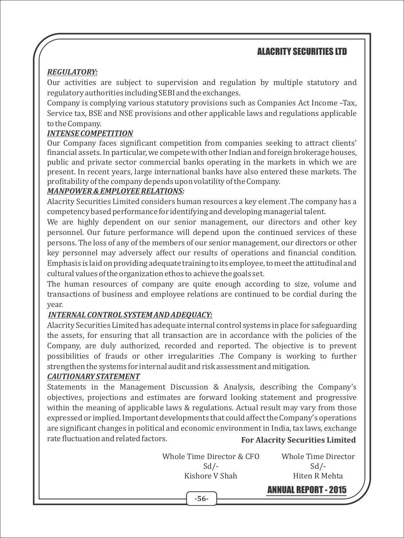## *REGULATORY:*

Our activities are subject to supervision and regulation by multiple statutory and regulatory authorities including SEBI and the exchanges.

Company is complying various statutory provisions such as Companies Act Income –Tax, Service tax, BSE and NSE provisions and other applicable laws and regulations applicable to the Company.

### *INTENSE COMPETITION*

Our Company faces significant competition from companies seeking to attract clients' financial assets. In particular, we compete with other Indian and foreign brokerage houses, public and private sector commercial banks operating in the markets in which we are present. In recent years, large international banks have also entered these markets. The profitability of the company depends upon volatility of the Company.

### *MANPOWER & EMPLOYEE RELATIONS:*

Alacrity Securities Limited considers human resources a key element .The company has a competency based performance for identifying and developing managerial talent.

We are highly dependent on our senior management, our directors and other key personnel. Our future performance will depend upon the continued services of these persons. The loss of any of the members of our senior management, our directors or other key personnel may adversely affect our results of operations and financial condition. Emphasis is laid on providing adequate training to its employee, to meet the attitudinal and cultural values of the organization ethos to achieve the goals set.

The human resources of company are quite enough according to size, volume and transactions of business and employee relations are continued to be cordial during the year.

## *INTERNAL CONTROL SYSTEM AND ADEQUACY:*

Alacrity Securities Limited has adequate internal control systems in place for safeguarding the assets, for ensuring that all transaction are in accordance with the policies of the Company, are duly authorized, recorded and reported. The objective is to prevent possibilities of frauds or other irregularities .The Company is working to further strengthen the systems for internal audit and risk assessment and mitigation.

### *CAUTIONARY STATEMENT*

Statements in the Management Discussion & Analysis, describing the Company's objectives, projections and estimates are forward looking statement and progressive within the meaning of applicable laws & regulations. Actual result may vary from those expressed or implied. Important developments that could affect the Company's operations are significant changes in political and economic environment in India, tax laws, exchange rate fluctuation and related factors. **For Alacrity Securities Limited**

| $-56-$                               | <b>ANNUAL REPORT - 2015</b> |
|--------------------------------------|-----------------------------|
| Kishore V Shah                       | $Sd$ /-<br>Hiten R Mehta    |
| Whole Time Director & CFO<br>$Sd$ /- | Whole Time Director         |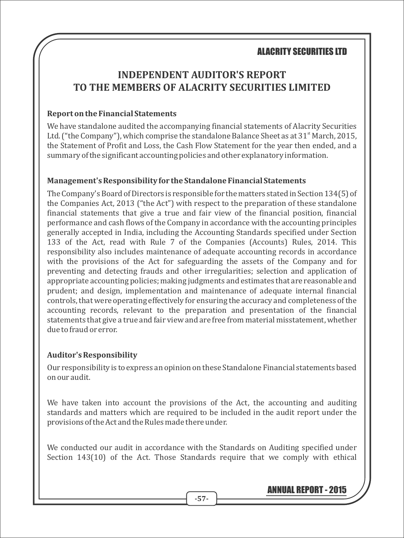ANNUAL REPORT - 2015

# **INDEPENDENT AUDITOR'S REPORT TO THE MEMBERS OF ALACRITY SECURITIES LIMITED**

### **Report on the Financial Statements**

We have standalone audited the accompanying financial statements of Alacrity Securities Ltd. ("the Company"), which comprise the standalone Balance Sheet as at  $31<sup>st</sup>$  March, 2015, the Statement of Profit and Loss, the Cash Flow Statement for the year then ended, and a summary of the significant accounting policies and other explanatory information.

### **Management's Responsibility for the Standalone Financial Statements**

The Company's Board of Directors is responsible for the matters stated in Section 134(5) of the Companies Act, 2013 ("the Act") with respect to the preparation of these standalone financial statements that give a true and fair view of the financial position, financial performance and cash flows of the Company in accordance with the accounting principles generally accepted in India, including the Accounting Standards specified under Section 133 of the Act, read with Rule 7 of the Companies (Accounts) Rules, 2014. This responsibility also includes maintenance of adequate accounting records in accordance with the provisions of the Act for safeguarding the assets of the Company and for preventing and detecting frauds and other irregularities; selection and application of appropriate accounting policies; making judgments and estimates that are reasonable and prudent; and design, implementation and maintenance of adequate internal financial controls, that were operating effectively for ensuring the accuracy and completeness of the accounting records, relevant to the preparation and presentation of the financial statements that give a true and fair view and are free from material misstatement, whether due to fraud or error.

#### **Auditor's Responsibility**

Our responsibility is to express an opinion on these Standalone Financial statements based on our audit.

We have taken into account the provisions of the Act, the accounting and auditing standards and matters which are required to be included in the audit report under the provisions of the Act and the Rules made there under.

We conducted our audit in accordance with the Standards on Auditing specified under Section 143(10) of the Act. Those Standards require that we comply with ethical

**-57-**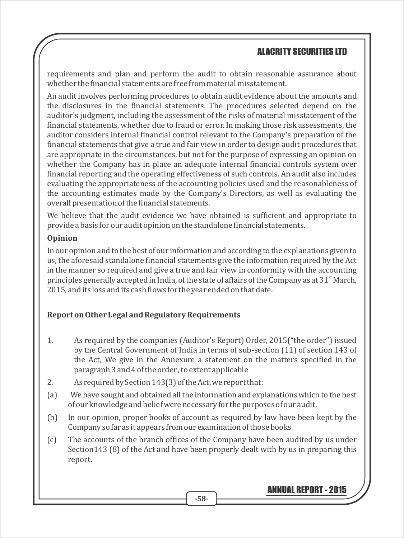ANNUAL REPORT - 2015

requirements and plan and perform the audit to obtain reasonable assurance about whether the financial statements are free from material misstatement.

An audit involves performing procedures to obtain audit evidence about the amounts and the disclosures in the financial statements. The procedures selected depend on the auditor's judgment, including the assessment of the risks of material misstatement of the financial statements, whether due to fraud or error. In making those risk assessments, the auditor considers internal financial control relevant to the Company's preparation of the financial statements that give a true and fair view in order to design audit procedures that are appropriate in the circumstances, but not for the purpose of expressing an opinion on whether the Company has in place an adequate internal financial controls system over financial reporting and the operating effectiveness of such controls. An audit also includes evaluating the appropriateness of the accounting policies used and the reasonableness of the accounting estimates made by the Company's Directors, as well as evaluating the overall presentation of the financial statements.

We believe that the audit evidence we have obtained is sufficient and appropriate to provide a basis for our audit opinion on the standalone financial statements.

#### **Opinion**

In our opinion and to the best of our information and according to the explanations given to us, the aforesaid standalone financial statements give the information required by the Act in the manner so required and give a true and fair view in conformity with the accounting principles generally accepted in India, of the state of affairs of the Company as at 31 $^{\text{st}}$  March, 2015, and its loss and its cash flows for the year ended on that date.

#### **Report on Other Legal and Regulatory Requirements**

- 1. As required by the companies (Auditor's Report) Order, 2015("the order") issued by the Central Government of India in terms of sub-section (11) of section 143 of the Act, We give in the Annexure a statement on the matters specified in the paragraph 3 and 4 of the order , to extent applicable
- 2. As required by Section 143(3) of the Act, we report that:
- (a) We have sought and obtained all the information and explanations which to the best of our knowledge and belief were necessary for the purposes of our audit.
- (b) In our opinion, proper books of account as required by law have been kept by the Company so far as it appears from our examination of those books
- (c) The accounts of the branch offices of the Company have been audited by us under Section143 (8) of the Act and have been properly dealt with by us in preparing this report.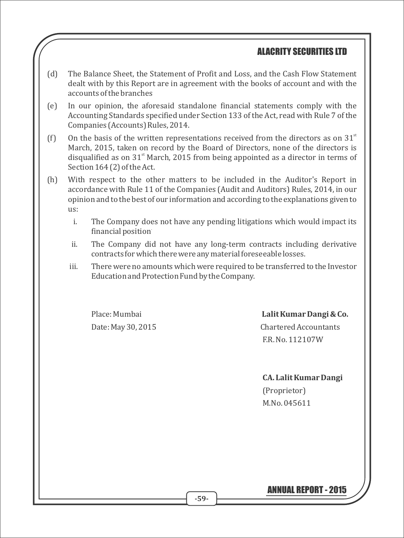- (d) The Balance Sheet, the Statement of Profit and Loss, and the Cash Flow Statement dealt with by this Report are in agreement with the books of account and with the accounts of the branches
- (e) In our opinion, the aforesaid standalone financial statements comply with the Accounting Standards specified under Section 133 of the Act, read with Rule 7 of the Companies (Accounts) Rules, 2014.
- (f) On the basis of the written representations received from the directors as on 31<sup>st</sup> March, 2015, taken on record by the Board of Directors, none of the directors is disqualified as on  $31<sup>st</sup>$  March, 2015 from being appointed as a director in terms of Section 164 (2) of the Act.
- (h) With respect to the other matters to be included in the Auditor's Report in accordance with Rule 11 of the Companies (Audit and Auditors) Rules, 2014, in our opinion and to the best of our information and according to the explanations given to us:
	- i. The Company does not have any pending litigations which would impact its . financial position
	- ii. The Company did not have any long-term contracts including derivative contracts for which there were any material foreseeable losses.
	- iii. There were no amounts which were required to be transferred to the Investor Education and Protection Fund by the Company.

Place: Mumbai **Lalit Kumar Dangi & Co.** Date: May 30, 2015 Chartered Accountants F.R. No. 112107W

**CA. Lalit Kumar Dangi**

(Proprietor) M.No. 045611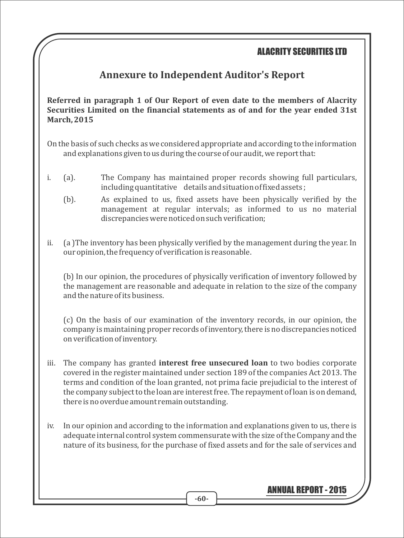ANNUAL REPORT - 2015

# **Annexure to Independent Auditor's Report**

**Referred in paragraph 1 of Our Report of even date to the members of Alacrity Securities Limited on the financial statements as of and for the year ended 31st March, 2015** 

On the basis of such checks as we considered appropriate and according to the information and explanations given to us during the course of our audit, we report that:

- i. (a). The Company has maintained proper records showing full particulars, including quantitative details and situation of fixed assets;
	- (b). As explained to us, fixed assets have been physically verified by the management at regular intervals; as informed to us no material discrepancies were noticed on such verification;
- ii. (a )The inventory has been physically verified by the management during the year. In our opinion, the frequency of verification is reasonable.

(b) In our opinion, the procedures of physically verification of inventory followed by the management are reasonable and adequate in relation to the size of the company and the nature of its business.

(c) On the basis of our examination of the inventory records, in our opinion, the company is maintaining proper records of inventory, there is no discrepancies noticed on verification of inventory.

- iii. The company has granted **interest free unsecured loan** to two bodies corporate covered in the register maintained under section 189 of the companies Act 2013. The terms and condition of the loan granted, not prima facie prejudicial to the interest of the company subject to the loan are interest free. The repayment of loan is on demand, there is no overdue amount remain outstanding.
- iv. In our opinion and according to the information and explanations given to us, there is adequate internal control system commensurate with the size of the Company and the nature of its business, for the purchase of fixed assets and for the sale of services and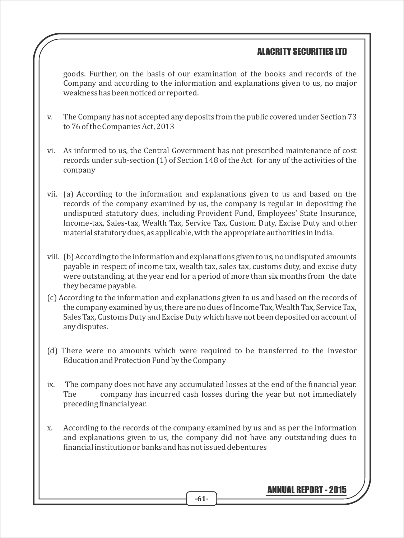ANNUAL REPORT - 2015

goods. Further, on the basis of our examination of the books and records of the Company and according to the information and explanations given to us, no major weakness has been noticed or reported.

- v. The Company has not accepted any deposits from the public covered under Section 73 to 76 of the Companies Act, 2013
- vi. As informed to us, the Central Government has not prescribed maintenance of cost records under sub-section (1) of Section 148 of the Act for any of the activities of the company
- vii. (a) According to the information and explanations given to us and based on the records of the company examined by us, the company is regular in depositing the undisputed statutory dues, including Provident Fund, Employees' State Insurance, Income-tax, Sales-tax, Wealth Tax, Service Tax, Custom Duty, Excise Duty and other material statutory dues, as applicable, with the appropriate authorities in India.
- viii. (b) According to the information and explanations given to us, no undisputed amounts payable in respect of income tax, wealth tax, sales tax, customs duty, and excise duty were outstanding, at the year end for a period of more than six months from the date they became payable.
- (c) According to the information and explanations given to us and based on the records of the company examined by us, there are no dues of Income Tax, Wealth Tax, Service Tax, Sales Tax, Customs Duty and Excise Duty which have not been deposited on account of any disputes.
- (d) There were no amounts which were required to be transferred to the Investor Education and Protection Fund by the Company
- ix. The company does not have any accumulated losses at the end of the financial year. The company has incurred cash losses during the year but not immediately preceding financial year.
- x. According to the records of the company examined by us and as per the information and explanations given to us, the company did not have any outstanding dues to financial institution or banks and has not issued debentures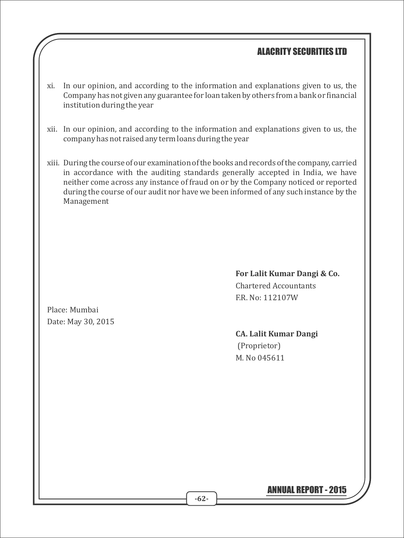- xi. In our opinion, and according to the information and explanations given to us, the Company has not given any guarantee for loan taken by others from a bank or financial institution during the year
- xii. In our opinion, and according to the information and explanations given to us, the company has not raised any term loans during the year
- xiii. During the course of our examination of the books and records of the company, carried in accordance with the auditing standards generally accepted in India, we have neither come across any instance of fraud on or by the Company noticed or reported during the course of our audit nor have we been informed of any such instance by the Management

**For Lalit Kumar Dangi & Co.**

 Chartered Accountants F.R. No: 112107W

Place: Mumbai Date: May 30, 2015

### **CA. Lalit Kumar Dangi**

 (Proprietor) M. No 045611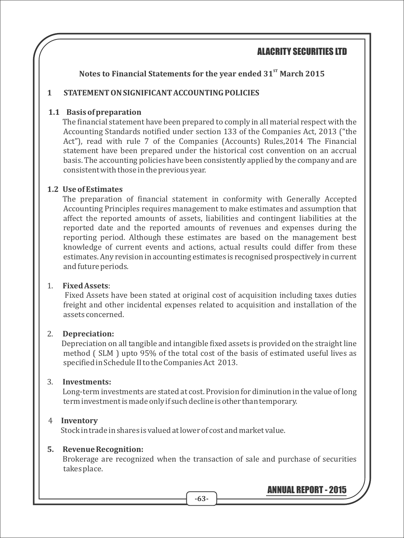ANNUAL REPORT - 2015

Notes to Financial Statements for the year ended 31<sup>st</sup> March 2015

#### **1 STATEMENT ON SIGNIFICANT ACCOUNTING POLICIES**

### **1.1 Basis of preparation**

The financial statement have been prepared to comply in all material respect with the Accounting Standards notified under section 133 of the Companies Act, 2013 ("the Act"), read with rule 7 of the Companies (Accounts) Rules,2014 The Financial statement have been prepared under the historical cost convention on an accrual basis. The accounting policies have been consistently applied by the company and are consistent with those in the previous year.

### **1.2 Use of Estimates**

The preparation of financial statement in conformity with Generally Accepted Accounting Principles requires management to make estimates and assumption that affect the reported amounts of assets, liabilities and contingent liabilities at the reported date and the reported amounts of revenues and expenses during the reporting period. Although these estimates are based on the management best knowledge of current events and actions, actual results could differ from these estimates. Any revision in accounting estimates is recognised prospectively in current and future periods.

#### 1. **Fixed Assets**:

Fixed Assets have been stated at original cost of acquisition including taxes duties freight and other incidental expenses related to acquisition and installation of the assets concerned.

#### 2. **Depreciation:**

Depreciation on all tangible and intangible fixed assets is provided on the straight line method ( SLM ) upto 95% of the total cost of the basis of estimated useful lives as specified in Schedule II to the Companies Act 2013.

#### 3. **Investments:**

Long-term investments are stated at cost. Provision for diminution in the value of long term investment is made only if such decline is other than temporary.

#### 4 **Inventory**

Stock in trade in shares is valued at lower of cost and market value.

#### **5. Revenue Recognition:**

 Brokerage are recognized when the transaction of sale and purchase of securities takes place.

**-63-**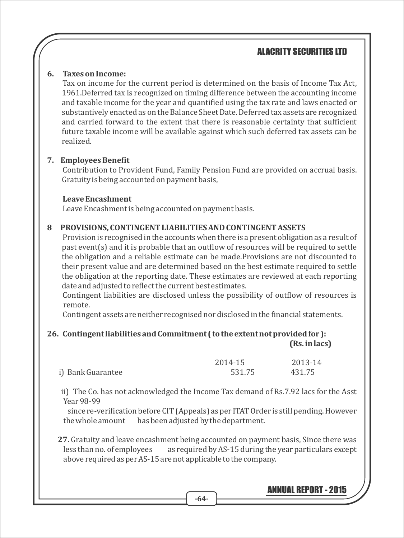ANNUAL REPORT - 2015

### **6. Taxes on Income:**

Tax on income for the current period is determined on the basis of Income Tax Act, 1961.Deferred tax is recognized on timing difference between the accounting income and taxable income for the year and quantified using the tax rate and laws enacted or substantively enacted as on the Balance Sheet Date. Deferred tax assets are recognized and carried forward to the extent that there is reasonable certainty that sufficient future taxable income will be available against which such deferred tax assets can be realized.

### **7. Employees Benefit**

Contribution to Provident Fund, Family Pension Fund are provided on accrual basis. Gratuity is being accounted on payment basis,

### **Leave Encashment**

Leave Encashment is being accounted on payment basis.

### **8 PROVISIONS, CONTINGENT LIABILITIES AND CONTINGENT ASSETS**

Provision is recognised in the accounts when there is a present obligation as a result of past event(s) and it is probable that an outflow of resources will be required to settle the obligation and a reliable estimate can be made.Provisions are not discounted to their present value and are determined based on the best estimate required to settle the obligation at the reporting date. These estimates are reviewed at each reporting date and adjusted to reflect the current best estimates.

Contingent liabilities are disclosed unless the possibility of outflow of resources is remote.

Contingent assets are neither recognised nor disclosed in the financial statements.

### **26. Contingent liabilities and Commitment ( to the extent not provided for ): (Rs. in lacs)**

|                   | 2014-15 | 2013-14 |
|-------------------|---------|---------|
| i) Bank Guarantee | 531.75  | 431.75  |

ii) The Co. has not acknowledged the Income Tax demand of Rs.7.92 lacs for the Asst Year 98-99

since re-verification before CIT (Appeals) as per ITAT Order is still pending. However the whole amount has been adjusted by the department.

**27.** Gratuity and leave encashment being accounted on payment basis, Since there was less than no. of employees as required by AS-15 during the year particulars except above required as per AS-15 are not applicable to the company.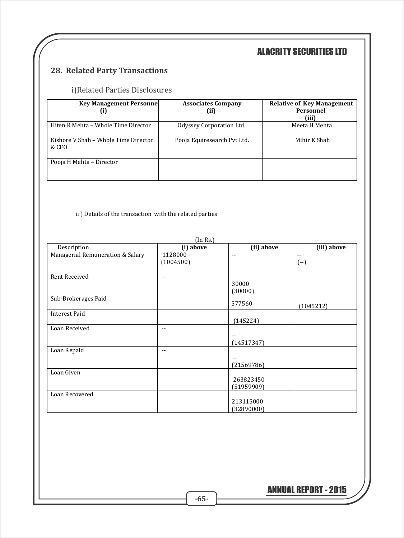## **28. Related Party Transactions**

### i) Related Parties Disclosures

| <b>Key Management Personnel</b>               | <b>Associates Company</b>   | <b>Relative of Key Management</b> |  |  |
|-----------------------------------------------|-----------------------------|-----------------------------------|--|--|
|                                               | (ii)                        | Personnel<br>(iii)                |  |  |
| Hiten R Mehta - Whole Time Director           | Odyssey Corporation Ltd.    | Meeta H Mehta                     |  |  |
| Kishore V Shah - Whole Time Director<br>& CFO | Pooja Equiresearch Pvt Ltd. | Mihir K Shah                      |  |  |
| Pooja H Mehta - Director                      |                             |                                   |  |  |
|                                               |                             |                                   |  |  |

ii ) Details of the transaction with the related parties

| Description                      | (i) above            | (ii) above              | (iii) above                       |
|----------------------------------|----------------------|-------------------------|-----------------------------------|
| Managerial Remuneration & Salary | 1128000<br>(1004500) | $-$                     | $\overline{\phantom{a}}$<br>$(-)$ |
| <b>Rent Received</b>             | $-$                  | 30000<br>(30000)        |                                   |
| Sub-Brokerages Paid              |                      | 577560                  | (1045212)                         |
| <b>Interest Paid</b>             |                      | (145224)                |                                   |
| Loan Received                    | $- -$                | (14517347)              |                                   |
| Loan Repaid                      | $- -$                | (21569786)              |                                   |
| Loan Given                       |                      | 263823450<br>(51959909) |                                   |
| Loan Recovered                   |                      | 213115000<br>(32890000) |                                   |

 $(\ln \mathrm{Re})$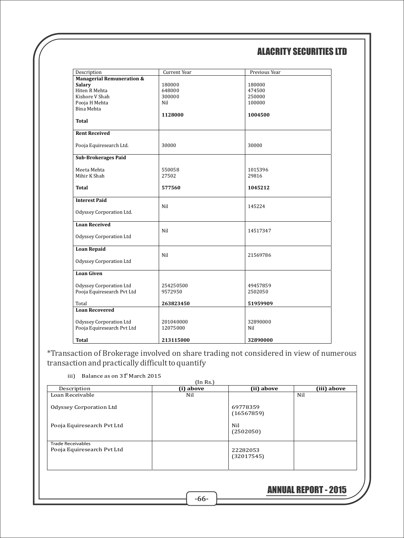ANNUAL REPORT - 2015

| Description                          | Current Year | Previous Year |  |
|--------------------------------------|--------------|---------------|--|
| <b>Managerial Remuneration &amp;</b> |              |               |  |
| <b>Salary</b>                        | 180000       | 180000        |  |
| Hiten R Mehta                        | 648000       | 474500        |  |
| Kishore V Shah                       | 300000       | 250000        |  |
| Pooja H Mehta                        | Nil          | 100000        |  |
| <b>Bina Mehta</b>                    |              |               |  |
|                                      | 1128000      | 1004500       |  |
| <b>Total</b>                         |              |               |  |
|                                      |              |               |  |
| <b>Rent Received</b>                 |              |               |  |
|                                      |              |               |  |
| Pooja Equiresearch Ltd.              | 30000        | 30000         |  |
|                                      |              |               |  |
|                                      |              |               |  |
| <b>Sub-Brokerages Paid</b>           |              |               |  |
| Meeta Mehta                          |              |               |  |
|                                      | 550058       | 1015396       |  |
| Mihir K Shah                         | 27502        | 29816         |  |
|                                      |              |               |  |
| <b>Total</b>                         | 577560       | 1045212       |  |
|                                      |              |               |  |
| <b>Interest Paid</b>                 |              |               |  |
|                                      | Nil          | 145224        |  |
| Odyssey Corporation Ltd.             |              |               |  |
|                                      |              |               |  |
| <b>Loan Received</b>                 |              |               |  |
|                                      | Nil          | 14517347      |  |
| <b>Odyssey Corporation Ltd</b>       |              |               |  |
|                                      |              |               |  |
| <b>Loan Repaid</b>                   |              |               |  |
|                                      | Nil          | 21569786      |  |
| <b>Odyssey Corporation Ltd</b>       |              |               |  |
|                                      |              |               |  |
| Loan Given                           |              |               |  |
|                                      |              |               |  |
| <b>Odyssey Corporation Ltd</b>       | 254250500    | 49457859      |  |
| Pooja Equiresearch Pvt Ltd           | 9572950      | 2502050       |  |
|                                      |              |               |  |
| Total                                | 263823450    | 51959909      |  |
| <b>Loan Recovered</b>                |              |               |  |
|                                      |              |               |  |
| <b>Odyssey Corporation Ltd</b>       | 201040000    | 32890000      |  |
| Pooja Equiresearch Pvt Ltd           | 12075000     | Nil           |  |
|                                      |              |               |  |
| Total                                | 213115000    | 32890000      |  |

\*Transaction of Brokerage involved on share trading not considered in view of numerous transaction and practically difficult to quantify

iii) Balance as on  $3f<sup>t</sup>$  March 2015

|                                                        | (In Rs.)  |                        |             |
|--------------------------------------------------------|-----------|------------------------|-------------|
| Description                                            | (i) above | (ii) above             | (iii) above |
| Loan Receivable                                        | Nil       |                        | Nil         |
| Odyssey Corporation Ltd                                |           | 69778359<br>(16567859) |             |
| Pooja Equiresearch Pvt Ltd                             |           | Nil<br>(2502050)       |             |
| <b>Trade Receivables</b><br>Pooja Equiresearch Pvt Ltd |           | 22282053<br>(32017545) |             |

**-66-**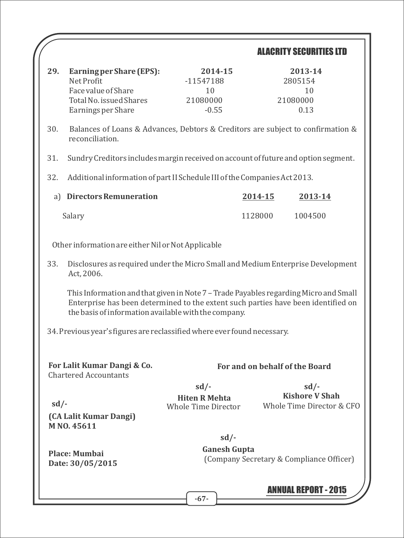# **-67-** ALACRITY SECURITIES LTD **29. Earning per Share (EPS): 2014-15 2013-14** Net Profit -11547188 2805154 Face value of Share 10 10 10 Total No. issued Shares 21080000 21080000 Earnings per Share -0.55 0.13 30. Balances of Loans & Advances, Debtors & Creditors are subject to confirmation & reconciliation. 31. Sundry Creditors includes margin received on account of future and option segment. 32. Additional information of part II Schedule III of the Companies Act 2013. a) **Directors Remuneration 2014-15 2013-14** Salary 1128000 1004500 Other information are either Nil or Not Applicable 33. Disclosures as required under the Micro Small and Medium Enterprise Development Act, 2006. This Information and that given in Note 7 – Trade Payables regarding Micro and Small Enterprise has been determined to the extent such parties have been identified on the basis of information available with the company. 34. Previous year's figures are reclassified where ever found necessary. ANNUAL REPORT - 2015 **(CA Lalit Kumar Dangi) M NO. 45611 For Lalit Kumar Dangi & Co.** Chartered Accountants **For and on behalf of the Board Hiten R Mehta Kishore V Shah**<br>Whole Time Director **Kishore V Shah** Whole Time Director & CFO **Ganesh Gupta** (Company Secretary & Compliance Officer) **Place: Mumbai Date: 30/05/2015 sd/- sd/ sd/ sd/-**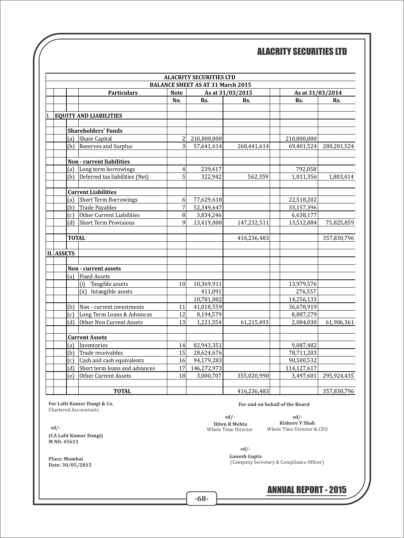|                   |              |                                                            |                 | <b>ALACRITY SECURITIES LTD</b><br><b>BALANCE SHEET AS AT 31 March 2015</b> |                  |                        |             |
|-------------------|--------------|------------------------------------------------------------|-----------------|----------------------------------------------------------------------------|------------------|------------------------|-------------|
|                   |              | <b>Particulars</b>                                         | <b>Note</b>     |                                                                            | As at 31/03/2015 | As at 31/03/2014       |             |
|                   |              |                                                            | No.             | Rs.                                                                        | Rs.              | Rs.                    | Rs.         |
|                   |              |                                                            |                 |                                                                            |                  |                        |             |
|                   |              | <b>EQUITY AND LIABILITIES</b>                              |                 |                                                                            |                  |                        |             |
|                   |              |                                                            |                 |                                                                            |                  |                        |             |
|                   |              | <b>Shareholders' Funds</b>                                 |                 |                                                                            |                  |                        |             |
|                   | (a)          | Share Capital                                              | 2               | 210,800,000                                                                |                  | 210,800,000            |             |
|                   |              | (b) Reserves and Surplus                                   | 3               | 57,641,614                                                                 | 268,441,614      | 69,401,524             | 280,201,524 |
|                   |              |                                                            |                 |                                                                            |                  |                        |             |
|                   |              | Non - current liabilities                                  |                 |                                                                            |                  |                        |             |
|                   | (a)          | Long term borrowings                                       | 4               | 239,417                                                                    |                  | 792,058                |             |
|                   |              | (b) Deferred tax liabilities (Net)                         | 5               | 322,942                                                                    | 562,359          | 1,011,356              | 1,803,414   |
|                   |              |                                                            |                 |                                                                            |                  |                        |             |
|                   |              | <b>Current Liabilities</b>                                 |                 |                                                                            |                  |                        |             |
|                   | (a)          | Short Term Borrowings                                      | $\overline{6}$  | 77,629,618                                                                 |                  | 22,518,202             |             |
|                   |              | (b) Trade Payables                                         | 7               | 52,349,647                                                                 |                  | 33,157,396             |             |
|                   |              | (c) Other Current Liabilities                              | 8               | 3,834,246                                                                  |                  | 6,638,177              |             |
|                   | (d)          | Short Term Provisions                                      | $\mathbf{Q}$    | 13,419,000                                                                 | 147,232,511      | 13,512,084             | 75,825,859  |
|                   |              |                                                            |                 |                                                                            |                  |                        |             |
|                   | <b>TOTAL</b> |                                                            |                 |                                                                            | 416,236,483      |                        | 357,830,796 |
|                   |              |                                                            |                 |                                                                            |                  |                        |             |
| <b>II. ASSETS</b> |              |                                                            |                 |                                                                            |                  |                        |             |
|                   |              |                                                            |                 |                                                                            |                  |                        |             |
|                   |              | <b>Non - current assets</b><br><b>Fixed Assets</b>         |                 |                                                                            |                  |                        |             |
|                   | (a)          |                                                            |                 |                                                                            |                  |                        |             |
|                   |              | Tangible assets<br>(i)                                     | 10 <sup>1</sup> | 10,369,911                                                                 |                  | 13,979,576             |             |
|                   |              | (ii) Intangible assets                                     |                 | 411,091                                                                    |                  | 276,557                |             |
|                   |              |                                                            |                 | 10,781,002                                                                 |                  | 14,256,133             |             |
|                   |              | (b) Non - current investments                              | 11              | 41,018,559                                                                 |                  | 36,678,919             |             |
|                   | (d)          | (c) Long Term Loans & Advances<br>Other Non Current Assets | 12<br>13        | 8,194,579<br>1,221,354                                                     |                  | 8,887,279<br>2,084,030 |             |
|                   |              |                                                            |                 |                                                                            | 61,215,493       |                        | 61,906,361  |
|                   |              | <b>Current Assets</b>                                      |                 |                                                                            |                  |                        |             |
|                   |              | (a) Inventories                                            | 14              | 82,943,351                                                                 |                  | 9,087,482              |             |
|                   |              | (b) Trade receivables                                      | 15              | 28,624,676                                                                 |                  | 78,711,203             |             |
|                   |              | $(c)$ Cash and cash equivalents                            | 16              | 94,179,283                                                                 |                  | 90,500,532             |             |
|                   |              | (d) Short term loans and advances                          | 17              | 146,272,973                                                                |                  | 114,127,617            |             |
|                   | (e)          | Other Current Assets                                       | 18              | 3,000,707                                                                  | 355,020,990      | 3,497,601              | 295,924,435 |
|                   |              |                                                            |                 |                                                                            |                  |                        |             |
|                   |              | <b>TOTAL</b>                                               |                 |                                                                            | 416,236,483      |                        | 357,830,796 |

**For Lalit Kumar Dangi & Co.** Chartered Accountants

**sd/-**

**(CA Lalit Kumar Dangi) M NO. 45611**

**Date: 30/05/2015**

**For and on behalf of the Board**

**Hiten R Mehta Kishore V Shah sd/- sd/-** Whole Time Director Whole Time Director & CFO

**Ganesh Gupta** Pla**ce: Mumbai**<br> **Place: Mumbai**<br> **Place: S0/05/2015** (Company Secretary & Compliance Officer) **sd/-**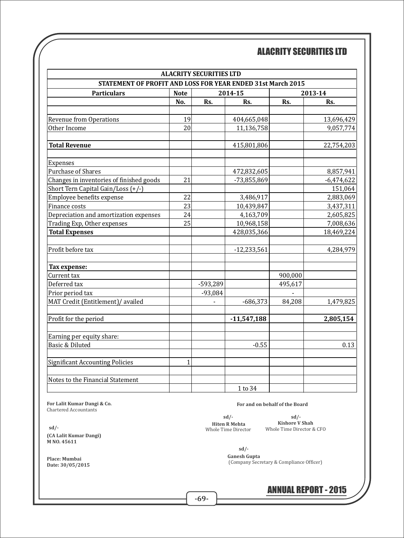| <b>ALACRITY SECURITIES LTD</b>                              |                 |                |               |         |              |  |  |
|-------------------------------------------------------------|-----------------|----------------|---------------|---------|--------------|--|--|
| STATEMENT OF PROFIT AND LOSS FOR YEAR ENDED 31st March 2015 |                 |                |               |         |              |  |  |
| <b>Particulars</b>                                          | <b>Note</b>     |                | 2014-15       | 2013-14 |              |  |  |
|                                                             | No.             | Rs.            | Rs.           | Rs.     | Rs.          |  |  |
| Revenue from Operations                                     | 19              |                | 404,665,048   |         | 13,696,429   |  |  |
| Other Income                                                | 20 <sup>1</sup> |                | 11,136,758    |         | 9,057,774    |  |  |
| <b>Total Revenue</b>                                        |                 |                | 415,801,806   |         | 22,754,203   |  |  |
| Expenses                                                    |                 |                |               |         |              |  |  |
| Purchase of Shares                                          |                 |                | 472,832,605   |         | 8,857,941    |  |  |
| Changes in inventories of finished goods                    | 21              |                | -73,855,869   |         | $-6,474,622$ |  |  |
| Short Tern Capital Gain/Loss (+/-)                          |                 |                |               |         | 151,064      |  |  |
| Employee benefits expense                                   | 22              | 23<br>24<br>25 | 3,486,917     |         | 2,883,069    |  |  |
| Finance costs                                               |                 |                | 10,439,847    |         | 3,437,311    |  |  |
| Depreciation and amortization expenses                      |                 |                | 4,163,709     |         | 2,605,825    |  |  |
| Trading Exp, Other expenses                                 |                 |                | 10,968,158    |         | 7,008,636    |  |  |
| <b>Total Expenses</b>                                       |                 |                | 428,035,366   |         | 18,469,224   |  |  |
| Profit before tax                                           |                 |                | $-12,233,561$ |         | 4,284,979    |  |  |
| Tax expense:                                                |                 |                |               |         |              |  |  |
| Current tax                                                 |                 |                |               | 900,000 |              |  |  |
| Deferred tax                                                |                 | $-593,289$     |               | 495,617 |              |  |  |
| Prior period tax                                            |                 | -93,084        |               |         |              |  |  |
| MAT Credit (Entitlement)/ availed                           |                 |                | $-686,373$    | 84,208  | 1,479,825    |  |  |
| Profit for the period                                       |                 |                | $-11,547,188$ |         | 2,805,154    |  |  |
| Earning per equity share:                                   |                 |                |               |         |              |  |  |
| Basic & Diluted                                             |                 |                | $-0.55$       |         | 0.13         |  |  |
| <b>Significant Accounting Policies</b>                      | $\mathbf{1}$    |                |               |         |              |  |  |
| Notes to the Financial Statement                            |                 |                |               |         |              |  |  |
|                                                             |                 |                | 1 to 34       |         |              |  |  |

**For Lalit Kumar Dangi & Co.** Chartered Accountants

**For and on behalf of the Board**

**Hiten R Mehta**<br>Whole Time Director

Whole Time Director & CFO **sd/- sd/-**

**(CA Lalit Kumar Dangi) M NO. 45611 sd/-**

**Date: 30/05/2015**

**Ganesh Gupta** Pla**ce: Mumbai<br>
Place: Mumbai<br>
Date: 30/05/2015** (Company Secretary & Compliance Officer) **sd/-**



**-69-**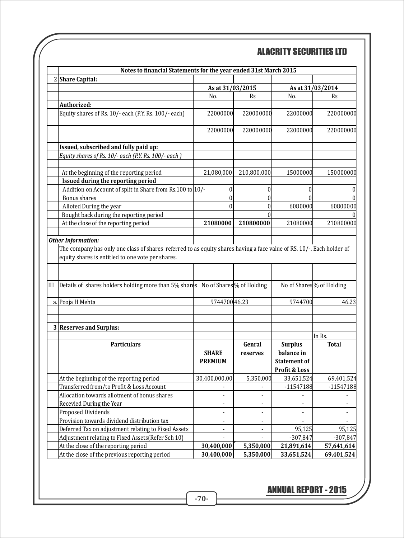|   | Notes to financial Statements for the year ended 31st March 2015                                                                                                           |                                |                    |                                                                      |                                                               |
|---|----------------------------------------------------------------------------------------------------------------------------------------------------------------------------|--------------------------------|--------------------|----------------------------------------------------------------------|---------------------------------------------------------------|
|   | 2 Share Capital:                                                                                                                                                           |                                |                    |                                                                      |                                                               |
|   |                                                                                                                                                                            | As at 31/03/2015               |                    |                                                                      | As at 31/03/2014                                              |
|   |                                                                                                                                                                            | No.                            | Rs                 | No.                                                                  | Rs                                                            |
|   | Authorized:                                                                                                                                                                |                                |                    |                                                                      |                                                               |
|   | Equity shares of Rs. 10/- each (P.Y. Rs. 100/- each)                                                                                                                       | 22000000                       | 220000000          | 22000000                                                             | 220000000                                                     |
|   |                                                                                                                                                                            |                                |                    |                                                                      |                                                               |
|   |                                                                                                                                                                            | 22000000                       | 220000000          | 22000000                                                             | 220000000                                                     |
|   | Issued, subscribed and fully paid up:                                                                                                                                      |                                |                    |                                                                      |                                                               |
|   | Equity shares of Rs. 10/- each (P.Y. Rs. 100/- each)                                                                                                                       |                                |                    |                                                                      |                                                               |
|   |                                                                                                                                                                            |                                |                    |                                                                      |                                                               |
|   | At the beginning of the reporting period                                                                                                                                   | 21,080,000                     | 210,800,000        | 15000000                                                             | 150000000                                                     |
|   | Issued during the reporting period                                                                                                                                         |                                |                    |                                                                      |                                                               |
|   | Addition on Account of split in Share from Rs.100 to 10/-                                                                                                                  | 0                              | $\boldsymbol{0}$   | $\theta$                                                             | $\theta$                                                      |
|   | <b>Bonus</b> shares                                                                                                                                                        | $\overline{0}$                 | $\mathbf{0}$       | $\theta$                                                             | 0                                                             |
|   | Alloted During the year                                                                                                                                                    | 0                              | $\theta$           | 6080000                                                              | 60800000                                                      |
|   | Bought back during the reporting period                                                                                                                                    |                                | $\Omega$           |                                                                      |                                                               |
|   | At the close of the reporting period                                                                                                                                       | 21080000                       | 210800000          | 21080000                                                             | 210800000                                                     |
|   |                                                                                                                                                                            |                                |                    |                                                                      |                                                               |
|   | <b>Other Information:</b>                                                                                                                                                  |                                |                    |                                                                      |                                                               |
|   |                                                                                                                                                                            |                                |                    |                                                                      |                                                               |
|   | The company has only one class of shares referred to as equity shares having a face value of RS. 10/-. Each holder of<br>equity shares is entitled to one vote per shares. |                                |                    |                                                                      |                                                               |
|   | Details of shares holders holding more than 5% shares No of Shares % of Holding                                                                                            |                                |                    |                                                                      | No of Shares % of Holding                                     |
|   | a. Pooja H Mehta                                                                                                                                                           | 9744700 46.23                  |                    | 9744700                                                              |                                                               |
|   |                                                                                                                                                                            |                                |                    |                                                                      |                                                               |
|   |                                                                                                                                                                            |                                |                    |                                                                      |                                                               |
|   | 3 Reserves and Surplus:                                                                                                                                                    |                                |                    |                                                                      |                                                               |
| Ш |                                                                                                                                                                            |                                |                    |                                                                      | In Rs.                                                        |
|   | <b>Particulars</b>                                                                                                                                                         | <b>SHARE</b><br><b>PREMIUM</b> | Genral<br>reserves | <b>Surplus</b><br>balance in<br><b>Statement of</b><br>Profit & Loss | 46.23<br><b>Total</b>                                         |
|   | At the beginning of the reporting period                                                                                                                                   | 30,400,000.00                  | 5,350,000          | 33,651,524                                                           |                                                               |
|   | Transferred from/to Profit & Loss Account                                                                                                                                  |                                |                    | -11547188                                                            |                                                               |
|   | Allocation towards allotment of bonus shares                                                                                                                               |                                |                    |                                                                      |                                                               |
|   | Recevied During the Year                                                                                                                                                   |                                |                    | $\overline{\phantom{a}}$                                             |                                                               |
|   | <b>Proposed Dividends</b>                                                                                                                                                  |                                |                    |                                                                      |                                                               |
|   | Provision towards dividend distribution tax                                                                                                                                |                                |                    |                                                                      |                                                               |
|   | Deferred Tax on adjustment relating to Fixed Assets                                                                                                                        |                                |                    | 95,125                                                               |                                                               |
|   | Adjustment relating to Fixed Assets(Refer Sch 10)                                                                                                                          |                                |                    | $-307,847$                                                           |                                                               |
|   | At the close of the reporting period                                                                                                                                       | 30,400,000                     | 5,350,000          | 21,891,614                                                           | 69,401,524<br>-11547188<br>95,125<br>$-307,847$<br>57,641,614 |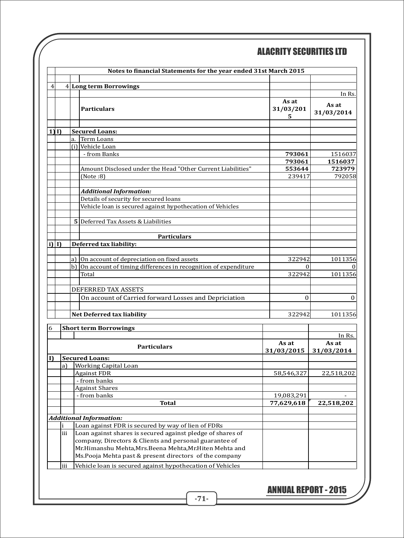| 4        |     |                                                                      |                         |                     |
|----------|-----|----------------------------------------------------------------------|-------------------------|---------------------|
|          |     | 4 Long term Borrowings                                               |                         | In Rs.              |
|          |     | <b>Particulars</b>                                                   | As at<br>31/03/201<br>5 | As at<br>31/03/2014 |
| $1$ ] I) |     | <b>Secured Loans:</b>                                                |                         |                     |
|          |     | Term Loans<br>a.                                                     |                         |                     |
|          |     | (i) Vehicle Loan                                                     |                         |                     |
|          |     | - from Banks                                                         | 793061                  | 1516037             |
|          |     |                                                                      | 793061                  | 1516037             |
|          |     | Amount Disclosed under the Head "Other Current Liabilities"          | 553644                  | 723979              |
|          |     | (Note :8)                                                            | 239417                  | 792058              |
|          |     |                                                                      |                         |                     |
|          |     | <b>Additional Information:</b>                                       |                         |                     |
|          |     | Details of security for secured loans                                |                         |                     |
|          |     | Vehicle loan is secured against hypothecation of Vehicles            |                         |                     |
|          |     | <b>5</b> Deferred Tax Assets & Liabilities                           |                         |                     |
|          |     |                                                                      |                         |                     |
|          |     | <b>Particulars</b>                                                   |                         |                     |
| i) II)   |     | Deferred tax liability:                                              |                         |                     |
|          |     |                                                                      |                         |                     |
|          |     | On account of depreciation on fixed assets<br>a)                     | 322942                  | 1011356             |
|          |     | On account of timing differences in recognition of expenditure<br>b) | $\Omega$                |                     |
|          |     | Total                                                                | 322942                  | 1011356             |
|          |     | DEFERRED TAX ASSETS                                                  |                         |                     |
|          |     | On account of Carried forward Losses and Depriciation                | 0                       | $\mathbf{0}$        |
|          |     |                                                                      |                         |                     |
|          |     | Net Deferred tax liability                                           | 322942                  | 1011356             |
|          |     |                                                                      |                         |                     |
| 6        |     | <b>Short term Borrowings</b>                                         |                         |                     |
|          |     |                                                                      |                         | In Rs.              |
|          |     | <b>Particulars</b>                                                   | As at<br>31/03/2015     | As at<br>31/03/2014 |
| n        |     | <b>Secured Loans:</b>                                                |                         |                     |
|          | a)  | <b>Working Capital Loan</b>                                          |                         |                     |
|          |     | <b>Against FDR</b>                                                   | 58,546,327              | 22,518,202          |
|          |     | - from banks                                                         |                         |                     |
|          |     | <b>Against Shares</b>                                                |                         |                     |
|          |     | - from banks                                                         | 19,083,291              |                     |
|          |     | Total                                                                | 77,629,618              | 22,518,202          |
|          |     | <b>Additional Information:</b>                                       |                         |                     |
|          |     | Loan against FDR is secured by way of lien of FDRs                   |                         |                     |
|          | iii | Loan against shares is secured against pledge of shares of           |                         |                     |
|          |     | company, Directors & Clients and personal guarantee of               |                         |                     |
|          |     | Mr.Himanshu Mehta, Mrs.Beena Mehta, Mr.Hiten Mehta and               |                         |                     |
|          |     | Ms.Pooja Mehta past & present directors of the company               |                         |                     |
|          |     | Vehicle loan is secured against hypothecation of Vehicles            |                         |                     |
|          | iii |                                                                      |                         |                     |

**-71-**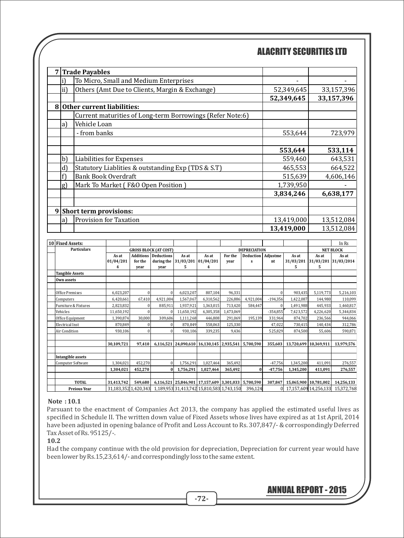ANNUAL REPORT - 2015

|                |     | <b>Trade Payables</b>                                     |            |            |
|----------------|-----|-----------------------------------------------------------|------------|------------|
|                |     | To Micro, Small and Medium Enterprises                    |            |            |
|                | ii) | Others (Amt Due to Clients, Margin & Exchange)            | 52,349,645 | 33,157,396 |
|                |     |                                                           | 52,349,645 | 33,157,396 |
| 8 <sup>1</sup> |     | <b>Other current liabilities:</b>                         |            |            |
|                |     | Current maturities of Long-term Borrowings (Refer Note:6) |            |            |
|                | a)  | Vehicle Loan                                              |            |            |
|                |     | - from banks                                              | 553,644    | 723.979    |
|                |     |                                                           |            |            |
|                |     |                                                           | 553,644    | 533,114    |
|                | b)  | Liabilities for Expenses                                  | 559,460    | 643,531    |
|                | d١  | Statutory Liablities & outstanding Exp (TDS & S.T)        | 465,553    | 664,522    |
|                | f)  | <b>Bank Book Overdraft</b>                                | 515,639    | 4,606,146  |
|                | g)  | Mark To Market (F&O Open Position)                        | 1,739,950  |            |
|                |     |                                                           | 3,834,246  | 6,638,177  |
|                |     |                                                           |            |            |
| 9              |     | Short term provisions:                                    |            |            |
|                | a)  | Provision for Taxation                                    | 13,419,000 | 13,512,084 |
|                |     |                                                           | 13,419,000 | 13,512,084 |

| 10 | <b>Fixed Assets:</b>   |                         |                                     |                                         |                         |                                           |                 |                                |              |                               |                       | In Rs                         |
|----|------------------------|-------------------------|-------------------------------------|-----------------------------------------|-------------------------|-------------------------------------------|-----------------|--------------------------------|--------------|-------------------------------|-----------------------|-------------------------------|
|    | <b>Particulars</b>     |                         |                                     | <b>GROSS BLOCK (AT COST)</b>            |                         |                                           |                 | <b>DEPRECIATION</b>            |              |                               |                       | <b>NET BLOCK</b>              |
|    |                        | As at<br>01/04/201<br>4 | <b>Additions</b><br>for the<br>year | <b>Deductions</b><br>during the<br>vear | As at<br>31/03/201<br>5 | As at<br>01/04/201<br>4                   | For the<br>vear | <b>Deduction Adjustme</b><br>s | nt           | As at<br>31/03/201<br>5       | As at<br>5            | As at<br>31/03/201 31/03/2014 |
|    | <b>Tangible Assets</b> |                         |                                     |                                         |                         |                                           |                 |                                |              |                               |                       |                               |
|    | <b>Own assets</b>      |                         |                                     |                                         |                         |                                           |                 |                                |              |                               |                       |                               |
|    |                        |                         |                                     |                                         |                         |                                           |                 |                                |              |                               |                       |                               |
|    | <b>Office Premises</b> | 6,023,207               | $\Omega$                            |                                         | 6,023,207               | 807,104                                   | 96,331          |                                | 0            | 903,435                       | 5,119,773             | 5,216,103                     |
|    | Computers              | 6,420,661               | 67,410                              | 4,921,004                               | 1,567,067               | 6,310,562                                 | 226,886         | 4,921,004                      | $-194,356$   | 1,422,087                     | 144.980               | 110,099                       |
|    | Furniture & Fixtures   | 2,823,832               | $\Omega$                            | 885,911                                 | 1,937,921               | 1,363,015                                 | 713,420         | 584,447                        | $\Omega$     | 1,491,988                     | 445,933               | 1,460,817                     |
|    | Vehicles               | 11,650,192              | $\Omega$                            |                                         | 11,650,192              | 6,305,358                                 | 1,473,069       |                                | $-354,855$   | 7,423,572                     | 4,226,620             | 5,344,834                     |
|    | Office Equipment       | 1,390,874               | 30,000                              | 309,606                                 | 1,111,268               | 446,808                                   | 291,069         | 195,139                        | 331,964      | 874,702                       | 236,566               | 944,066                       |
|    | <b>Electrical Inst</b> | 870.849                 |                                     |                                         | 870,849                 | 558,063                                   | 125,330         |                                | 47,022       | 730,415                       | 140,434               | 312,786                       |
|    | Air Condition          | 930,106                 | $\Omega$                            |                                         | 930,106                 | 339,235                                   | 9,436           |                                | 525,829      | 874,500                       | 55,606                | 590,871                       |
|    |                        | 30,109,721              | 97.410                              | 6.116.521                               |                         | 24,090,610 16,130,145 2,935,541           |                 | 5,700,590                      |              | 355,603 13,720,699 10,369,911 |                       | 13,979,576                    |
|    | Intangible assets      |                         |                                     |                                         |                         |                                           |                 |                                |              |                               |                       |                               |
|    | Computer Software      | 1,304,021               | 452,270                             |                                         | 1,756,291               | 1,027,464                                 | 365,492         |                                | $-47,756$    | 1,345,200                     | 411,091               | 276,557                       |
|    |                        | 1,304,021               | 452,270                             | $\bf{0}$                                | 1,756,291               | 1,027,464                                 | 365,492         | $\bf{0}$                       | $-47,756$    | 1,345,200                     | 411,091               | 276,557                       |
|    |                        |                         |                                     |                                         |                         |                                           |                 |                                |              |                               |                       |                               |
|    | <b>TOTAL</b>           | 31,413,742              | 549,680                             |                                         |                         | 6,116,521 25,846,901 17,157,609 3,301,033 |                 | 5,700,590                      |              | 307,847 15,065,900 10,781,002 |                       | 14,256,133                    |
|    | <b>Preious Year</b>    | 31,183,352 1,420,343    |                                     |                                         |                         | 1,189,953 31,413,742 15,810,583 1,743,150 |                 | 396,124                        | $\mathbf{0}$ |                               | 17,157,609 14,256,133 | 15,372,768                    |

#### **Note : 10.1**

Parsuant to the enactment of Companies Act 2013, the company has applied the estimated useful lives as specified in Schedule II. The written down value of Fixed Assets whose lives have expired as at 1st April, 2014 have been adjusted in opening balance of Profit and Loss Account to Rs. 307,847/- & corrospondingly Deferred Tax Asset of Rs. 95125/-.

#### **10.2**

Had the company continue with the old provision for depreciation, Depreciation for current year would have been lower by Rs.15,23,614/- and correspondingly loss to the same extent.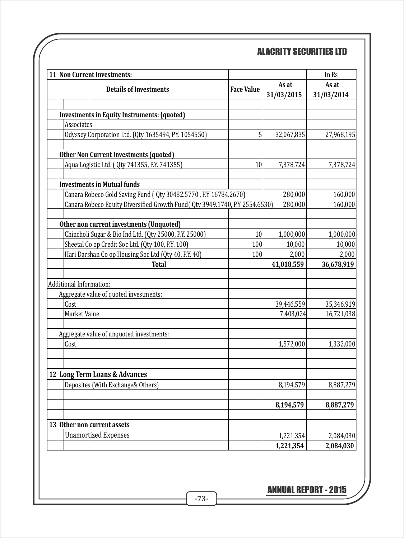| 11 Non Current Investments:                                                 |                   |                     | In Rs               |
|-----------------------------------------------------------------------------|-------------------|---------------------|---------------------|
| <b>Details of Investments</b>                                               | <b>Face Value</b> | As at<br>31/03/2015 | As at<br>31/03/2014 |
|                                                                             |                   |                     |                     |
| <b>Investments in Equity Instruments: (quoted)</b>                          |                   |                     |                     |
| <b>Associates</b>                                                           |                   |                     |                     |
| Odyssey Corporation Ltd. (Qty 1635494, PY. 1054550)                         | 5                 | 32,067,835          | 27,968,195          |
| <b>Other Non Current Investments (quoted)</b>                               |                   |                     |                     |
| Aqua Logistic Ltd. (Qty 741355, P.Y. 741355)                                | 10                | 7,378,724           | 7,378,724           |
| <b>Investments in Mutual funds</b>                                          |                   |                     |                     |
| Canara Robeco Gold Saving Fund (Qty 30482.5770, P.Y 16784.2670)             |                   | 280,000             | 160,000             |
| Canara Robeco Equity Diversified Growth Fund( Qty 3949.1740, P.Y 2554.6530) |                   | 280,000             | 160,000             |
| Other non current investments (Unquoted)                                    |                   |                     |                     |
| Chincholi Sugar & Bio Ind Ltd. (Qty 25000, P.Y. 25000)                      | 10                | 1,000,000           | 1,000,000           |
| Sheetal Co op Credit Soc Ltd. (Qty 100, P.Y. 100)                           | 100               | 10,000              | 10,000              |
| Hari Darshan Co op Housing Soc Ltd (Qty 40, P.Y. 40)                        | 100               | 2,000               | 2,000               |
| <b>Total</b>                                                                |                   | 41,018,559          | 36,678,919          |
| <b>Additional Information:</b>                                              |                   |                     |                     |
| Aggregate value of quoted investments:                                      |                   |                     |                     |
| Cost                                                                        |                   | 39,446,559          | 35,346,919          |
| Market Value                                                                |                   | 7,403,024           | 16,721,038          |
| Aggregate value of unquoted investments:                                    |                   |                     |                     |
| Cost                                                                        |                   | 1,572,000           | 1,332,000           |
| 12 Long Term Loans & Advances                                               |                   |                     |                     |
| Deposites (With Exchange& Others)                                           |                   | 8,194,579           | 8,887,279           |
|                                                                             |                   | 8,194,579           | 8,887,279           |
|                                                                             |                   |                     |                     |
| 13 Other non current assets<br><b>Unamortized Expenses</b>                  |                   | 1,221,354           | 2,084,030           |
|                                                                             |                   | 1,221,354           | 2,084,030           |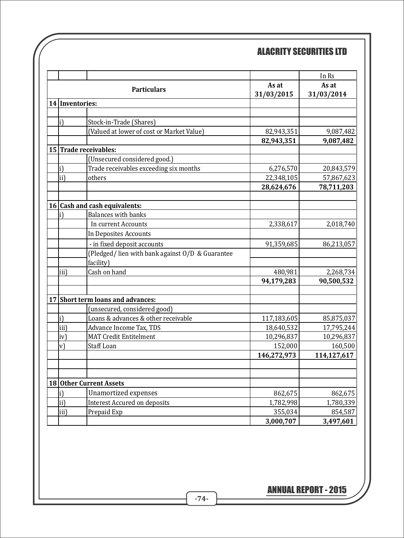|    |                       |                                                 |             | In Rs       |
|----|-----------------------|-------------------------------------------------|-------------|-------------|
|    |                       | <b>Particulars</b>                              | As at       | As at       |
|    |                       |                                                 | 31/03/2015  | 31/03/2014  |
|    |                       | 14 Inventories:                                 |             |             |
|    |                       |                                                 |             |             |
|    | i)                    | Stock-in-Trade (Shares)                         |             |             |
|    |                       | (Valued at lower of cost or Market Value)       | 82,943,351  | 9,087,482   |
|    |                       |                                                 | 82,943,351  | 9,087,482   |
|    |                       | 15 Trade receivables:                           |             |             |
|    |                       | (Unsecured considered good.)                    |             |             |
|    | $\mathbf{i}$          | Trade receivables exceeding six months          | 6,276,570   | 20,843,579  |
|    | ii)                   | others                                          | 22,348,105  | 57,867,623  |
|    |                       |                                                 | 28,624,676  | 78,711,203  |
|    |                       | 16 Cash and cash equivalents:                   |             |             |
|    | $\mathbf{i}$          | <b>Balances with banks</b>                      |             |             |
|    |                       | In current Accounts                             | 2,338,617   | 2,018,740   |
|    |                       | In Deposites Accounts                           |             |             |
|    |                       | - in fixed deposit accounts                     | 91,359,685  | 86,213,057  |
|    |                       | (Pledged/lien with bank against O/D & Guarantee |             |             |
|    |                       | facility)                                       |             |             |
|    | iii)                  | Cash on hand                                    | 480,981     | 2,268,734   |
|    |                       |                                                 | 94,179,283  | 90,500,532  |
| 17 |                       | Short term loans and advances:                  |             |             |
|    |                       | (unsecured, considered good)                    |             |             |
|    | i)                    | Loans & advances & other receivable             | 117,183,605 | 85,875,037  |
|    | iii)                  | Advance Income Tax, TDS                         | 18,640,532  | 17,795,244  |
|    | iv)                   | <b>MAT Credit Entitelment</b>                   | 10,296,837  | 10,296,837  |
|    | $\mathbf{v}$          | <b>Staff Loan</b>                               | 152,000     | 160,500     |
|    |                       |                                                 | 146,272,973 | 114,127,617 |
|    |                       |                                                 |             |             |
|    |                       | 18 Other Current Assets                         |             |             |
|    |                       |                                                 |             |             |
|    | i)<br>$\overline{ii}$ | Unamortized expenses                            | 862,675     | 862,675     |
|    | iii)                  | <b>Interest Accured on deposits</b>             | 1,782,998   | 1,780,339   |
|    |                       | Prepaid Exp                                     | 355,034     | 854,587     |
|    |                       |                                                 | 3,000,707   | 3,497,601   |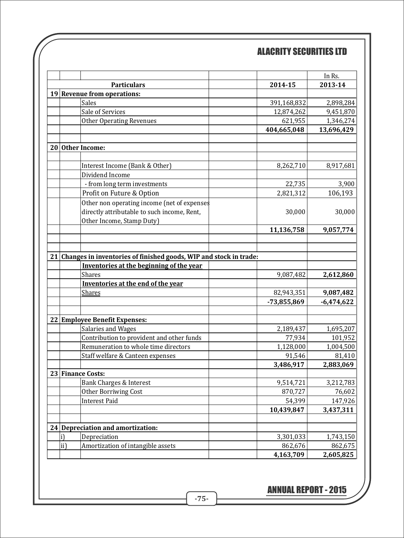|              |                                                                                                                         |                             | In Rs.                                                                                                                                                       |
|--------------|-------------------------------------------------------------------------------------------------------------------------|-----------------------------|--------------------------------------------------------------------------------------------------------------------------------------------------------------|
|              | <b>Particulars</b>                                                                                                      | 2014-15                     | 2013-14                                                                                                                                                      |
|              | 19 Revenue from operations:                                                                                             |                             |                                                                                                                                                              |
|              | Sales                                                                                                                   | 391,168,832                 | 2,898,284                                                                                                                                                    |
|              | Sale of Services                                                                                                        | 12,874,262                  | 9,451,870                                                                                                                                                    |
|              | <b>Other Operating Revenues</b>                                                                                         | 621,955                     | 1,346,274                                                                                                                                                    |
|              |                                                                                                                         | 404,665,048                 | 13,696,429                                                                                                                                                   |
|              | 20 Other Income:                                                                                                        |                             |                                                                                                                                                              |
|              | Interest Income (Bank & Other)                                                                                          | 8,262,710                   | 8,917,681                                                                                                                                                    |
|              | Dividend Income                                                                                                         |                             |                                                                                                                                                              |
|              | - from long term investments                                                                                            | 22,735                      | 3,900                                                                                                                                                        |
|              | Profit on Future & Option                                                                                               | 2,821,312                   | 106,193                                                                                                                                                      |
|              | Other non operating income (net of expenses<br>directly attributable to such income, Rent,<br>Other Income, Stamp Duty) | 30,000                      | 30,000                                                                                                                                                       |
|              |                                                                                                                         | 11,136,758                  | 9,057,774                                                                                                                                                    |
|              |                                                                                                                         |                             |                                                                                                                                                              |
|              |                                                                                                                         |                             |                                                                                                                                                              |
|              | 21 Changes in inventories of finished goods, WIP and stock in trade:                                                    |                             |                                                                                                                                                              |
|              | Inventories at the beginning of the year                                                                                |                             |                                                                                                                                                              |
|              | Shares                                                                                                                  | 9,087,482                   |                                                                                                                                                              |
|              | Inventories at the end of the year                                                                                      |                             |                                                                                                                                                              |
|              | <u>Shares</u>                                                                                                           | 82,943,351<br>$-73,855,869$ |                                                                                                                                                              |
|              | 22 Employee Benefit Expenses:                                                                                           |                             |                                                                                                                                                              |
|              | Salaries and Wages                                                                                                      | 2,189,437                   |                                                                                                                                                              |
|              | Contribution to provident and other funds                                                                               | 77,934                      |                                                                                                                                                              |
|              | Remuneration to whole time directors                                                                                    | 1,128,000                   |                                                                                                                                                              |
|              | Staff welfare & Canteen expenses                                                                                        | 91,546                      |                                                                                                                                                              |
|              |                                                                                                                         | 3,486,917                   |                                                                                                                                                              |
|              | 23 Finance Costs:                                                                                                       |                             |                                                                                                                                                              |
|              | Bank Charges & Interest                                                                                                 | 9,514,721                   |                                                                                                                                                              |
|              | <b>Other Borriwing Cost</b>                                                                                             | 870,727                     |                                                                                                                                                              |
|              | <b>Interest Paid</b>                                                                                                    | 54,399                      |                                                                                                                                                              |
|              |                                                                                                                         | 10,439,847                  |                                                                                                                                                              |
|              | 24 Depreciation and amortization:                                                                                       |                             | 3,437,311                                                                                                                                                    |
| $\mathbf{i}$ | Depreciation                                                                                                            | 3,301,033                   |                                                                                                                                                              |
|              | Amortization of intangible assets<br>ii)                                                                                | 862,676                     | 2,612,860<br>9,087,482<br>$-6,474,622$<br>1,695,207<br>101,952<br>1,004,500<br>81,410<br>2,883,069<br>3,212,783<br>76,602<br>147,926<br>1,743,150<br>862,675 |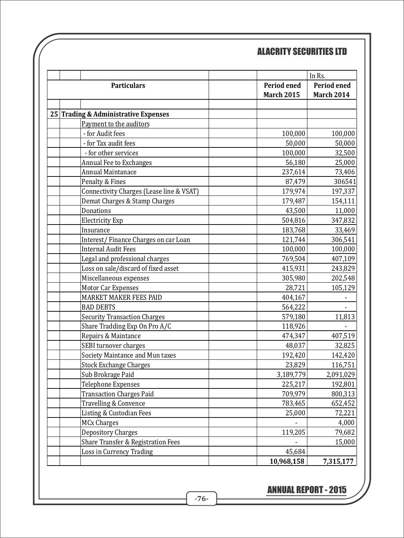|                                          |                                  | In Rs.                           |
|------------------------------------------|----------------------------------|----------------------------------|
| <b>Particulars</b>                       | Period ened<br><b>March 2015</b> | Period ened<br><b>March 2014</b> |
| 25 Trading & Administrative Expenses     |                                  |                                  |
| Payment to the auditors                  |                                  |                                  |
| - for Audit fees                         | 100,000                          | 100,000                          |
| - for Tax audit fees                     | 50,000                           | 50,000                           |
| - for other services                     | 100,000                          | 32,500                           |
| Annual Fee to Exchanges                  | 56,180                           | 25,000                           |
| Annual Maintanace                        | 237,614                          | 73,406                           |
| Penalty & Fines                          | 87,479                           | 306541                           |
| Connectivity Charges (Lease line & VSAT) | 179,974                          | 197,337                          |
| Demat Charges & Stamp Charges            | 179,487                          | 154,111                          |
| Donations                                | 43,500                           | 11,000                           |
| <b>Electricity Exp</b>                   | 504,816                          | 347,832                          |
| Insurance                                | 183,768                          | 33,469                           |
| Interest/Finance Charges on car Loan     | 121,744                          | 306,541                          |
| <b>Internal Audit Fees</b>               | 100,000                          | 100,000                          |
| Legal and professional charges           | 769,504                          | 407,109                          |
| Loss on sale/discard of fixed asset      | 415,931                          | 243,829                          |
| Miscellaneous expenses                   | 305,980                          | 202,548                          |
| Motor Car Expenses                       | 28,721                           | 105,129                          |
| MARKET MAKER FEES PAID                   | 404,167                          |                                  |
| <b>BAD DEBTS</b>                         | 564,222                          |                                  |
| <b>Security Transaction Charges</b>      | 579,180                          | 11,813                           |
| Share Tradding Exp On Pro A/C            | 118,926                          |                                  |
| Repairs & Maintance                      | 474,347                          | 407,519                          |
| SEBI turnover charges                    | 48,037                           | 32,825                           |
| Society Maintance and Mun taxes          | 192,420                          | 142,420                          |
| <b>Stock Exchange Charges</b>            | 23,829                           | 116,751                          |
| Sub Brokrage Paid                        | 3,189,779                        | 2,091,029                        |
| Telephone Expenses                       | 225,217                          | 192,801                          |
| <b>Transaction Charges Paid</b>          | 709,979                          | 800,313                          |
| Travelling & Convence                    | 783,465                          | 652,452                          |
| Listing & Custodian Fees                 | 25,000                           | 72,221                           |
| <b>MCx Charges</b>                       |                                  | 4,000                            |
| <b>Depository Charges</b>                | 119,205                          | 79,682                           |
| Share Transfer & Registration Fees       |                                  | 15,000                           |
| Loss in Currency Trading                 | 45,684                           |                                  |
|                                          | 10,968,158                       | 7,315,177                        |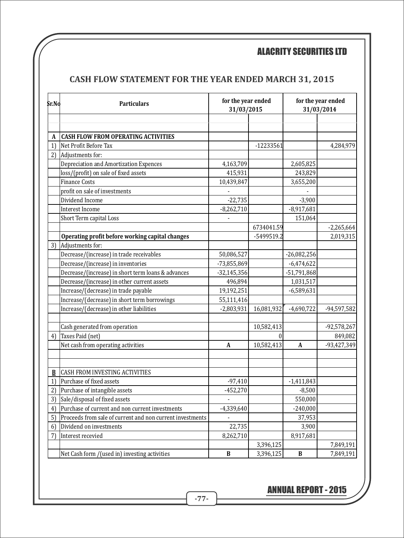#### **CASH FLOW STATEMENT FOR THE YEAR ENDED MARCH 31, 2015**

| Sr.No | <b>Particulars</b>                                        | for the year ended<br>31/03/2015 |            | for the year ended<br>31/03/2014 |               |  |
|-------|-----------------------------------------------------------|----------------------------------|------------|----------------------------------|---------------|--|
|       |                                                           |                                  |            |                                  |               |  |
| A     | <b>CASH FLOW FROM OPERATING ACTIVITIES</b>                |                                  |            |                                  |               |  |
| 1)    | Net Profit Before Tax                                     |                                  | -12233561  |                                  | 4,284,979     |  |
| 2)    | Adjustments for:                                          |                                  |            |                                  |               |  |
|       | Depreciation and Amortization Expences                    | 4,163,709                        |            | 2,605,825                        |               |  |
|       | loss/(profit) on sale of fixed assets                     | 415,931                          |            | 243,829                          |               |  |
|       | <b>Finance Costs</b>                                      | 10,439,847                       |            | 3,655,200                        |               |  |
|       | profit on sale of investments                             |                                  |            |                                  |               |  |
|       | Dividend Income                                           | $-22,735$                        |            | $-3,900$                         |               |  |
|       | Interest Income                                           | $-8,262,710$                     |            | $-8,917,681$                     |               |  |
|       | Short Term capital Loss                                   |                                  |            | 151,064                          |               |  |
|       |                                                           |                                  | 6734041.59 |                                  | $-2,265,664$  |  |
|       | Operating profit before working capital changes           |                                  | -5499519.2 |                                  | 2,019,315     |  |
| 3)    | Adjustments for:                                          |                                  |            |                                  |               |  |
|       | Decrease/(increase) in trade receivables                  | 50,086,527                       |            | $-26,082,256$                    |               |  |
|       | Decrease/(increase) in inventories                        | -73,855,869                      |            | $-6,474,622$                     |               |  |
|       | Decrease/(increase) in short term loans & advances        | $-32,145,356$                    |            | $-51,791,868$                    |               |  |
|       | Decrease/(increase) in other current assets               | 496,894                          |            | 1,031,517                        |               |  |
|       | Increase/(decrease) in trade payable                      | 19,192,251                       |            | $-6,589,631$                     |               |  |
|       | Increase/(decrease) in short term borrowings              | 55,111,416                       |            |                                  |               |  |
|       | Increase/(decrease) in other liabilities                  | $-2,803,931$                     | 16,081,932 | $-4,690,722$                     | -94,597,582   |  |
|       | Cash generated from operation                             |                                  | 10,582,413 |                                  | $-92,578,267$ |  |
| 4)    | Taxes Paid (net)                                          |                                  |            |                                  | 849,082       |  |
|       | Net cash from operating activities                        | A                                | 10,582,413 | A                                | -93,427,349   |  |
|       |                                                           |                                  |            |                                  |               |  |
| B     | <b>CASH FROM INVESTING ACTIVITIES</b>                     |                                  |            |                                  |               |  |
| 1)    | Purchase of fixed assets                                  | $-97,410$                        |            | $-1,411,843$                     |               |  |
| 2)    | Purchase of intangible assets                             | $-452,270$                       |            | $-8,500$                         |               |  |
| 3)    | Sale/disposal of fixed assets                             |                                  |            | 550,000                          |               |  |
| 4)    | Purchase of current and non current investments           | $-4,339,640$                     |            | $-240,000$                       |               |  |
| 5)    | Proceeds from sale of current and non current investments |                                  |            | 37,953                           |               |  |
| 6)    | Dividend on investments                                   | 22,735                           |            | 3,900                            |               |  |
| 7)    | Interest recevied                                         | 8,262,710                        |            | 8,917,681                        |               |  |
|       |                                                           |                                  | 3,396,125  |                                  | 7,849,191     |  |
|       | Net Cash form /(used in) investing activities             | B                                | 3,396,125  | B                                | 7,849,191     |  |

ANNUAL REPORT - 2015

**-77-**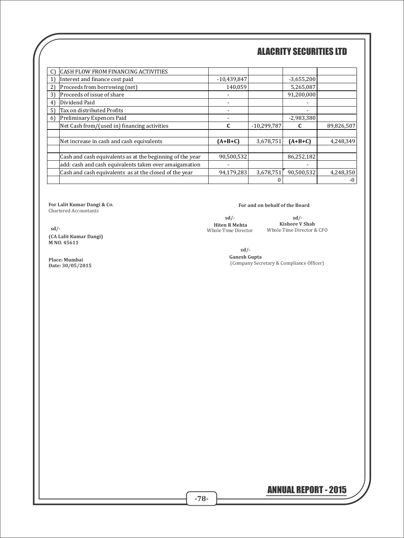|                | CASH FLOW FROM FINANCING ACTIVITIES                       |               |               |              |            |
|----------------|-----------------------------------------------------------|---------------|---------------|--------------|------------|
|                | Interest and finance cost paid                            | $-10,439,847$ |               | $-3,655,200$ |            |
| 2 <sub>1</sub> | Proceeds from borrowing (net)                             | 140,059       |               | 5,265,087    |            |
| 3)             | Proceeds of issue of share                                |               |               | 91,200,000   |            |
| 4 <sup>1</sup> | Dividend Paid                                             |               |               |              |            |
| 5)             | Tax on distributed Profits                                |               |               |              |            |
| 6              | Preliminary Expences Paid                                 |               |               | $-2,983,380$ |            |
|                | Net Cash from/(used in) financing activities              | C             | $-10,299,787$ |              | 89,826,507 |
|                |                                                           |               |               |              |            |
|                | Net increase in cash and cash equivalents                 | $(A+B+C)$     | 3,678,751     | $(A+B+C)$    | 4,248,349  |
|                |                                                           |               |               |              |            |
|                | Cash and cash equivalents as at the beginning of the year | 90,500,532    |               | 86,252,182   |            |
|                | add: cash and cash equivalents taken over amaigamation    |               |               |              |            |
|                | Cash and cash equivalents as at the closed of the year    | 94,179,283    | 3,678,751     | 90,500,532   | 4,248,350  |
|                |                                                           |               |               |              | -0         |

**For Lalit Kumar Dangi & Co.** Chartered Accountants

**(CA Lalit Kumar Dangi) M NO. 45611 sd/-**

**Date: 30/05/2015**

**For and on behalf of the Board**

**Hiten R Mehta Kishore V Shah**<br>
Whole Time Director **Whole Time Director & CFO sd/- sd/-**

**Ganesh Gupta** Place: Mumbai<br> **Place: Mumbai**<br> **Place: Solongany Secretary & Compliance Officer)** (Company Secretary & Compliance Officer) **sd/-**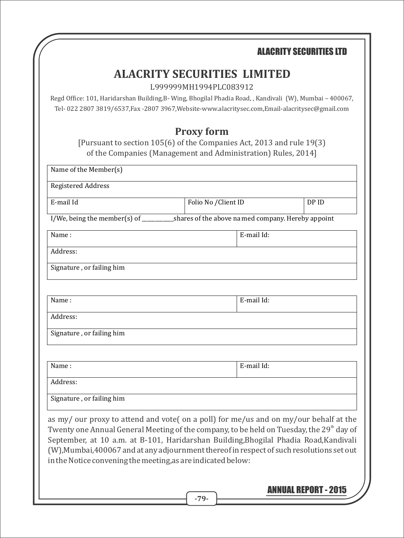|                                                              |                                                                                                                                                                                                                                                                                                                                                                                     | <b>ALACRITY SECURITIES LTD</b> |
|--------------------------------------------------------------|-------------------------------------------------------------------------------------------------------------------------------------------------------------------------------------------------------------------------------------------------------------------------------------------------------------------------------------------------------------------------------------|--------------------------------|
|                                                              | <b>ALACRITY SECURITIES LIMITED</b>                                                                                                                                                                                                                                                                                                                                                  |                                |
|                                                              | L999999MH1994PLC083912                                                                                                                                                                                                                                                                                                                                                              |                                |
|                                                              | Regd Office: 101, Haridarshan Building, B- Wing, Bhogilal Phadia Road, , Kandivali (W), Mumbai - 400067,                                                                                                                                                                                                                                                                            |                                |
|                                                              | Tel-022 2807 3819/6537, Fax -2807 3967, Website-www.alacritysec.com, Email-alacritysec@gmail.com                                                                                                                                                                                                                                                                                    |                                |
|                                                              | <b>Proxy form</b>                                                                                                                                                                                                                                                                                                                                                                   |                                |
|                                                              | [Pursuant to section 105(6) of the Companies Act, 2013 and rule 19(3)<br>of the Companies (Management and Administration) Rules, 2014]                                                                                                                                                                                                                                              |                                |
| Name of the Member(s)                                        |                                                                                                                                                                                                                                                                                                                                                                                     |                                |
| Registered Address                                           |                                                                                                                                                                                                                                                                                                                                                                                     |                                |
| E-mail Id                                                    | Folio No / Client ID                                                                                                                                                                                                                                                                                                                                                                | DP ID                          |
|                                                              | I/We, being the member(s) of shares of the above named company. Hereby appoint                                                                                                                                                                                                                                                                                                      |                                |
| Name:                                                        | E-mail Id:                                                                                                                                                                                                                                                                                                                                                                          |                                |
| Address:                                                     |                                                                                                                                                                                                                                                                                                                                                                                     |                                |
| Signature, or failing him                                    |                                                                                                                                                                                                                                                                                                                                                                                     |                                |
|                                                              |                                                                                                                                                                                                                                                                                                                                                                                     |                                |
| Name:                                                        | E-mail Id:                                                                                                                                                                                                                                                                                                                                                                          |                                |
| Address:                                                     |                                                                                                                                                                                                                                                                                                                                                                                     |                                |
| Signature, or failing him                                    |                                                                                                                                                                                                                                                                                                                                                                                     |                                |
| Name:                                                        | E-mail Id:                                                                                                                                                                                                                                                                                                                                                                          |                                |
| Address:                                                     |                                                                                                                                                                                                                                                                                                                                                                                     |                                |
|                                                              |                                                                                                                                                                                                                                                                                                                                                                                     |                                |
| Signature, or failing him                                    |                                                                                                                                                                                                                                                                                                                                                                                     |                                |
| in the Notice convening the meeting, as are indicated below: | as my/ our proxy to attend and vote( on a poll) for me/us and on my/our behalf at the<br>Twenty one Annual General Meeting of the company, to be held on Tuesday, the 29 <sup>th</sup> day of<br>September, at 10 a.m. at B-101, Haridarshan Building, Bhogilal Phadia Road, Kandivali<br>(W), Mumbai, 400067 and at any adjournment thereof in respect of such resolutions set out |                                |

**-79-**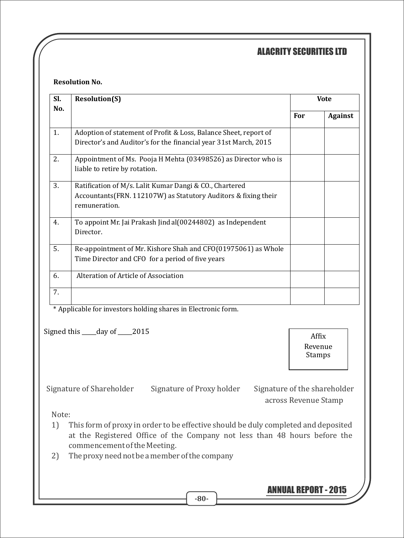ANNUAL REPORT - 2015

#### **Resolution No.**

| SI. | <b>Resolution(S)</b>                                                            | <b>Vote</b> |                |  |
|-----|---------------------------------------------------------------------------------|-------------|----------------|--|
| No. |                                                                                 | For         | <b>Against</b> |  |
| 1.  | Adoption of statement of Profit & Loss, Balance Sheet, report of                |             |                |  |
|     | Director's and Auditor's for the financial year 31st March, 2015                |             |                |  |
| 2.  | Appointment of Ms. Pooja H Mehta (03498526) as Director who is                  |             |                |  |
|     | liable to retire by rotation.                                                   |             |                |  |
| 3.  | Ratification of M/s. Lalit Kumar Dangi & CO., Chartered                         |             |                |  |
|     | Accountants(FRN. 112107W) as Statutory Auditors & fixing their<br>remuneration. |             |                |  |
| 4.  | To appoint Mr. Jai Prakash Jindal(00244802) as Independent                      |             |                |  |
|     | Director.                                                                       |             |                |  |
| 5.  | Re-appointment of Mr. Kishore Shah and CFO(01975061) as Whole                   |             |                |  |
|     | Time Director and CFO for a period of five years                                |             |                |  |
| 6.  | Alteration of Article of Association                                            |             |                |  |
| 7.  |                                                                                 |             |                |  |
|     | * Applicable for investors holding shares in Electronic form.                   |             |                |  |
|     |                                                                                 |             |                |  |
|     | Signed this $_\text{mag}$ day of $_\text{mag}$ 2015                             |             | Affix          |  |
|     |                                                                                 |             | Revenue        |  |
|     |                                                                                 |             | Stamps         |  |

Signature of Shareholder Signature of Proxy holder Signature of the shareholder across Revenue Stamp

Note:

- 1) This form of proxy in order to be effective should be duly completed and deposited at the Registered Office of the Company not less than 48 hours before the commencement of the Meeting.
- 2) The proxy need not be a member of the company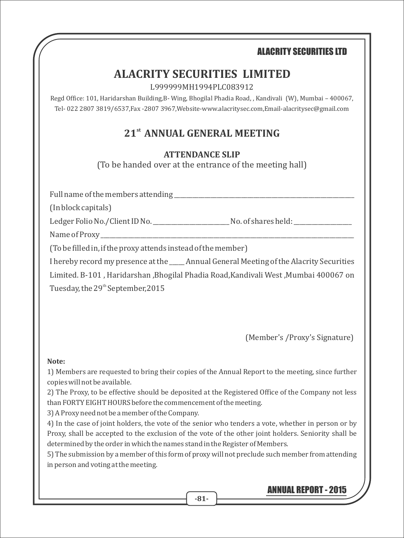# **ALACRITY SECURITIES LIMITED**

#### L999999MH1994PLC083912

Regd Office: 101, Haridarshan Building,B- Wing, Bhogilal Phadia Road, , Kandivali (W), Mumbai – 400067, Tel- 022 2807 3819/6537,Fax -2807 3967,Website-www.alacritysec.com,Email-alacritysec@gmail.com

# **st 21 ANNUAL GENERAL MEETING**

#### **ATTENDANCE SLIP**

(To be handed over at the entrance of the meeting hall)

Full name of the members attending

(In block capitals)

Ledger Folio No./Client ID No. \_\_\_\_\_\_\_\_\_\_\_\_\_\_\_\_\_\_\_\_\_\_\_\_\_ No. of shares held: \_\_\_\_\_\_\_\_\_\_\_\_\_\_\_\_\_\_\_

Name of Proxy

(To be filled in, if the proxy attends instead of the member)

I hereby record my presence at the \_\_\_\_\_ Annual General Meeting of the Alacrity Securities

Limited. B-101 , Haridarshan ,Bhogilal Phadia Road,Kandivali West ,Mumbai 400067 on Tuesday, the  $29<sup>th</sup>$  September, 2015

(Member's /Proxy's Signature)

ANNUAL REPORT - 2015

#### **Note:**

1) Members are requested to bring their copies of the Annual Report to the meeting, since further copies will not be available.

2) The Proxy, to be effective should be deposited at the Registered Office of the Company not less than FORTY EIGHT HOURS before the commencement of the meeting.

3) A Proxy need not be a member of the Company.

4) In the case of joint holders, the vote of the senior who tenders a vote, whether in person or by Proxy, shall be accepted to the exclusion of the vote of the other joint holders. Seniority shall be determined by the order in which the names stand in the Register of Members.

5) The submission by a member of this form of proxy will not preclude such member from attending in person and voting at the meeting.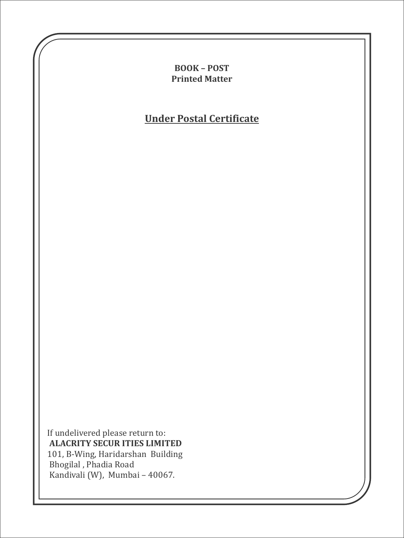**BOOK – POST Printed Matter**

**Under Postal Certificate**

If undelivered please return to:  **ALACRITY SECUR ITIES LIMITED** 101, B-Wing, Haridarshan Building Bhogilal , Phadia Road Kandivali (W), Mumbai – 40067.